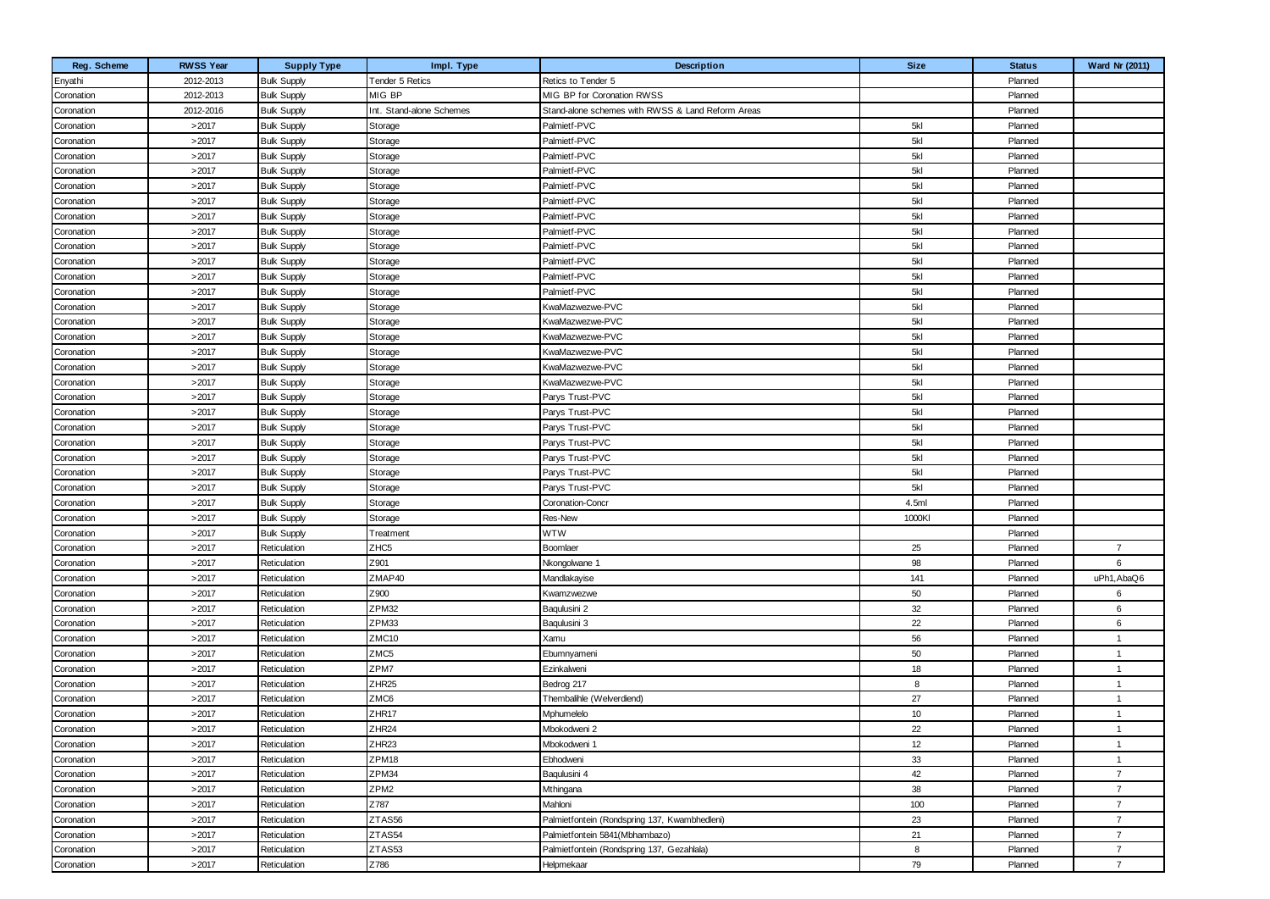| Reg. Scheme | <b>RWSS Year</b> | <b>Supply Type</b> | Impl. Type               | Description                                       | <b>Size</b> | <b>Status</b> | <b>Ward Nr (2011)</b> |
|-------------|------------------|--------------------|--------------------------|---------------------------------------------------|-------------|---------------|-----------------------|
| Enyathi     | 2012-2013        | <b>Bulk Supply</b> | Tender 5 Retics          | Retics to Tender 5                                |             | Planned       |                       |
| Coronation  | 2012-2013        | <b>Bulk Supply</b> | MIG BP                   | MIG BP for Coronation RWSS                        |             | Planned       |                       |
| Coronation  | 2012-2016        | <b>Bulk Supply</b> | Int. Stand-alone Schemes | Stand-alone schemes with RWSS & Land Reform Areas |             | Planned       |                       |
| Coronation  | >2017            | <b>Bulk Supply</b> | Storage                  | Palmietf-PVC                                      | 5kl         | Planned       |                       |
| Coronation  | >2017            | <b>Bulk Supply</b> | Storage                  | Palmietf-PVC                                      | 5kl         | Planned       |                       |
| Coronation  | >2017            | <b>Bulk Supply</b> | Storage                  | Palmietf-PVC                                      | 5kl         | Planned       |                       |
| Coronation  | >2017            | <b>Bulk Supply</b> | Storage                  | Palmietf-PVC                                      | 5kl         | Planned       |                       |
| Coronation  | >2017            | <b>Bulk Supply</b> | Storage                  | Palmietf-PVC                                      | 5kl         | Planned       |                       |
| Coronation  | >2017            | <b>Bulk Supply</b> | Storage                  | Palmietf-PVC                                      | 5kl         | Planned       |                       |
| Coronation  | >2017            | <b>Bulk Supply</b> | Storage                  | Palmietf-PVC                                      | 5kl         | Planned       |                       |
| Coronation  | >2017            | <b>Bulk Supply</b> | Storage                  | Palmietf-PVC                                      | 5kl         | Planned       |                       |
| Coronation  | >2017            | <b>Bulk Supply</b> | Storage                  | Palmietf-PVC                                      | 5kl         | Planned       |                       |
| Coronation  | >2017            | <b>Bulk Supply</b> | Storage                  | Palmietf-PVC                                      | 5kl         | Planned       |                       |
| Coronation  | >2017            | <b>Bulk Supply</b> | Storage                  | Palmietf-PVC                                      | 5kl         | Planned       |                       |
| Coronation  | >2017            | <b>Bulk Supply</b> | Storage                  | Palmietf-PVC                                      | 5kl         | Planned       |                       |
| Coronation  | >2017            | <b>Bulk Supply</b> | Storage                  | KwaMazwezwe-PVC                                   | 5kl         | Planned       |                       |
| Coronation  | >2017            | <b>Bulk Supply</b> | Storage                  | KwaMazwezwe-PVC                                   | 5kl         | Planned       |                       |
| Coronation  | >2017            | <b>Bulk Supply</b> | Storage                  | KwaMazwezwe-PVC                                   | 5kl         | Planned       |                       |
| Coronation  | >2017            | <b>Bulk Supply</b> | Storage                  | KwaMazwezwe-PVC                                   | 5kl         | Planned       |                       |
| Coronation  | >2017            | <b>Bulk Supply</b> | Storage                  | KwaMazwezwe-PVC                                   | 5kl         | Planned       |                       |
| Coronation  | >2017            | <b>Bulk Supply</b> | Storage                  | KwaMazwezwe-PVC                                   | 5kl         | Planned       |                       |
| Coronation  | >2017            | <b>Bulk Supply</b> | Storage                  | Parys Trust-PVC                                   | 5kl         | Planned       |                       |
| Coronation  | >2017            | <b>Bulk Supply</b> | Storage                  | Parys Trust-PVC                                   | 5kl         | Planned       |                       |
| Coronation  | >2017            | <b>Bulk Supply</b> | Storage                  | Parys Trust-PVC                                   | 5kl         | Planned       |                       |
| Coronation  | >2017            | <b>Bulk Supply</b> | Storage                  | Parys Trust-PVC                                   | 5kl         | Planned       |                       |
| Coronation  | >2017            | <b>Bulk Supply</b> | Storage                  | Parys Trust-PVC                                   | 5kl         | Planned       |                       |
| Coronation  | >2017            | <b>Bulk Supply</b> | Storage                  | Parys Trust-PVC                                   | 5kl         | Planned       |                       |
| Coronation  | >2017            | <b>Bulk Supply</b> | Storage                  | Parys Trust-PVC                                   | 5kl         | Planned       |                       |
| Coronation  | >2017            | <b>Bulk Supply</b> | Storage                  | Coronation-Concr                                  | 4.5ml       | Planned       |                       |
| Coronation  | >2017            | <b>Bulk Supply</b> | Storage                  | Res-New                                           | 1000KI      | Planned       |                       |
| Coronation  | >2017            | <b>Bulk Supply</b> | Treatment                | WTW                                               |             | Planned       |                       |
| Coronation  | >2017            | Reticulation       | ZHC <sub>5</sub>         | Boomlaer                                          | 25          | Planned       | $\overline{7}$        |
| Coronation  | >2017            | Reticulation       | Z901                     | Nkongolwane 1                                     | 98          | Planned       | 6                     |
| Coronation  | >2017            | Reticulation       | ZMAP40                   | Mandlakayise                                      | 141         | Planned       | uPh1, AbaQ6           |
| Coronation  | >2017            | Reticulation       | Z900                     | Kwamzwezwe                                        | 50          | Planned       | 6                     |
| Coronation  | >2017            | Reticulation       | ZPM32                    | Baqulusini 2                                      | 32          | Planned       | 6                     |
| Coronation  | >2017            | Reticulation       | ZPM33                    | Baqulusini 3                                      | 22          | Planned       | 6                     |
| Coronation  | >2017            | Reticulation       | ZMC10                    | Xamu                                              | 56          | Planned       | $\overline{1}$        |
| Coronation  | >2017            | Reticulation       | ZMC5                     | Ebumnyameni                                       | 50          | Planned       | -1                    |
| Coronation  | >2017            | Reticulation       | ZPM7                     | Ezinkalweni                                       | 18          | Planned       | $\overline{1}$        |
| Coronation  | >2017            | Reticulation       | ZHR <sub>25</sub>        | Bedrog 217                                        | 8           | Planned       | $\overline{1}$        |
| Coronation  | >2017            | Reticulation       | ZMC6                     | Thembalihle (Welverdiend)                         | 27          | Planned       | -1                    |
| Coronation  | >2017            | Reticulation       | ZHR17                    | Mphumelelo                                        | 10          | Planned       | $\overline{1}$        |
| Coronation  | >2017            | Reticulation       | ZHR <sub>24</sub>        | Mbokodweni 2                                      | 22          | Planned       | $\overline{1}$        |
| Coronation  | >2017            | Reticulation       | ZHR <sub>23</sub>        | Mbokodweni 1                                      | 12          | Planned       | -1                    |
| Coronation  | >2017            | Reticulation       | ZPM18                    | Ebhodweni                                         | 33          | Planned       | $\mathbf{1}$          |
| Coronation  | >2017            | Reticulation       | ZPM34                    | Bagulusini 4                                      | 42          | Planned       | $\overline{7}$        |
| Coronation  | >2017            | Reticulation       | ZPM <sub>2</sub>         | Mthingana                                         | 38          | Planned       | $\overline{7}$        |
| Coronation  | >2017            | Reticulation       | Z787                     | Mahloni                                           | 100         | Planned       | $\overline{7}$        |
| Coronation  | >2017            | Reticulation       | ZTAS56                   | Palmietfontein (Rondspring 137, Kwambhedleni)     | 23          | Planned       | $\overline{7}$        |
| Coronation  | >2017            | Reticulation       | ZTAS54                   | Palmietfontein 5841(Mbhambazo)                    | 21          | Planned       | $\overline{7}$        |
| Coronation  | >2017            | Reticulation       | ZTAS53                   | Palmietfontein (Rondspring 137, Gezahlala)        | 8           | Planned       | $\overline{7}$        |
| Coronation  | >2017            | Reticulation       | Z786                     | Helpmekaar                                        | 79          | Planned       | $\overline{7}$        |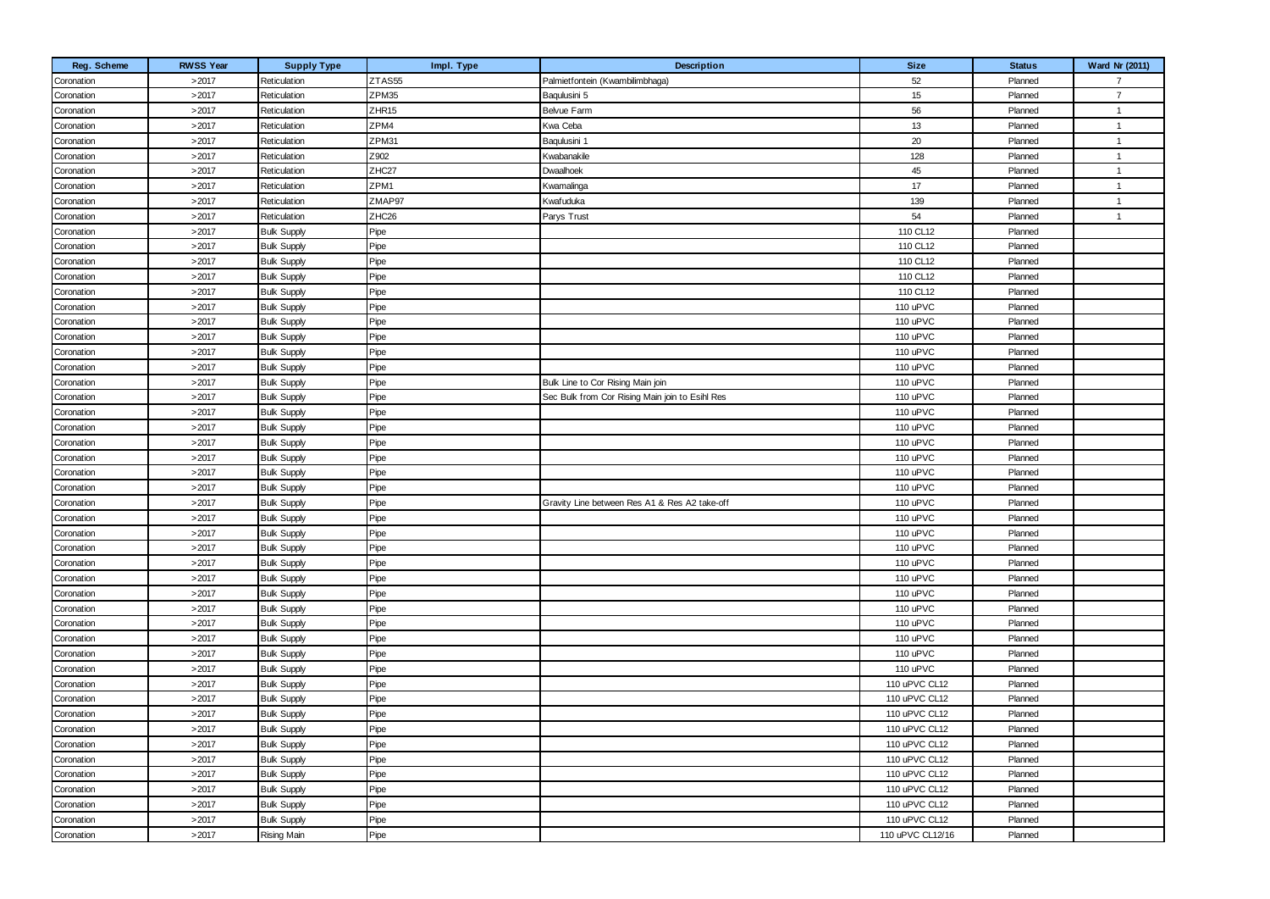| Reg. Scheme | <b>RWSS Year</b> | <b>Supply Type</b> | Impl. Type        | Description                                     | <b>Size</b>      | <b>Status</b> | Ward Nr (2011) |
|-------------|------------------|--------------------|-------------------|-------------------------------------------------|------------------|---------------|----------------|
| Coronation  | >2017            | Reticulation       | ZTAS55            | Palmietfontein (Kwambilimbhaga)                 | 52               | Planned       | $\overline{7}$ |
| Coronation  | >2017            | Reticulation       | ZPM35             | Baqulusini 5                                    | 15               | Planned       | $\overline{7}$ |
| Coronation  | >2017            | Reticulation       | ZHR <sub>15</sub> | Belvue Farm                                     | 56               | Planned       | $\overline{1}$ |
| Coronation  | >2017            | Reticulation       | ZPM4              | Kwa Ceba                                        | 13               | Planned       | $\overline{1}$ |
| Coronation  | >2017            | Reticulation       | ZPM31             | Baqulusini 1                                    | 20               | Planned       | $\overline{1}$ |
| Coronation  | >2017            | Reticulation       | Z902              | Kwabanakile                                     | 128              | Planned       | $\overline{1}$ |
| Coronation  | >2017            | Reticulation       | ZHC27             | Dwaalhoek                                       | 45               | Planned       | $\overline{1}$ |
| Coronation  | >2017            | Reticulation       | ZPM1              | Kwamalinga                                      | 17               | Planned       | $\overline{1}$ |
| Coronation  | >2017            | Reticulation       | ZMAP97            | Kwafuduka                                       | 139              | Planned       | $\overline{1}$ |
| Coronation  | >2017            | Reticulation       | ZHC <sub>26</sub> | Parys Trust                                     | 54               | Planned       | $\overline{1}$ |
| Coronation  | >2017            | <b>Bulk Supply</b> | Pipe              |                                                 | 110 CL12         | Planned       |                |
| Coronation  | >2017            | <b>Bulk Supply</b> | Pipe              |                                                 | 110 CL12         | Planned       |                |
| Coronation  | >2017            | <b>Bulk Supply</b> | Pipe              |                                                 | 110 CL12         | Planned       |                |
| Coronation  | >2017            | <b>Bulk Supply</b> | Pipe              |                                                 | 110 CL12         | Planned       |                |
| Coronation  | >2017            | <b>Bulk Supply</b> | Pipe              |                                                 | 110 CL12         | Planned       |                |
| Coronation  | >2017            | <b>Bulk Supply</b> | Pipe              |                                                 | 110 uPVC         | Planned       |                |
| Coronation  | >2017            | <b>Bulk Supply</b> | Pipe              |                                                 | 110 uPVC         | Planned       |                |
| Coronation  | >2017            | <b>Bulk Supply</b> | Pipe              |                                                 | 110 uPVC         | Planned       |                |
| Coronation  | >2017            | <b>Bulk Supply</b> | Pipe              |                                                 | 110 uPVC         | Planned       |                |
| Coronation  | >2017            | <b>Bulk Supply</b> | Pipe              |                                                 | 110 uPVC         | Planned       |                |
| Coronation  | >2017            | <b>Bulk Supply</b> | Pipe              | Bulk Line to Cor Rising Main join               | 110 uPVC         | Planned       |                |
| Coronation  | >2017            | <b>Bulk Supply</b> | Pipe              | Sec Bulk from Cor Rising Main join to Esihl Res | 110 uPVC         | Planned       |                |
| Coronation  | >2017            | <b>Bulk Supply</b> | Pipe              |                                                 | 110 uPVC         | Planned       |                |
| Coronation  | >2017            | <b>Bulk Supply</b> | Pipe              |                                                 | 110 uPVC         | Planned       |                |
| Coronation  | >2017            | <b>Bulk Supply</b> | Pipe              |                                                 | 110 uPVC         | Planned       |                |
| Coronation  | >2017            | <b>Bulk Supply</b> | Pipe              |                                                 | 110 uPVC         | Planned       |                |
| Coronation  | >2017            | <b>Bulk Supply</b> | Pipe              |                                                 | 110 uPVC         | Planned       |                |
| Coronation  | >2017            | <b>Bulk Supply</b> | Pipe              |                                                 | 110 uPVC         | Planned       |                |
| Coronation  | >2017            | <b>Bulk Supply</b> | Pipe              | Gravity Line between Res A1 & Res A2 take-off   | 110 uPVC         | Planned       |                |
| Coronation  | >2017            | <b>Bulk Supply</b> | Pipe              |                                                 | 110 uPVC         | Planned       |                |
| Coronation  | >2017            | <b>Bulk Supply</b> | Pipe              |                                                 | 110 uPVC         | Planned       |                |
| Coronation  | >2017            | <b>Bulk Supply</b> | Pipe              |                                                 | 110 uPVC         | Planned       |                |
| Coronation  | >2017            | <b>Bulk Supply</b> | Pipe              |                                                 | 110 uPVC         | Planned       |                |
| Coronation  | >2017            | <b>Bulk Supply</b> | Pipe              |                                                 | 110 uPVC         | Planned       |                |
| Coronation  | >2017            | <b>Bulk Supply</b> | Pipe              |                                                 | 110 uPVC         | Planned       |                |
| Coronation  | >2017            | <b>Bulk Supply</b> | Pipe              |                                                 | 110 uPVC         | Planned       |                |
| Coronation  | >2017            | <b>Bulk Supply</b> | Pipe              |                                                 | 110 uPVC         | Planned       |                |
| Coronation  | >2017            | <b>Bulk Supply</b> | Pipe              |                                                 | 110 uPVC         | Planned       |                |
| Coronation  | >2017            | <b>Bulk Supply</b> | Pipe              |                                                 | 110 uPVC         | Planned       |                |
| Coronation  | >2017            | <b>Bulk Supply</b> | Pipe              |                                                 | 110 uPVC         | Planned       |                |
| Coronation  | >2017            | <b>Bulk Supply</b> | Pipe              |                                                 | 110 uPVC CL12    | Planned       |                |
| Coronation  | >2017            | <b>Bulk Supply</b> | Pipe              |                                                 | 110 uPVC CL12    | Planned       |                |
| Coronation  | >2017            | <b>Bulk Supply</b> | Pipe              |                                                 | 110 uPVC CL12    | Planned       |                |
| Coronation  | >2017            | <b>Bulk Supply</b> | Pipe              |                                                 | 110 uPVC CL12    | Planned       |                |
| Coronation  | >2017            | <b>Bulk Supply</b> | Pipe              |                                                 | 110 uPVC CL12    | Planned       |                |
| Coronation  | >2017            | <b>Bulk Supply</b> | Pipe              |                                                 | 110 uPVC CL12    | Planned       |                |
| Coronation  | >2017            | <b>Bulk Supply</b> | Pipe              |                                                 | 110 uPVC CL12    | Planned       |                |
| Coronation  | >2017            | <b>Bulk Supply</b> | Pipe              |                                                 | 110 uPVC CL12    | Planned       |                |
| Coronation  | >2017            | <b>Bulk Supply</b> | Pipe              |                                                 | 110 uPVC CL12    | Planned       |                |
| Coronation  | >2017            | <b>Bulk Supply</b> | Pipe              |                                                 | 110 uPVC CL12    | Planned       |                |
| Coronation  | >2017            | <b>Rising Main</b> | Pipe              |                                                 | 110 uPVC CL12/16 | Planned       |                |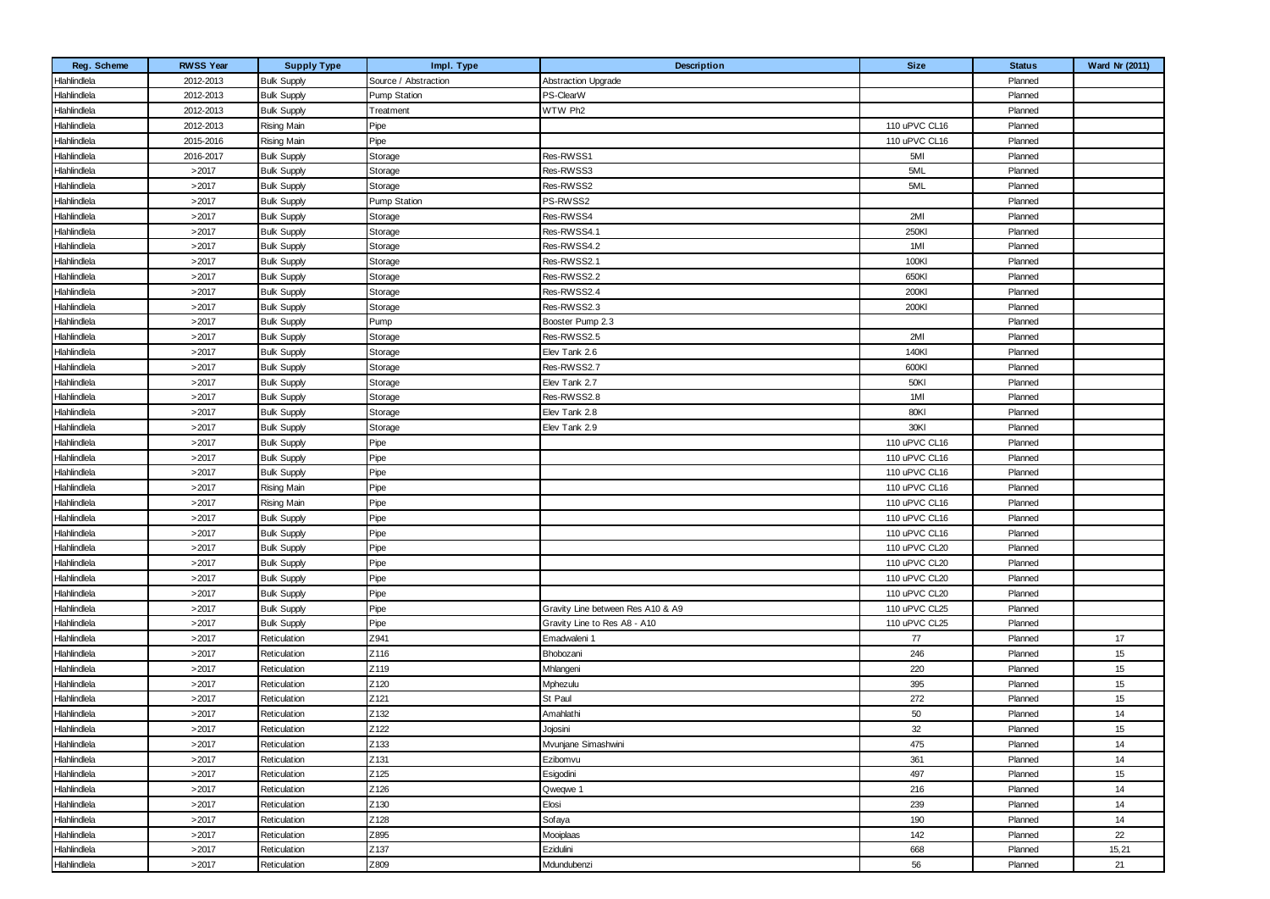| Reg. Scheme  | <b>RWSS Year</b> | <b>Supply Type</b> | Impl. Type           | Description                       | <b>Size</b>   | <b>Status</b> | <b>Ward Nr (2011)</b> |
|--------------|------------------|--------------------|----------------------|-----------------------------------|---------------|---------------|-----------------------|
| Hlahlindlela | 2012-2013        | <b>Bulk Supply</b> | Source / Abstraction | <b>Abstraction Upgrade</b>        |               | Planned       |                       |
| Hlahlindlela | 2012-2013        | <b>Bulk Supply</b> | <b>Pump Station</b>  | PS-ClearW                         |               | Planned       |                       |
| Hlahlindlela | 2012-2013        | <b>Bulk Supply</b> | Treatment            | WTW Ph2                           |               | Planned       |                       |
| Hlahlindlela | 2012-2013        | <b>Rising Main</b> | Pipe                 |                                   | 110 uPVC CL16 | Planned       |                       |
| Hlahlindlela | 2015-2016        | <b>Rising Main</b> | Pipe                 |                                   | 110 uPVC CL16 | Planned       |                       |
| Hlahlindlela | 2016-2017        | <b>Bulk Supply</b> | Storage              | Res-RWSS1                         | 5MI           | Planned       |                       |
| Hlahlindlela | >2017            | <b>Bulk Supply</b> | Storage              | Res-RWSS3                         | 5ML           | Planned       |                       |
| Hlahlindlela | >2017            | <b>Bulk Supply</b> | Storage              | Res-RWSS2                         | 5ML           | Planned       |                       |
| Hlahlindlela | >2017            | <b>Bulk Supply</b> | <b>Pump Station</b>  | PS-RWSS2                          |               | Planned       |                       |
| Hlahlindlela | >2017            | <b>Bulk Supply</b> | Storage              | Res-RWSS4                         | 2MI           | Planned       |                       |
| Hlahlindlela | >2017            | <b>Bulk Supply</b> | Storage              | Res-RWSS4.1                       | 250KI         | Planned       |                       |
| Hlahlindlela | >2017            | <b>Bulk Supply</b> | Storage              | Res-RWSS4.2                       | 1MI           | Planned       |                       |
| Hlahlindlela | >2017            | <b>Bulk Supply</b> | Storage              | Res-RWSS2.1                       | 100KI         | Planned       |                       |
| Hlahlindlela | >2017            | <b>Bulk Supply</b> | Storage              | Res-RWSS2.2                       | 650KI         | Planned       |                       |
| Hlahlindlela | >2017            | <b>Bulk Supply</b> | Storage              | Res-RWSS2.4                       | 200KI         | Planned       |                       |
| Hlahlindlela | >2017            | <b>Bulk Supply</b> | Storage              | Res-RWSS2.3                       | 200KI         | Planned       |                       |
| Hlahlindlela | >2017            | <b>Bulk Supply</b> | Pump                 | Booster Pump 2.3                  |               | Planned       |                       |
| Hlahlindlela | >2017            | <b>Bulk Supply</b> | Storage              | Res-RWSS2.5                       | 2MI           | Planned       |                       |
| Hlahlindlela | >2017            | <b>Bulk Supply</b> | Storage              | Elev Tank 2.6                     | 140KI         | Planned       |                       |
| Hlahlindlela | >2017            | <b>Bulk Supply</b> | Storage              | Res-RWSS2.7                       | 600KI         | Planned       |                       |
| Hlahlindlela | >2017            | <b>Bulk Supply</b> | Storage              | Elev Tank 2.7                     | 50KI          | Planned       |                       |
| Hlahlindlela | >2017            | <b>Bulk Supply</b> | Storage              | Res-RWSS2.8                       | 1MI           | Planned       |                       |
| Hlahlindlela | >2017            | <b>Bulk Supply</b> | Storage              | Elev Tank 2.8                     | 80KI          | Planned       |                       |
| Hlahlindlela | >2017            | <b>Bulk Supply</b> | Storage              | Elev Tank 2.9                     | 30KI          | Planned       |                       |
| Hlahlindlela | >2017            | <b>Bulk Supply</b> | Pipe                 |                                   | 110 uPVC CL16 | Planned       |                       |
| Hlahlindlela | >2017            | <b>Bulk Supply</b> | Pipe                 |                                   | 110 uPVC CL16 | Planned       |                       |
| Hlahlindlela | >2017            | <b>Bulk Supply</b> | Pipe                 |                                   | 110 uPVC CL16 | Planned       |                       |
| Hlahlindlela | >2017            | <b>Rising Main</b> | Pipe                 |                                   | 110 uPVC CL16 | Planned       |                       |
| Hlahlindlela | >2017            | <b>Rising Main</b> | Pipe                 |                                   | 110 uPVC CL16 | Planned       |                       |
| Hlahlindlela | >2017            | <b>Bulk Supply</b> | Pipe                 |                                   | 110 uPVC CL16 | Planned       |                       |
| Hlahlindlela | >2017            | <b>Bulk Supply</b> | Pipe                 |                                   | 110 uPVC CL16 | Planned       |                       |
| Hlahlindlela | >2017            | <b>Bulk Supply</b> | Pipe                 |                                   | 110 uPVC CL20 | Planned       |                       |
| Hlahlindlela | >2017            | <b>Bulk Supply</b> | Pipe                 |                                   | 110 uPVC CL20 | Planned       |                       |
| Hlahlindlela | >2017            | <b>Bulk Supply</b> | Pipe                 |                                   | 110 uPVC CL20 | Planned       |                       |
| Hlahlindlela | >2017            | <b>Bulk Supply</b> | Pipe                 |                                   | 110 uPVC CL20 | Planned       |                       |
| Hlahlindlela | >2017            | <b>Bulk Supply</b> | Pipe                 | Gravity Line between Res A10 & A9 | 110 uPVC CL25 | Planned       |                       |
| Hlahlindlela | >2017            | <b>Bulk Supply</b> | Pipe                 | Gravity Line to Res A8 - A10      | 110 uPVC CL25 | Planned       |                       |
| Hlahlindlela | >2017            | Reticulation       | Z941                 | Emadwaleni 1                      | 77            | Planned       | 17                    |
| Hlahlindlela | >2017            | Reticulation       | Z116                 | Bhobozani                         | 246           | Planned       | 15                    |
| Hlahlindlela | >2017            | Reticulation       | Z119                 | Mhlangeni                         | 220           | Planned       | 15                    |
| Hlahlindlela | >2017            | Reticulation       | Z120                 | Mphezulu                          | 395           | Planned       | 15                    |
| Hlahlindlela | >2017            | Reticulation       | Z121                 | St Paul                           | 272           | Planned       | 15                    |
| Hlahlindlela | >2017            | Reticulation       | Z132                 | Amahlathi                         | 50            | Planned       | 14                    |
| Hlahlindlela | >2017            | Reticulation       | Z122                 | Jojosini                          | 32            | Planned       | 15                    |
| Hlahlindlela | >2017            | Reticulation       | Z133                 | Mvunjane Simashwini               | 475           | Planned       | 14                    |
| Hlahlindlela | >2017            | Reticulation       | Z131                 | Ezibomvu                          | 361           | Planned       | 14                    |
| Hlahlindlela | >2017            | Reticulation       | Z125                 | Esigodini                         | 497           | Planned       | 15                    |
| Hlahlindlela | >2017            | Reticulation       | Z126                 | Qweqwe 1                          | 216           | Planned       | 14                    |
| Hlahlindlela | >2017            | Reticulation       | Z130                 | Elosi                             | 239           | Planned       | 14                    |
| Hlahlindlela | >2017            | Reticulation       | Z128                 | Sofaya                            | 190           | Planned       | 14                    |
| Hlahlindlela | >2017            | Reticulation       | Z895                 | Mooiplaas                         | 142           | Planned       | 22                    |
| Hlahlindlela | >2017            | Reticulation       | Z137                 | Ezidulini                         | 668           | Planned       | 15,21                 |
| Hlahlindlela | >2017            | Reticulation       | Z809                 | Mdundubenzi                       | 56            | Planned       | 21                    |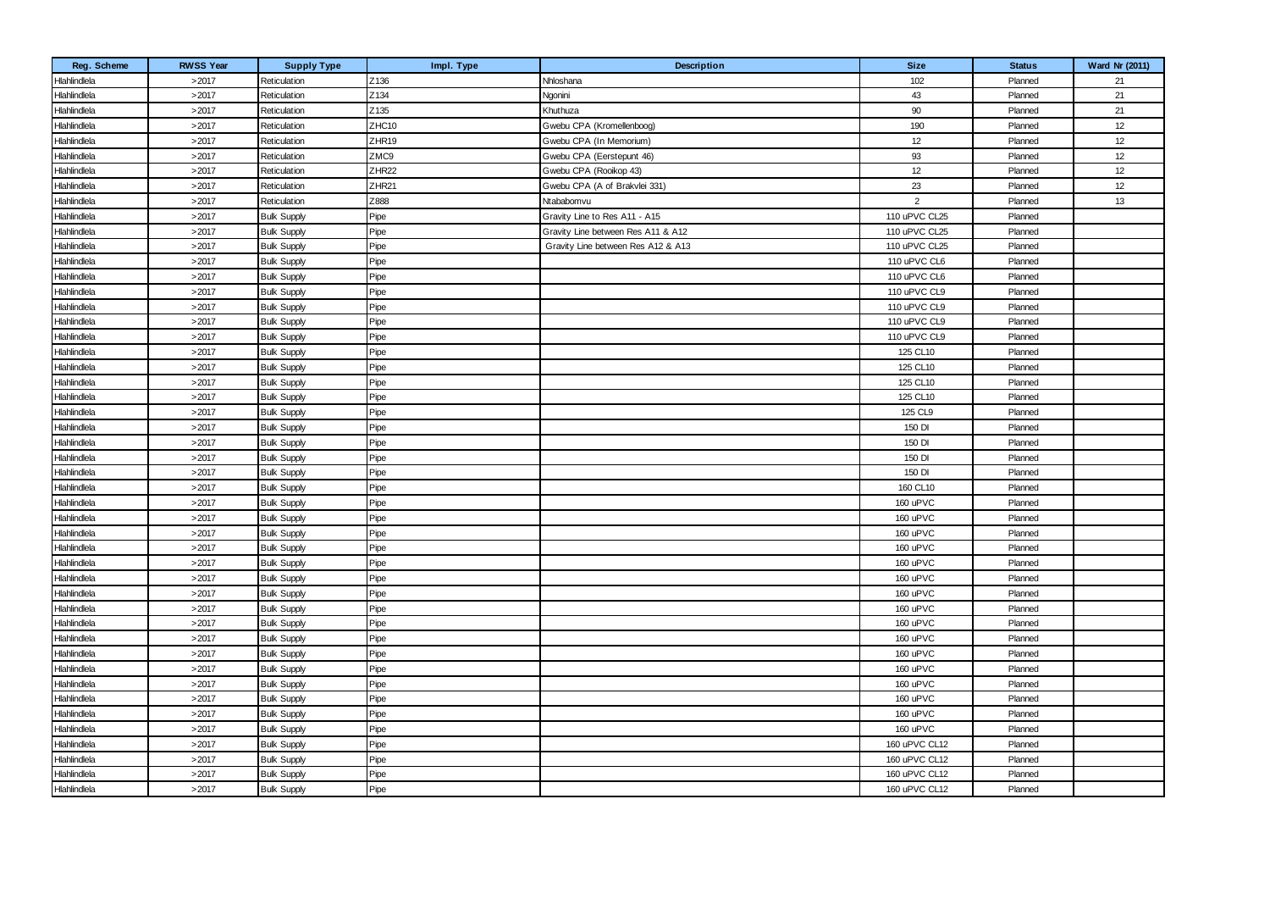| Reg. Scheme  | <b>RWSS Year</b> | <b>Supply Type</b> | Impl. Type        | Description                        | <b>Size</b>    | <b>Status</b> | <b>Ward Nr (2011)</b> |
|--------------|------------------|--------------------|-------------------|------------------------------------|----------------|---------------|-----------------------|
| Hlahlindlela | >2017            | Reticulation       | Z136              | Nhloshana                          | 102            | Planned       | 21                    |
| Hlahlindlela | >2017            | Reticulation       | Z134              | Ngonini                            | 43             | Planned       | 21                    |
| Hlahlindlela | >2017            | Reticulation       | Z135              | Khuthuza                           | 90             | Planned       | 21                    |
| Hlahlindlela | >2017            | Reticulation       | ZHC10             | Gwebu CPA (Kromellenboog)          | 190            | Planned       | 12                    |
| Hlahlindlela | >2017            | Reticulation       | ZHR19             | Gwebu CPA (In Memorium)            | 12             | Planned       | 12                    |
| Hlahlindlela | >2017            | Reticulation       | ZMC9              | Gwebu CPA (Eerstepunt 46)          | 93             | Planned       | 12                    |
| Hlahlindlela | >2017            | Reticulation       | ZHR <sub>22</sub> | Gwebu CPA (Rooikop 43)             | 12             | Planned       | 12                    |
| Hlahlindlela | >2017            | Reticulation       | ZHR <sub>21</sub> | Gwebu CPA (A of Brakvlei 331)      | 23             | Planned       | 12                    |
| Hlahlindlela | >2017            | Reticulation       | Z888              | Ntababomvu                         | $\overline{2}$ | Planned       | 13                    |
| Hlahlindlela | >2017            | <b>Bulk Supply</b> | Pipe              | Gravity Line to Res A11 - A15      | 110 uPVC CL25  | Planned       |                       |
| Hlahlindlela | >2017            | <b>Bulk Supply</b> | Pipe              | Gravity Line between Res A11 & A12 | 110 uPVC CL25  | Planned       |                       |
| Hlahlindlela | >2017            | <b>Bulk Supply</b> | Pipe              | Gravity Line between Res A12 & A13 | 110 uPVC CL25  | Planned       |                       |
| Hlahlindlela | >2017            | <b>Bulk Supply</b> | Pipe              |                                    | 110 uPVC CL6   | Planned       |                       |
| Hlahlindlela | >2017            | <b>Bulk Supply</b> | Pipe              |                                    | 110 uPVC CL6   | Planned       |                       |
| Hlahlindlela | >2017            | <b>Bulk Supply</b> | Pipe              |                                    | 110 uPVC CL9   | Planned       |                       |
| Hlahlindlela | >2017            | <b>Bulk Supply</b> | Pipe              |                                    | 110 uPVC CL9   | Planned       |                       |
| Hlahlindlela | >2017            | <b>Bulk Supply</b> | Pipe              |                                    | 110 uPVC CL9   | Planned       |                       |
| Hlahlindlela | >2017            | <b>Bulk Supply</b> | Pipe              |                                    | 110 uPVC CL9   | Planned       |                       |
| Hlahlindlela | >2017            | <b>Bulk Supply</b> | Pipe              |                                    | 125 CL10       | Planned       |                       |
| Hlahlindlela | >2017            | <b>Bulk Supply</b> | Pipe              |                                    | 125 CL10       | Planned       |                       |
| Hlahlindlela | >2017            | <b>Bulk Supply</b> | Pipe              |                                    | 125 CL10       | Planned       |                       |
| Hlahlindlela | >2017            | <b>Bulk Supply</b> | Pipe              |                                    | 125 CL10       | Planned       |                       |
| Hlahlindlela | >2017            | <b>Bulk Supply</b> | Pipe              |                                    | 125 CL9        | Planned       |                       |
| Hlahlindlela | >2017            | <b>Bulk Supply</b> | Pipe              |                                    | 150 DI         | Planned       |                       |
| Hlahlindlela | >2017            | <b>Bulk Supply</b> | Pipe              |                                    | 150 DI         | Planned       |                       |
| Hlahlindlela | >2017            | <b>Bulk Supply</b> | Pipe              |                                    | 150 DI         | Planned       |                       |
| Hlahlindlela | >2017            | <b>Bulk Supply</b> | Pipe              |                                    | 150 DI         | Planned       |                       |
| Hlahlindlela | >2017            | <b>Bulk Supply</b> | Pipe              |                                    | 160 CL10       | Planned       |                       |
| Hlahlindlela | >2017            | <b>Bulk Supply</b> | Pipe              |                                    | 160 uPVC       | Planned       |                       |
| Hlahlindlela | >2017            | <b>Bulk Supply</b> | Pipe              |                                    | 160 uPVC       | Planned       |                       |
| Hlahlindlela | >2017            | <b>Bulk Supply</b> | Pipe              |                                    | 160 uPVC       | Planned       |                       |
| Hlahlindlela | >2017            | <b>Bulk Supply</b> | Pipe              |                                    | 160 uPVC       | Planned       |                       |
| Hlahlindlela | >2017            | <b>Bulk Supply</b> | Pipe              |                                    | 160 uPVC       | Planned       |                       |
| Hlahlindlela | >2017            | <b>Bulk Supply</b> | Pipe              |                                    | 160 uPVC       | Planned       |                       |
| Hlahlindlela | >2017            | <b>Bulk Supply</b> | Pipe              |                                    | 160 uPVC       | Planned       |                       |
| Hlahlindlela | >2017            | <b>Bulk Supply</b> | Pipe              |                                    | 160 uPVC       | Planned       |                       |
| Hlahlindlela | >2017            | <b>Bulk Supply</b> | Pipe              |                                    | 160 uPVC       | Planned       |                       |
| Hlahlindlela | >2017            | <b>Bulk Supply</b> | Pipe              |                                    | 160 uPVC       | Planned       |                       |
| Hlahlindlela | >2017            | <b>Bulk Supply</b> | Pipe              |                                    | 160 uPVC       | Planned       |                       |
| Hlahlindlela | >2017            | <b>Bulk Supply</b> | Pipe              |                                    | 160 uPVC       | Planned       |                       |
| Hlahlindlela | >2017            | <b>Bulk Supply</b> | Pipe              |                                    | 160 uPVC       | Planned       |                       |
| Hlahlindlela | >2017            | <b>Bulk Supply</b> | Pipe              |                                    | 160 uPVC       | Planned       |                       |
| Hlahlindlela | >2017            | <b>Bulk Supply</b> | Pipe              |                                    | 160 uPVC       | Planned       |                       |
| Hlahlindlela | >2017            | <b>Bulk Supply</b> | Pipe              |                                    | 160 uPVC       | Planned       |                       |
| Hlahlindlela | >2017            | <b>Bulk Supply</b> | Pipe              |                                    | 160 uPVC CL12  | Planned       |                       |
| Hlahlindlela | >2017            | <b>Bulk Supply</b> | Pipe              |                                    | 160 uPVC CL12  | Planned       |                       |
| Hlahlindlela | >2017            | <b>Bulk Supply</b> | Pipe              |                                    | 160 uPVC CL12  | Planned       |                       |
| Hlahlindlela | >2017            | <b>Bulk Supply</b> | Pipe              |                                    | 160 uPVC CL12  | Planned       |                       |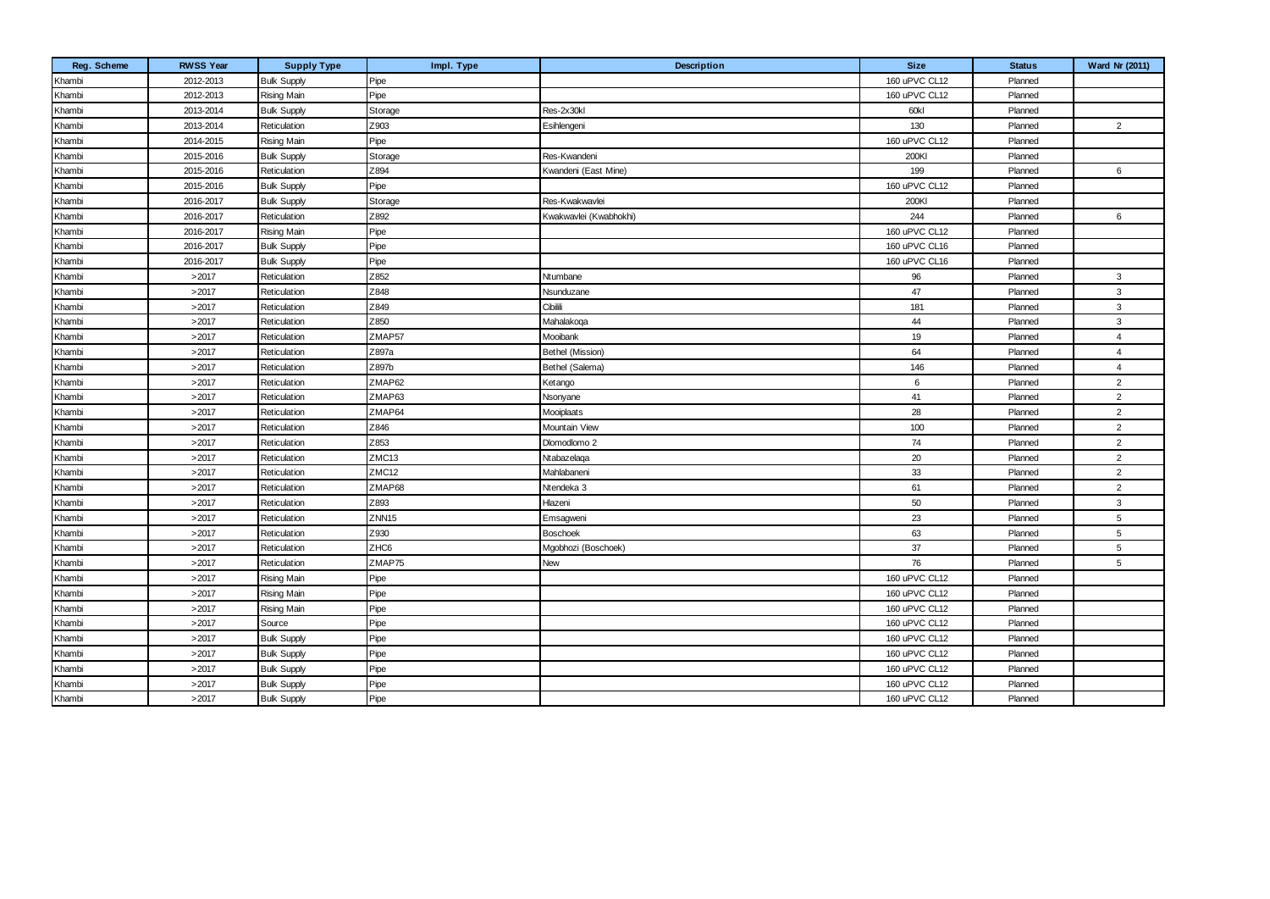| Reg. Scheme | <b>RWSS Year</b> | <b>Supply Type</b> | Impl. Type        | Description            | <b>Size</b>   | <b>Status</b> | Ward Nr (2011)  |
|-------------|------------------|--------------------|-------------------|------------------------|---------------|---------------|-----------------|
| Khambi      | 2012-2013        | <b>Bulk Supply</b> | Pipe              |                        | 160 uPVC CL12 | Planned       |                 |
| Khambi      | 2012-2013        | Rising Main        | Pipe              |                        | 160 uPVC CL12 | Planned       |                 |
| Khambi      | 2013-2014        | <b>Bulk Supply</b> | Storage           | Res-2x30kl             | 60kl          | Planned       |                 |
| Khambi      | 2013-2014        | Reticulation       | Z903              | Esihlengeni            | 130           | Planned       | $\overline{2}$  |
| Khambi      | 2014-2015        | <b>Rising Main</b> | Pipe              |                        | 160 uPVC CL12 | Planned       |                 |
| Khambi      | 2015-2016        | <b>Bulk Supply</b> | Storage           | Res-Kwandeni           | 200KI         | Planned       |                 |
| Khambi      | 2015-2016        | Reticulation       | Z894              | Kwandeni (East Mine)   | 199           | Planned       | $6\phantom{.}6$ |
| Khambi      | 2015-2016        | <b>Bulk Supply</b> | Pipe              |                        | 160 uPVC CL12 | Planned       |                 |
| Khambi      | 2016-2017        | <b>Bulk Supply</b> | Storage           | Res-Kwakwavlei         | 200KI         | Planned       |                 |
| Khambi      | 2016-2017        | Reticulation       | Z892              | Kwakwavlei (Kwabhokhi) | 244           | Planned       | 6               |
| Khambi      | 2016-2017        | <b>Rising Main</b> | Pipe              |                        | 160 uPVC CL12 | Planned       |                 |
| Khambi      | 2016-2017        | <b>Bulk Supply</b> | Pipe              |                        | 160 uPVC CL16 | Planned       |                 |
| Khambi      | 2016-2017        | <b>Bulk Supply</b> | Pipe              |                        | 160 uPVC CL16 | Planned       |                 |
| Khambi      | >2017            | Reticulation       | Z852              | Ntumbane               | 96            | Planned       | 3               |
| Khambi      | >2017            | Reticulation       | Z848              | Nsunduzane             | 47            | Planned       | 3               |
| Khambi      | >2017            | Reticulation       | Z849              | Cibilili               | 181           | Planned       | $\mathbf{3}$    |
| Khambi      | >2017            | Reticulation       | Z850              | Mahalakoga             | 44            | Planned       | $\mathbf{3}$    |
| Khambi      | >2017            | Reticulation       | ZMAP57            | Mooibank               | 19            | Planned       | $\overline{4}$  |
| Khambi      | >2017            | Reticulation       | Z897a             | Bethel (Mission)       | 64            | Planned       | $\overline{4}$  |
| Khambi      | >2017            | Reticulation       | Z897b             | Bethel (Salema)        | 146           | Planned       | $\overline{4}$  |
| Khambi      | >2017            | Reticulation       | ZMAP62            | Ketango                | 6             | Planned       | $\overline{2}$  |
| Khambi      | >2017            | Reticulation       | ZMAP63            | Nsonyane               | 41            | Planned       | 2               |
| Khambi      | >2017            | Reticulation       | ZMAP64            | Mooiplaats             | 28            | Planned       | $\overline{2}$  |
| Khambi      | >2017            | Reticulation       | Z846              | Mountain View          | 100           | Planned       | $\overline{2}$  |
| Khambi      | >2017            | Reticulation       | Z853              | Dlomodlomo 2           | 74            | Planned       | $\overline{2}$  |
| Khambi      | >2017            | Reticulation       | ZMC13             | Ntabazelaqa            | 20            | Planned       | 2               |
| Khambi      | >2017            | Reticulation       | ZMC12             | Mahlabaneni            | 33            | Planned       | $\overline{2}$  |
| Khambi      | >2017            | Reticulation       | ZMAP68            | Ntendeka 3             | 61            | Planned       | $\overline{2}$  |
| Khambi      | >2017            | Reticulation       | Z893              | Hlazeni                | 50            | Planned       | 3               |
| Khambi      | >2017            | Reticulation       | ZNN <sub>15</sub> | Emsagweni              | 23            | Planned       | $5\phantom{.0}$ |
| Khambi      | >2017            | Reticulation       | Z930              | <b>Boschoek</b>        | 63            | Planned       | $\,$ 5 $\,$     |
| Khambi      | >2017            | Reticulation       | ZHC6              | Mgobhozi (Boschoek)    | 37            | Planned       | $5\phantom{.0}$ |
| Khambi      | >2017            | Reticulation       | ZMAP75            | New                    | 76            | Planned       | 5               |
| Khambi      | >2017            | <b>Rising Main</b> | Pipe              |                        | 160 uPVC CL12 | Planned       |                 |
| Khambi      | >2017            | <b>Rising Main</b> | Pipe              |                        | 160 uPVC CL12 | Planned       |                 |
| Khambi      | >2017            | <b>Rising Main</b> | Pipe              |                        | 160 uPVC CL12 | Planned       |                 |
| Khambi      | >2017            | Source             | Pipe              |                        | 160 uPVC CL12 | Planned       |                 |
| Khambi      | >2017            | <b>Bulk Supply</b> | Pipe              |                        | 160 uPVC CL12 | Planned       |                 |
| Khambi      | >2017            | <b>Bulk Supply</b> | Pipe              |                        | 160 uPVC CL12 | Planned       |                 |
| Khambi      | >2017            | <b>Bulk Supply</b> | Pipe              |                        | 160 uPVC CL12 | Planned       |                 |
| Khambi      | >2017            | <b>Bulk Supply</b> | Pipe              |                        | 160 uPVC CL12 | Planned       |                 |
| Khambi      | >2017            | <b>Bulk Supply</b> | Pipe              |                        | 160 uPVC CL12 | Planned       |                 |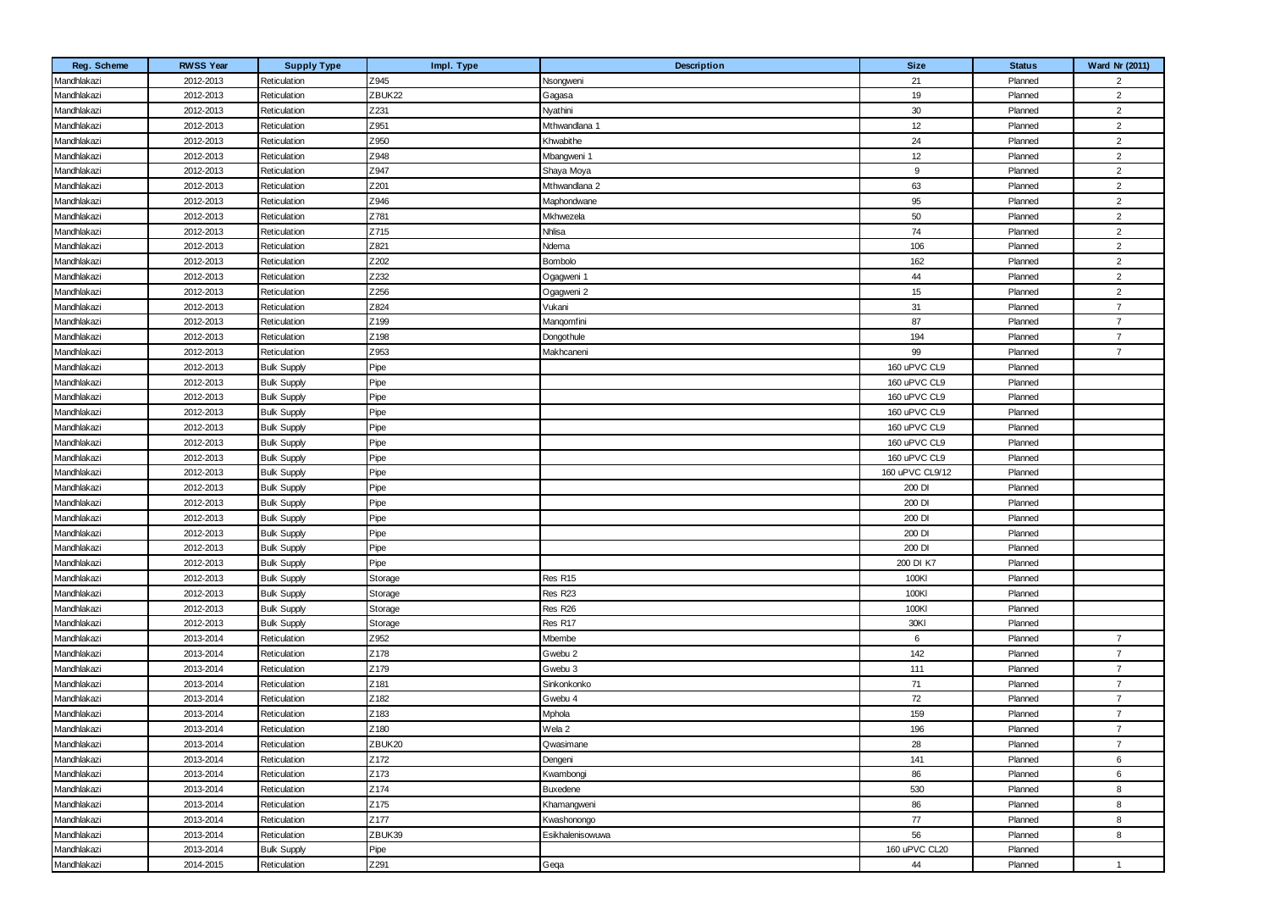| Reg. Scheme | <b>RWSS Year</b> | <b>Supply Type</b> | Impl. Type | <b>Description</b>  | <b>Size</b>     | <b>Status</b> | <b>Ward Nr (2011)</b> |
|-------------|------------------|--------------------|------------|---------------------|-----------------|---------------|-----------------------|
| Mandhlakazi | 2012-2013        | Reticulation       | Z945       | Nsongweni           | 21              | Planned       | $\overline{2}$        |
| Mandhlakazi | 2012-2013        | Reticulation       | ZBUK22     | Gagasa              | 19              | Planned       | $\overline{2}$        |
| Mandhlakazi | 2012-2013        | Reticulation       | Z231       | Nyathini            | 30              | Planned       | $\overline{2}$        |
| Mandhlakazi | 2012-2013        | Reticulation       | Z951       | Mthwandlana 1       | 12              | Planned       | $\overline{2}$        |
| Mandhlakazi | 2012-2013        | Reticulation       | Z950       | Khwabithe           | 24              | Planned       | $\overline{2}$        |
| Mandhlakazi | 2012-2013        | Reticulation       | Z948       | Mbangweni 1         | 12              | Planned       | $\overline{2}$        |
| Mandhlakazi | 2012-2013        | Reticulation       | Z947       | Shaya Moya          | 9               | Planned       | $\overline{2}$        |
| Mandhlakazi | 2012-2013        | Reticulation       | Z201       | Mthwandlana 2       | 63              | Planned       | $\overline{2}$        |
| Mandhlakazi | 2012-2013        | Reticulation       | Z946       | Maphondwane         | 95              | Planned       | $\overline{2}$        |
| Mandhlakazi | 2012-2013        | Reticulation       | Z781       | Mkhwezela           | 50              | Planned       | $\overline{2}$        |
| Mandhlakazi | 2012-2013        | Reticulation       | Z715       | Nhlisa              | 74              | Planned       | $\overline{2}$        |
| Mandhlakazi | 2012-2013        | Reticulation       | Z821       | Ndema               | 106             | Planned       | $\overline{2}$        |
| Mandhlakazi | 2012-2013        | Reticulation       | Z202       | Bombolo             | 162             | Planned       | $\overline{2}$        |
| Mandhlakazi | 2012-2013        | Reticulation       | Z232       | Ogagweni 1          | 44              | Planned       | $\overline{2}$        |
| Mandhlakazi | 2012-2013        | Reticulation       | Z256       | Ogagweni 2          | 15              | Planned       | $\overline{2}$        |
| Mandhlakazi | 2012-2013        | Reticulation       | Z824       | Vukani              | 31              | Planned       | $\overline{7}$        |
| Mandhlakazi | 2012-2013        | Reticulation       | Z199       | Mangomfini          | 87              | Planned       | $\overline{7}$        |
| Mandhlakazi | 2012-2013        | Reticulation       | Z198       | Dongothule          | 194             | Planned       | $\overline{7}$        |
| Mandhlakazi | 2012-2013        | Reticulation       | Z953       | Makhcaneni          | 99              | Planned       | $\overline{7}$        |
| Mandhlakazi | 2012-2013        | <b>Bulk Supply</b> | Pipe       |                     | 160 uPVC CL9    | Planned       |                       |
| Mandhlakazi | 2012-2013        | <b>Bulk Supply</b> | Pipe       |                     | 160 uPVC CL9    | Planned       |                       |
| Mandhlakazi | 2012-2013        | <b>Bulk Supply</b> | Pipe       |                     | 160 uPVC CL9    | Planned       |                       |
| Mandhlakazi | 2012-2013        | <b>Bulk Supply</b> | Pipe       |                     | 160 uPVC CL9    | Planned       |                       |
| Mandhlakazi | 2012-2013        | <b>Bulk Supply</b> | Pipe       |                     | 160 uPVC CL9    | Planned       |                       |
| Mandhlakazi | 2012-2013        | <b>Bulk Supply</b> | Pipe       |                     | 160 uPVC CL9    | Planned       |                       |
| Mandhlakazi | 2012-2013        | <b>Bulk Supply</b> | Pipe       |                     | 160 uPVC CL9    | Planned       |                       |
| Mandhlakazi | 2012-2013        | <b>Bulk Supply</b> | Pipe       |                     | 160 uPVC CL9/12 | Planned       |                       |
| Mandhlakazi | 2012-2013        | <b>Bulk Supply</b> | Pipe       |                     | 200 DI          | Planned       |                       |
| Mandhlakazi | 2012-2013        | <b>Bulk Supply</b> | Pipe       |                     | 200 DI          | Planned       |                       |
| Mandhlakazi | 2012-2013        | <b>Bulk Supply</b> | Pipe       |                     | 200 DI          | Planned       |                       |
| Mandhlakazi | 2012-2013        | <b>Bulk Supply</b> | Pipe       |                     | 200 DI          | Planned       |                       |
| Mandhlakazi | 2012-2013        | <b>Bulk Supply</b> | Pipe       |                     | 200 DI          | Planned       |                       |
| Mandhlakazi | 2012-2013        | <b>Bulk Supply</b> | Pipe       |                     | 200 DI K7       | Planned       |                       |
| Mandhlakazi | 2012-2013        | <b>Bulk Supply</b> | Storage    | Res R <sub>15</sub> | 100KI           | Planned       |                       |
| Mandhlakazi | 2012-2013        | <b>Bulk Supply</b> | Storage    | Res R23             | 100KI           | Planned       |                       |
| Mandhlakazi | 2012-2013        | <b>Bulk Supply</b> | Storage    | Res R26             | 100KI           | Planned       |                       |
| Mandhlakazi | 2012-2013        | <b>Bulk Supply</b> | Storage    | Res R17             | 30KI            | Planned       |                       |
| Mandhlakazi | 2013-2014        | Reticulation       | Z952       | Mbembe              | 6               | Planned       | $\overline{7}$        |
| Mandhlakazi | 2013-2014        | Reticulation       | Z178       | Gwebu 2             | 142             | Planned       | $\overline{7}$        |
| Mandhlakazi | 2013-2014        | Reticulation       | Z179       | Gwebu 3             | 111             | Planned       | $\overline{7}$        |
| Mandhlakazi | 2013-2014        | Reticulation       | Z181       | Sinkonkonko         | 71              | Planned       | $\overline{7}$        |
| Mandhlakazi | 2013-2014        | Reticulation       | Z182       | Gwebu 4             | 72              | Planned       | $\overline{7}$        |
| Mandhlakazi | 2013-2014        | Reticulation       | Z183       | Mphola              | 159             | Planned       | $\overline{7}$        |
| Mandhlakazi | 2013-2014        | Reticulation       | Z180       | Wela 2              | 196             | Planned       | $\overline{7}$        |
| Mandhlakazi | 2013-2014        | Reticulation       | ZBUK20     | Qwasimane           | 28              | Planned       | $\overline{7}$        |
| Mandhlakazi | 2013-2014        | Reticulation       | Z172       | Dengeni             | 141             | Planned       | 6                     |
| Mandhlakazi | 2013-2014        | Reticulation       | Z173       | Kwambongi           | 86              | Planned       | 6                     |
| Mandhlakazi | 2013-2014        | Reticulation       | Z174       | Buxedene            | 530             | Planned       | 8                     |
| Mandhlakazi | 2013-2014        | Reticulation       | Z175       | Khamangweni         | 86              | Planned       | 8                     |
| Mandhlakazi | 2013-2014        | Reticulation       | Z177       | Kwashonongo         | 77              | Planned       | 8                     |
| Mandhlakazi | 2013-2014        | Reticulation       | ZBUK39     | Esikhalenisowuwa    | 56              | Planned       | 8                     |
| Mandhlakazi | 2013-2014        | <b>Bulk Supply</b> | Pipe       |                     | 160 uPVC CL20   | Planned       |                       |
| Mandhlakazi | 2014-2015        | Reticulation       | Z291       | Geqa                | 44              | Planned       | $\mathbf{1}$          |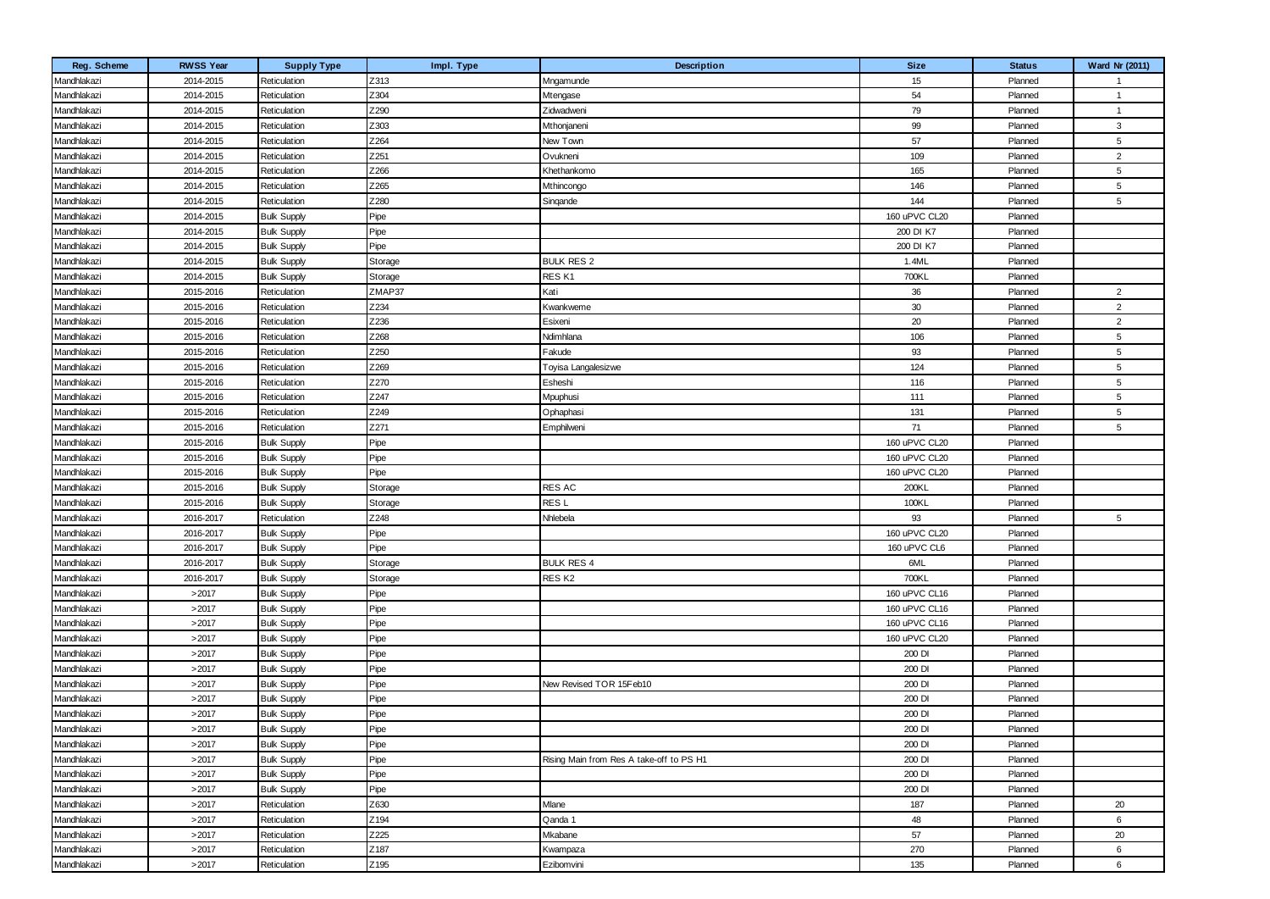| Reg. Scheme | <b>RWSS Year</b> | <b>Supply Type</b> | Impl. Type | Description                              | <b>Size</b>   | <b>Status</b> | Ward Nr (2011)  |
|-------------|------------------|--------------------|------------|------------------------------------------|---------------|---------------|-----------------|
| Mandhlakazi | 2014-2015        | Reticulation       | Z313       | Mngamunde                                | 15            | Planned       | -1              |
| Mandhlakazi | 2014-2015        | Reticulation       | Z304       | Mtengase                                 | 54            | Planned       | $\overline{1}$  |
| Mandhlakazi | 2014-2015        | Reticulation       | Z290       | Zidwadweni                               | 79            | Planned       | -1              |
| Mandhlakazi | 2014-2015        | Reticulation       | Z303       | Mthonjaneni                              | 99            | Planned       | $\mathbf{3}$    |
| Mandhlakazi | 2014-2015        | Reticulation       | Z264       | New Town                                 | 57            | Planned       | 5               |
| Mandhlakazi | 2014-2015        | Reticulation       | Z251       | Ovukneni                                 | 109           | Planned       | $\overline{2}$  |
| Mandhlakazi | 2014-2015        | Reticulation       | Z266       | Khethankomo                              | 165           | Planned       | 5               |
| Mandhlakazi | 2014-2015        | Reticulation       | Z265       | Mthincongo                               | 146           | Planned       | 5               |
| Mandhlakazi | 2014-2015        | Reticulation       | Z280       | Singande                                 | 144           | Planned       | 5               |
| Mandhlakazi | 2014-2015        | <b>Bulk Supply</b> | Pipe       |                                          | 160 uPVC CL20 | Planned       |                 |
| Mandhlakazi | 2014-2015        | <b>Bulk Supply</b> | Pipe       |                                          | 200 DI K7     | Planned       |                 |
| Mandhlakazi | 2014-2015        | <b>Bulk Supply</b> | Pipe       |                                          | 200 DI K7     | Planned       |                 |
| Mandhlakazi | 2014-2015        | <b>Bulk Supply</b> | Storage    | <b>BULK RES 2</b>                        | 1.4ML         | Planned       |                 |
| Mandhlakazi | 2014-2015        | <b>Bulk Supply</b> | Storage    | RES <sub>K1</sub>                        | 700KL         | Planned       |                 |
| Mandhlakazi | 2015-2016        | Reticulation       | ZMAP37     | Kati                                     | 36            | Planned       | $\overline{2}$  |
| Mandhlakazi | 2015-2016        | Reticulation       | Z234       | Kwankweme                                | 30            | Planned       | $\overline{2}$  |
| Mandhlakazi | 2015-2016        | Reticulation       | Z236       | Esixeni                                  | 20            | Planned       | $\overline{2}$  |
| Mandhlakazi | 2015-2016        | Reticulation       | Z268       | Ndimhlana                                | 106           | Planned       | $5\phantom{.0}$ |
| Mandhlakazi | 2015-2016        | Reticulation       | Z250       | Fakude                                   | 93            | Planned       | 5               |
| Mandhlakazi | 2015-2016        | Reticulation       | Z269       | Toyisa Langalesizwe                      | 124           | Planned       | 5               |
| Mandhlakazi | 2015-2016        | Reticulation       | Z270       | Esheshi                                  | 116           | Planned       | 5               |
| Mandhlakazi | 2015-2016        | Reticulation       | Z247       | Mpuphusi                                 | 111           | Planned       | 5               |
| Mandhlakazi | 2015-2016        | Reticulation       | Z249       | Ophaphasi                                | 131           | Planned       | 5               |
| Mandhlakazi | 2015-2016        | Reticulation       | Z271       | Emphilweni                               | 71            | Planned       | 5               |
| Mandhlakazi | 2015-2016        | <b>Bulk Supply</b> | Pipe       |                                          | 160 uPVC CL20 | Planned       |                 |
| Mandhlakazi | 2015-2016        | <b>Bulk Supply</b> | Pipe       |                                          | 160 uPVC CL20 | Planned       |                 |
| Mandhlakazi | 2015-2016        | <b>Bulk Supply</b> | Pipe       |                                          | 160 uPVC CL20 | Planned       |                 |
| Mandhlakazi | 2015-2016        | <b>Bulk Supply</b> | Storage    | <b>RES AC</b>                            | 200KL         | Planned       |                 |
| Mandhlakazi | 2015-2016        | <b>Bulk Supply</b> | Storage    | RES <sub>L</sub>                         | 100KL         | Planned       |                 |
| Mandhlakazi | 2016-2017        | Reticulation       | Z248       | Nhlebela                                 | 93            | Planned       | 5               |
| Mandhlakazi | 2016-2017        | <b>Bulk Supply</b> | Pipe       |                                          | 160 uPVC CL20 | Planned       |                 |
| Mandhlakazi | 2016-2017        | <b>Bulk Supply</b> | Pipe       |                                          | 160 uPVC CL6  | Planned       |                 |
| Mandhlakazi | 2016-2017        | <b>Bulk Supply</b> | Storage    | <b>BULK RES 4</b>                        | 6ML           | Planned       |                 |
| Mandhlakazi | 2016-2017        | <b>Bulk Supply</b> | Storage    | RES <sub>K2</sub>                        | 700KL         | Planned       |                 |
| Mandhlakazi | >2017            | <b>Bulk Supply</b> | Pipe       |                                          | 160 uPVC CL16 | Planned       |                 |
| Mandhlakazi | >2017            | <b>Bulk Supply</b> | Pipe       |                                          | 160 uPVC CL16 | Planned       |                 |
| Mandhlakazi | >2017            | <b>Bulk Supply</b> | Pipe       |                                          | 160 uPVC CL16 | Planned       |                 |
| Mandhlakazi | >2017            | <b>Bulk Supply</b> | Pipe       |                                          | 160 uPVC CL20 | Planned       |                 |
| Mandhlakazi | >2017            | <b>Bulk Supply</b> | Pipe       |                                          | 200 DI        | Planned       |                 |
| Mandhlakazi | >2017            | <b>Bulk Supply</b> | Pipe       |                                          | 200 DI        | Planned       |                 |
| Mandhlakazi | >2017            | <b>Bulk Supply</b> | Pipe       | New Revised TOR 15Feb10                  | 200 DI        | Planned       |                 |
| Mandhlakazi | >2017            | Bulk Supply        | Pipe       |                                          | 200 DI        | Planned       |                 |
| Mandhlakazi | >2017            | <b>Bulk Supply</b> | Pipe       |                                          | 200 DI        | Planned       |                 |
| Mandhlakazi | >2017            | <b>Bulk Supply</b> | Pipe       |                                          | 200 DI        | Planned       |                 |
| Mandhlakazi | >2017            | <b>Bulk Supply</b> | Pipe       |                                          | 200 DI        | Planned       |                 |
| Mandhlakazi | >2017            | <b>Bulk Supply</b> | Pipe       | Rising Main from Res A take-off to PS H1 | 200 DI        | Planned       |                 |
| Mandhlakazi | >2017            | <b>Bulk Supply</b> | Pipe       |                                          | 200 DI        | Planned       |                 |
| Mandhlakazi | >2017            | <b>Bulk Supply</b> | Pipe       |                                          | 200 DI        | Planned       |                 |
| Mandhlakazi | >2017            | Reticulation       | Z630       | Mlane                                    | 187           | Planned       | 20              |
| Mandhlakazi | >2017            | Reticulation       | Z194       | Qanda 1                                  | 48            | Planned       | 6               |
| Mandhlakazi | >2017            | Reticulation       | Z225       | Mkabane                                  | 57            | Planned       | 20              |
| Mandhlakazi | >2017            | Reticulation       | Z187       | Kwampaza                                 | 270           | Planned       | 6               |
| Mandhlakazi | >2017            | Reticulation       | Z195       | Ezibomvini                               | 135           | Planned       | 6               |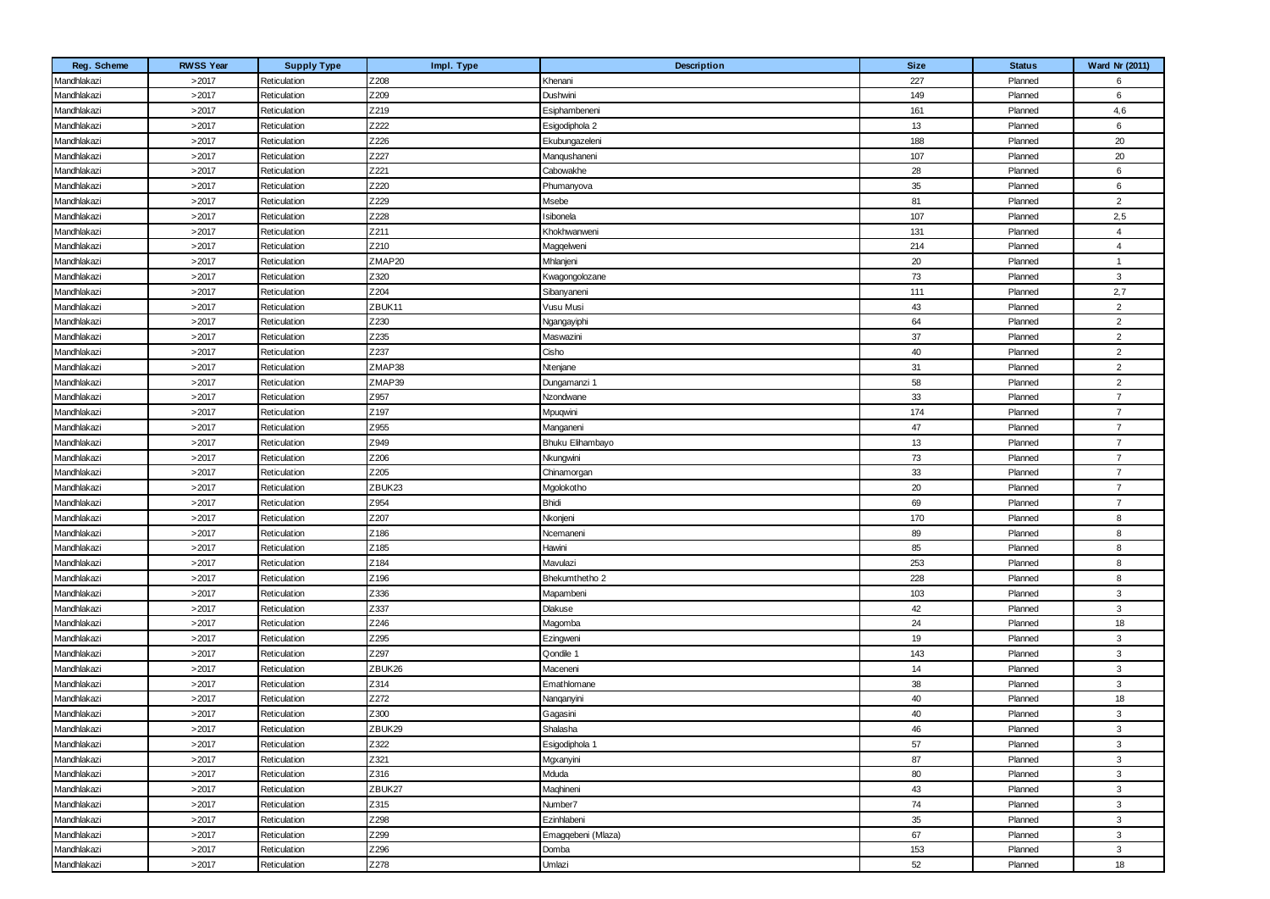| Reg. Scheme | <b>RWSS Year</b> | <b>Supply Type</b> | Impl. Type | Description        | <b>Size</b> | <b>Status</b> | Ward Nr (2011) |
|-------------|------------------|--------------------|------------|--------------------|-------------|---------------|----------------|
| Mandhlakazi | >2017            | Reticulation       | Z208       | Khenani            | 227         | Planned       | 6              |
| Mandhlakazi | >2017            | Reticulation       | Z209       | Dushwini           | 149         | Planned       | 6              |
| Mandhlakazi | >2017            | Reticulation       | Z219       | Esiphambeneni      | 161         | Planned       | 4,6            |
| Mandhlakazi | >2017            | Reticulation       | Z222       | Esigodiphola 2     | 13          | Planned       | 6              |
| Mandhlakazi | >2017            | Reticulation       | Z226       | Ekubungazeleni     | 188         | Planned       | 20             |
| Mandhlakazi | >2017            | Reticulation       | Z227       | Manqushaneni       | 107         | Planned       | 20             |
| Mandhlakazi | >2017            | Reticulation       | Z221       | Cabowakhe          | 28          | Planned       | 6              |
| Mandhlakazi | >2017            | Reticulation       | Z220       | Phumanyova         | $35\,$      | Planned       | 6              |
| Mandhlakazi | >2017            | Reticulation       | Z229       | Msebe              | 81          | Planned       | $\overline{2}$ |
| Mandhlakazi | >2017            | Reticulation       | Z228       | <b>Isibonela</b>   | 107         | Planned       | 2,5            |
| Mandhlakazi | >2017            | Reticulation       | Z211       | Khokhwanweni       | 131         | Planned       | $\overline{4}$ |
| Mandhlakazi | >2017            | Reticulation       | Z210       | Maggelweni         | 214         | Planned       | $\overline{4}$ |
| Mandhlakazi | >2017            | Reticulation       | ZMAP20     | Mhlanjeni          | 20          | Planned       | $\overline{1}$ |
| Mandhlakazi | >2017            | Reticulation       | Z320       | Kwagongolozane     | 73          | Planned       | 3              |
| Mandhlakazi | >2017            | Reticulation       | Z204       | Sibanyaneni        | 111         | Planned       | 2,7            |
| Mandhlakazi | >2017            | Reticulation       | ZBUK11     | Vusu Musi          | 43          | Planned       | $\overline{2}$ |
| Mandhlakazi | >2017            | Reticulation       | Z230       | Ngangayiphi        | 64          | Planned       | $\overline{2}$ |
| Mandhlakazi | >2017            | Reticulation       | Z235       | Maswazini          | 37          | Planned       | $\overline{2}$ |
| Mandhlakazi | >2017            | Reticulation       | Z237       | Cisho              | 40          | Planned       | $\overline{2}$ |
| Mandhlakazi | >2017            | Reticulation       | ZMAP38     | Ntenjane           | 31          | Planned       | $\overline{2}$ |
| Mandhlakazi | >2017            | Reticulation       | ZMAP39     | Dungamanzi 1       | 58          | Planned       | $\overline{2}$ |
| Mandhlakazi | >2017            | Reticulation       | Z957       | Nzondwane          | 33          | Planned       | $\overline{7}$ |
| Mandhlakazi | >2017            | Reticulation       | Z197       | Mpuqwini           | 174         | Planned       | $\overline{7}$ |
| Mandhlakazi | >2017            | Reticulation       | Z955       | Manganeni          | 47          | Planned       | $\overline{7}$ |
| Mandhlakazi | >2017            | Reticulation       | Z949       | Bhuku Elihambayo   | 13          | Planned       | $\overline{7}$ |
| Mandhlakazi | >2017            | Reticulation       | Z206       | Nkungwini          | 73          | Planned       | $\overline{7}$ |
| Mandhlakazi | >2017            | Reticulation       | Z205       | Chinamorgan        | 33          | Planned       | $\overline{7}$ |
| Mandhlakazi | >2017            | Reticulation       | ZBUK23     | Mgolokotho         | 20          | Planned       | $\overline{7}$ |
| Mandhlakazi | >2017            | Reticulation       | Z954       | <b>Bhidi</b>       | 69          | Planned       | $\overline{7}$ |
| Mandhlakazi | >2017            | Reticulation       | Z207       | Nkonjeni           | 170         | Planned       | 8              |
| Mandhlakazi | >2017            | Reticulation       | Z186       | Ncemaneni          | 89          | Planned       | 8              |
| Mandhlakazi | >2017            | Reticulation       | Z185       | Hawini             | 85          | Planned       | 8              |
| Mandhlakazi | >2017            | Reticulation       | Z184       | Mavulazi           | 253         | Planned       | 8              |
| Mandhlakazi | >2017            | Reticulation       | Z196       | Bhekumthetho 2     | 228         | Planned       | 8              |
| Mandhlakazi | >2017            | Reticulation       | Z336       | Mapambeni          | 103         | Planned       | 3              |
| Mandhlakazi | >2017            | Reticulation       | Z337       | Dlakuse            | 42          | Planned       | 3              |
| Mandhlakazi | >2017            | Reticulation       | Z246       | Magomba            | 24          | Planned       | 18             |
| Mandhlakazi | >2017            | Reticulation       | Z295       | Ezingweni          | 19          | Planned       | 3              |
| Mandhlakazi | >2017            | Reticulation       | Z297       | Qondile 1          | 143         | Planned       | 3              |
| Mandhlakazi | >2017            | Reticulation       | ZBUK26     | Maceneni           | 14          | Planned       | 3              |
| Mandhlakazi | >2017            | Reticulation       | Z314       | Emathlomane        | 38          | Planned       | 3              |
| Mandhlakazi | >2017            | Reticulation       | Z272       | Nanqanyini         | 40          | Planned       | 18             |
| Mandhlakazi | >2017            | Reticulation       | Z300       | Gagasini           | 40          | Planned       | 3              |
| Mandhlakazi | >2017            | Reticulation       | ZBUK29     | Shalasha           | 46          | Planned       | 3              |
| Mandhlakazi | >2017            | Reticulation       | Z322       | Esigodiphola 1     | 57          | Planned       | $\mathbf{3}$   |
| Mandhlakazi | >2017            | Reticulation       | Z321       | Mgxanyini          | 87          | Planned       | $\mathbf{3}$   |
| Mandhlakazi | >2017            | Reticulation       | Z316       | Mduda              | 80          | Planned       | 3              |
| Mandhlakazi | >2017            | Reticulation       | ZBUK27     | Maghineni          | 43          | Planned       | 3              |
| Mandhlakazi | >2017            | Reticulation       | Z315       | Number7            | 74          | Planned       | 3              |
| Mandhlakazi | >2017            | Reticulation       | Z298       | Ezinhlabeni        | 35          | Planned       | 3              |
| Mandhlakazi | >2017            | Reticulation       | Z299       | Emaggebeni (Mlaza) | 67          | Planned       | 3              |
| Mandhlakazi | >2017            | Reticulation       | Z296       | Domba              | 153         | Planned       | 3              |
| Mandhlakazi | >2017            | Reticulation       | Z278       | Umlazi             | 52          | Planned       | 18             |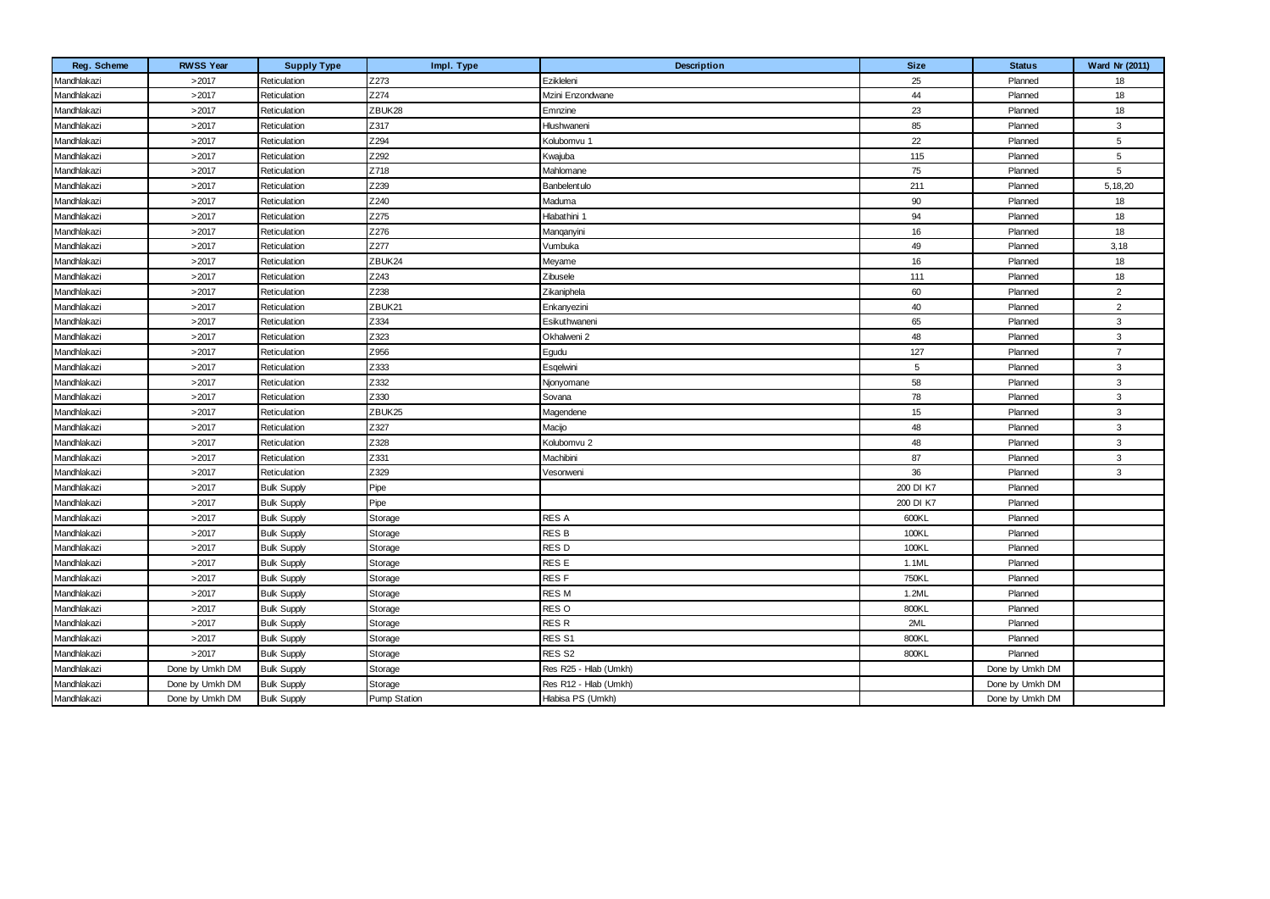| Reg. Scheme | <b>RWSS Year</b> | <b>Supply Type</b> | Impl. Type          | Description           | <b>Size</b>     | <b>Status</b>   | Ward Nr (2011) |
|-------------|------------------|--------------------|---------------------|-----------------------|-----------------|-----------------|----------------|
| Mandhlakazi | >2017            | Reticulation       | Z273                | Ezikleleni            | 25              | Planned         | 18             |
| Mandhlakazi | >2017            | Reticulation       | Z274                | Mzini Enzondwane      | 44              | Planned         | 18             |
| Mandhlakazi | >2017            | Reticulation       | ZBUK28              | Emnzine               | 23              | Planned         | 18             |
| Mandhlakazi | >2017            | Reticulation       | Z317                | Hlushwaneni           | 85              | Planned         | 3              |
| Mandhlakazi | >2017            | Reticulation       | Z294                | Kolubomvu 1           | 22              | Planned         | 5              |
| Mandhlakazi | >2017            | Reticulation       | Z292                | Kwajuba               | 115             | Planned         | 5              |
| Mandhlakazi | >2017            | Reticulation       | Z718                | Mahlomane             | 75              | Planned         | 5              |
| Mandhlakazi | >2017            | Reticulation       | Z239                | Banbelentulo          | 211             | Planned         | 5, 18, 20      |
| Mandhlakazi | >2017            | Reticulation       | Z240                | Maduma                | $90\,$          | Planned         | 18             |
| Mandhlakazi | >2017            | Reticulation       | Z275                | Hlabathini 1          | 94              | Planned         | 18             |
| Mandhlakazi | >2017            | Reticulation       | Z276                | Manqanyini            | 16              | Planned         | 18             |
| Mandhlakazi | >2017            | Reticulation       | Z277                | Vumbuka               | 49              | Planned         | 3,18           |
| Mandhlakazi | >2017            | Reticulation       | ZBUK24              | Meyame                | 16              | Planned         | 18             |
| Mandhlakazi | >2017            | Reticulation       | Z243                | Zibusele              | 111             | Planned         | 18             |
| Mandhlakazi | >2017            | Reticulation       | Z238                | Zikaniphela           | 60              | Planned         | 2              |
| Mandhlakazi | >2017            | Reticulation       | ZBUK21              | Enkanyezini           | 40              | Planned         | $\overline{2}$ |
| Mandhlakazi | >2017            | Reticulation       | Z334                | Esikuthwaneni         | 65              | Planned         | 3              |
| Mandhlakazi | >2017            | Reticulation       | Z323                | Okhalweni 2           | 48              | Planned         | $\mathbf{3}$   |
| Mandhlakazi | >2017            | Reticulation       | Z956                | Egudu                 | 127             | Planned         | $\overline{7}$ |
| Mandhlakazi | >2017            | Reticulation       | Z333                | Esgelwini             | $5\phantom{.0}$ | Planned         | $\mathbf{3}$   |
| Mandhlakazi | >2017            | Reticulation       | Z332                | Njonyomane            | 58              | Planned         | $\mathbf{3}$   |
| Mandhlakazi | >2017            | Reticulation       | Z330                | Sovana                | 78              | Planned         | $\mathbf{3}$   |
| Mandhlakazi | >2017            | Reticulation       | ZBUK25              | Magendene             | 15              | Planned         | 3              |
| Mandhlakazi | >2017            | Reticulation       | Z327                | Macijo                | 48              | Planned         | 3              |
| Mandhlakazi | >2017            | Reticulation       | Z328                | Kolubomvu 2           | 48              | Planned         | 3              |
| Mandhlakazi | >2017            | Reticulation       | Z331                | Machibini             | 87              | Planned         | 3              |
| Mandhlakazi | >2017            | Reticulation       | Z329                | Vesonweni             | 36              | Planned         | 3              |
| Mandhlakazi | >2017            | <b>Bulk Supply</b> | Pipe                |                       | 200 DI K7       | Planned         |                |
| Mandhlakazi | >2017            | <b>Bulk Supply</b> | Pipe                |                       | 200 DI K7       | Planned         |                |
| Mandhlakazi | >2017            | <b>Bulk Supply</b> | Storage             | <b>RES A</b>          | 600KL           | Planned         |                |
| Mandhlakazi | >2017            | <b>Bulk Supply</b> | Storage             | <b>RES B</b>          | 100KL           | Planned         |                |
| Mandhlakazi | >2017            | <b>Bulk Supply</b> | Storage             | RES <sub>D</sub>      | 100KL           | Planned         |                |
| Mandhlakazi | >2017            | <b>Bulk Supply</b> | Storage             | RES <sub>E</sub>      | 1.1ML           | Planned         |                |
| Mandhlakazi | >2017            | <b>Bulk Supply</b> | Storage             | RES <sub>F</sub>      | <b>750KL</b>    | Planned         |                |
| Mandhlakazi | >2017            | <b>Bulk Supply</b> | Storage             | RES M                 | 1.2ML           | Planned         |                |
| Mandhlakazi | >2017            | <b>Bulk Supply</b> | Storage             | RES O                 | 800KL           | Planned         |                |
| Mandhlakazi | >2017            | <b>Bulk Supply</b> | Storage             | <b>RESR</b>           | 2ML             | Planned         |                |
| Mandhlakazi | >2017            | <b>Bulk Supply</b> | Storage             | RES <sub>S1</sub>     | 800KL           | Planned         |                |
| Mandhlakazi | >2017            | <b>Bulk Supply</b> | Storage             | RES <sub>S2</sub>     | 800KL           | Planned         |                |
| Mandhlakazi | Done by Umkh DM  | <b>Bulk Supply</b> | Storage             | Res R25 - Hlab (Umkh) |                 | Done by Umkh DM |                |
| Mandhlakazi | Done by Umkh DM  | <b>Bulk Supply</b> | Storage             | Res R12 - Hlab (Umkh) |                 | Done by Umkh DM |                |
| Mandhlakazi | Done by Umkh DM  | <b>Bulk Supply</b> | <b>Pump Station</b> | Hlabisa PS (Umkh)     |                 | Done by Umkh DM |                |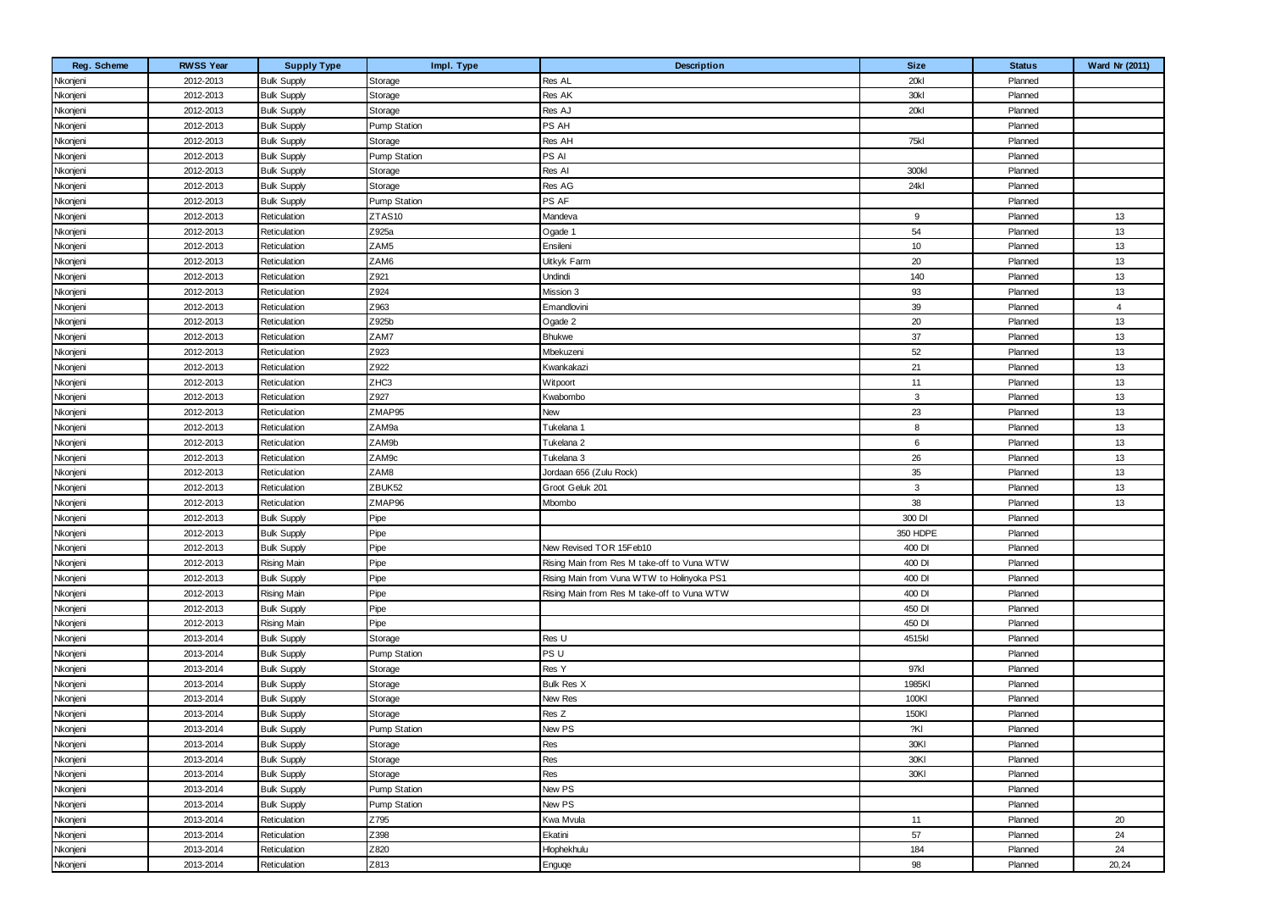| Nkonjeni<br>2012-2013<br>Storage<br>Res AL<br>20kl<br>Planned<br><b>Bulk Supply</b><br>Nkonjeni<br>30kl<br>2012-2013<br><b>Bulk Supply</b><br>Storage<br>Res AK<br>Planned<br>20kl<br>Res AJ<br>Nkonjeni<br>2012-2013<br><b>Bulk Supply</b><br>Planned<br>Storage<br>Nkonjeni<br>PS AH<br>2012-2013<br><b>Bulk Supply</b><br><b>Pump Station</b><br>Planned<br>Nkonjeni<br>75kl<br>2012-2013<br><b>Bulk Supply</b><br>Res AH<br>Planned<br>Storage<br>PS AI<br><b>Pump Station</b><br>2012-2013<br><b>Bulk Supply</b><br>Planned<br>Nkonjeni<br>Nkonjeni<br>Res Al<br>2012-2013<br><b>Bulk Supply</b><br>Storage<br>300kl<br>Planned<br>24kl<br>2012-2013<br><b>Bulk Supply</b><br>Storage<br>Res AG<br>Planned<br>PS AF<br><b>Pump Station</b><br>Nkonjeni<br>2012-2013<br><b>Bulk Supply</b><br>Planned<br>13<br>Nkonjeni<br>2012-2013<br>Reticulation<br>ZTAS10<br>Mandeva<br>9<br>Planned<br>Z925a<br>54<br>13<br>2012-2013<br>Reticulation<br>Ogade 1<br>Planned<br>ZAM5<br>10<br>13<br>Ensileni<br>Nkonjeni<br>2012-2013<br>Reticulation<br>Planned<br>13<br>ZAM6<br>Nkonjeni<br>2012-2013<br>Reticulation<br>Uitkyk Farm<br>20<br>Planned<br>Z921<br>13<br>140<br>2012-2013<br>Reticulation<br>Undindi<br>Planned<br>Z924<br>93<br>13<br>Mission 3<br>2012-2013<br>Reticulation<br>Planned<br>Nkonjeni<br>Nkonjeni<br>Z963<br>$\overline{4}$<br>2012-2013<br>Reticulation<br>Emandlovini<br>39<br>Planned<br>20<br>Z925b<br>13<br>2012-2013<br>Reticulation<br>Ogade 2<br>Planned<br>ZAM7<br>37<br>13<br>2012-2013<br><b>Bhukwe</b><br>Nkonjeni<br>Reticulation<br>Planned<br>13<br>Nkonjeni<br>Z923<br>52<br>2012-2013<br>Reticulation<br>Mbekuzeni<br>Planned<br>Z922<br>21<br>13<br>2012-2013<br>Reticulation<br>Kwankakazi<br>Planned<br>ZHC3<br>13<br>2012-2013<br>Witpoort<br>11<br>Planned<br>Nkonjeni<br>Reticulation<br>13<br>Z927<br>$\mathbf{3}$<br>Nkonjeni<br>2012-2013<br>Reticulation<br>Kwabombo<br>Planned<br>Nkonjeni<br>23<br>ZMAP95<br>13<br>2012-2013<br>Reticulation<br>New<br>Planned<br>ZAM9a<br>8<br>2012-2013<br>Tukelana 1<br>13<br>Nkonjeni<br>Reticulation<br>Planned<br>13<br>ZAM9b<br>Nkonjeni<br>2012-2013<br>Reticulation<br>Tukelana 2<br>6<br>Planned<br>26<br>ZAM9c<br>13<br>2012-2013<br>Reticulation<br>Tukelana 3<br>Planned<br>ZAM8<br>35<br>13<br>2012-2013<br>Jordaan 656 (Zulu Rock)<br>Nkonjeni<br>Reticulation<br>Planned<br>ZBUK52<br>$\mathbf{3}$<br>13<br>2012-2013<br>Reticulation<br>Groot Geluk 201<br>Planned<br>Nkonjeni |
|--------------------------------------------------------------------------------------------------------------------------------------------------------------------------------------------------------------------------------------------------------------------------------------------------------------------------------------------------------------------------------------------------------------------------------------------------------------------------------------------------------------------------------------------------------------------------------------------------------------------------------------------------------------------------------------------------------------------------------------------------------------------------------------------------------------------------------------------------------------------------------------------------------------------------------------------------------------------------------------------------------------------------------------------------------------------------------------------------------------------------------------------------------------------------------------------------------------------------------------------------------------------------------------------------------------------------------------------------------------------------------------------------------------------------------------------------------------------------------------------------------------------------------------------------------------------------------------------------------------------------------------------------------------------------------------------------------------------------------------------------------------------------------------------------------------------------------------------------------------------------------------------------------------------------------------------------------------------------------------------------------------------------------------------------------------------------------------------------------------------------------------------------------------------------------------------------------------------------------------------------------------------------------------------------------------------------------------------------------------------------------------------------------------------------------------------------------------------------------------|
|                                                                                                                                                                                                                                                                                                                                                                                                                                                                                                                                                                                                                                                                                                                                                                                                                                                                                                                                                                                                                                                                                                                                                                                                                                                                                                                                                                                                                                                                                                                                                                                                                                                                                                                                                                                                                                                                                                                                                                                                                                                                                                                                                                                                                                                                                                                                                                                                                                                                                      |
|                                                                                                                                                                                                                                                                                                                                                                                                                                                                                                                                                                                                                                                                                                                                                                                                                                                                                                                                                                                                                                                                                                                                                                                                                                                                                                                                                                                                                                                                                                                                                                                                                                                                                                                                                                                                                                                                                                                                                                                                                                                                                                                                                                                                                                                                                                                                                                                                                                                                                      |
| Nkonjeni<br>Nkonjeni<br>Nkonjeni<br>Nkonjeni<br>Nkonjeni<br>Nkonjeni                                                                                                                                                                                                                                                                                                                                                                                                                                                                                                                                                                                                                                                                                                                                                                                                                                                                                                                                                                                                                                                                                                                                                                                                                                                                                                                                                                                                                                                                                                                                                                                                                                                                                                                                                                                                                                                                                                                                                                                                                                                                                                                                                                                                                                                                                                                                                                                                                 |
|                                                                                                                                                                                                                                                                                                                                                                                                                                                                                                                                                                                                                                                                                                                                                                                                                                                                                                                                                                                                                                                                                                                                                                                                                                                                                                                                                                                                                                                                                                                                                                                                                                                                                                                                                                                                                                                                                                                                                                                                                                                                                                                                                                                                                                                                                                                                                                                                                                                                                      |
|                                                                                                                                                                                                                                                                                                                                                                                                                                                                                                                                                                                                                                                                                                                                                                                                                                                                                                                                                                                                                                                                                                                                                                                                                                                                                                                                                                                                                                                                                                                                                                                                                                                                                                                                                                                                                                                                                                                                                                                                                                                                                                                                                                                                                                                                                                                                                                                                                                                                                      |
|                                                                                                                                                                                                                                                                                                                                                                                                                                                                                                                                                                                                                                                                                                                                                                                                                                                                                                                                                                                                                                                                                                                                                                                                                                                                                                                                                                                                                                                                                                                                                                                                                                                                                                                                                                                                                                                                                                                                                                                                                                                                                                                                                                                                                                                                                                                                                                                                                                                                                      |
|                                                                                                                                                                                                                                                                                                                                                                                                                                                                                                                                                                                                                                                                                                                                                                                                                                                                                                                                                                                                                                                                                                                                                                                                                                                                                                                                                                                                                                                                                                                                                                                                                                                                                                                                                                                                                                                                                                                                                                                                                                                                                                                                                                                                                                                                                                                                                                                                                                                                                      |
|                                                                                                                                                                                                                                                                                                                                                                                                                                                                                                                                                                                                                                                                                                                                                                                                                                                                                                                                                                                                                                                                                                                                                                                                                                                                                                                                                                                                                                                                                                                                                                                                                                                                                                                                                                                                                                                                                                                                                                                                                                                                                                                                                                                                                                                                                                                                                                                                                                                                                      |
|                                                                                                                                                                                                                                                                                                                                                                                                                                                                                                                                                                                                                                                                                                                                                                                                                                                                                                                                                                                                                                                                                                                                                                                                                                                                                                                                                                                                                                                                                                                                                                                                                                                                                                                                                                                                                                                                                                                                                                                                                                                                                                                                                                                                                                                                                                                                                                                                                                                                                      |
|                                                                                                                                                                                                                                                                                                                                                                                                                                                                                                                                                                                                                                                                                                                                                                                                                                                                                                                                                                                                                                                                                                                                                                                                                                                                                                                                                                                                                                                                                                                                                                                                                                                                                                                                                                                                                                                                                                                                                                                                                                                                                                                                                                                                                                                                                                                                                                                                                                                                                      |
|                                                                                                                                                                                                                                                                                                                                                                                                                                                                                                                                                                                                                                                                                                                                                                                                                                                                                                                                                                                                                                                                                                                                                                                                                                                                                                                                                                                                                                                                                                                                                                                                                                                                                                                                                                                                                                                                                                                                                                                                                                                                                                                                                                                                                                                                                                                                                                                                                                                                                      |
|                                                                                                                                                                                                                                                                                                                                                                                                                                                                                                                                                                                                                                                                                                                                                                                                                                                                                                                                                                                                                                                                                                                                                                                                                                                                                                                                                                                                                                                                                                                                                                                                                                                                                                                                                                                                                                                                                                                                                                                                                                                                                                                                                                                                                                                                                                                                                                                                                                                                                      |
|                                                                                                                                                                                                                                                                                                                                                                                                                                                                                                                                                                                                                                                                                                                                                                                                                                                                                                                                                                                                                                                                                                                                                                                                                                                                                                                                                                                                                                                                                                                                                                                                                                                                                                                                                                                                                                                                                                                                                                                                                                                                                                                                                                                                                                                                                                                                                                                                                                                                                      |
|                                                                                                                                                                                                                                                                                                                                                                                                                                                                                                                                                                                                                                                                                                                                                                                                                                                                                                                                                                                                                                                                                                                                                                                                                                                                                                                                                                                                                                                                                                                                                                                                                                                                                                                                                                                                                                                                                                                                                                                                                                                                                                                                                                                                                                                                                                                                                                                                                                                                                      |
|                                                                                                                                                                                                                                                                                                                                                                                                                                                                                                                                                                                                                                                                                                                                                                                                                                                                                                                                                                                                                                                                                                                                                                                                                                                                                                                                                                                                                                                                                                                                                                                                                                                                                                                                                                                                                                                                                                                                                                                                                                                                                                                                                                                                                                                                                                                                                                                                                                                                                      |
|                                                                                                                                                                                                                                                                                                                                                                                                                                                                                                                                                                                                                                                                                                                                                                                                                                                                                                                                                                                                                                                                                                                                                                                                                                                                                                                                                                                                                                                                                                                                                                                                                                                                                                                                                                                                                                                                                                                                                                                                                                                                                                                                                                                                                                                                                                                                                                                                                                                                                      |
|                                                                                                                                                                                                                                                                                                                                                                                                                                                                                                                                                                                                                                                                                                                                                                                                                                                                                                                                                                                                                                                                                                                                                                                                                                                                                                                                                                                                                                                                                                                                                                                                                                                                                                                                                                                                                                                                                                                                                                                                                                                                                                                                                                                                                                                                                                                                                                                                                                                                                      |
|                                                                                                                                                                                                                                                                                                                                                                                                                                                                                                                                                                                                                                                                                                                                                                                                                                                                                                                                                                                                                                                                                                                                                                                                                                                                                                                                                                                                                                                                                                                                                                                                                                                                                                                                                                                                                                                                                                                                                                                                                                                                                                                                                                                                                                                                                                                                                                                                                                                                                      |
|                                                                                                                                                                                                                                                                                                                                                                                                                                                                                                                                                                                                                                                                                                                                                                                                                                                                                                                                                                                                                                                                                                                                                                                                                                                                                                                                                                                                                                                                                                                                                                                                                                                                                                                                                                                                                                                                                                                                                                                                                                                                                                                                                                                                                                                                                                                                                                                                                                                                                      |
|                                                                                                                                                                                                                                                                                                                                                                                                                                                                                                                                                                                                                                                                                                                                                                                                                                                                                                                                                                                                                                                                                                                                                                                                                                                                                                                                                                                                                                                                                                                                                                                                                                                                                                                                                                                                                                                                                                                                                                                                                                                                                                                                                                                                                                                                                                                                                                                                                                                                                      |
|                                                                                                                                                                                                                                                                                                                                                                                                                                                                                                                                                                                                                                                                                                                                                                                                                                                                                                                                                                                                                                                                                                                                                                                                                                                                                                                                                                                                                                                                                                                                                                                                                                                                                                                                                                                                                                                                                                                                                                                                                                                                                                                                                                                                                                                                                                                                                                                                                                                                                      |
|                                                                                                                                                                                                                                                                                                                                                                                                                                                                                                                                                                                                                                                                                                                                                                                                                                                                                                                                                                                                                                                                                                                                                                                                                                                                                                                                                                                                                                                                                                                                                                                                                                                                                                                                                                                                                                                                                                                                                                                                                                                                                                                                                                                                                                                                                                                                                                                                                                                                                      |
|                                                                                                                                                                                                                                                                                                                                                                                                                                                                                                                                                                                                                                                                                                                                                                                                                                                                                                                                                                                                                                                                                                                                                                                                                                                                                                                                                                                                                                                                                                                                                                                                                                                                                                                                                                                                                                                                                                                                                                                                                                                                                                                                                                                                                                                                                                                                                                                                                                                                                      |
|                                                                                                                                                                                                                                                                                                                                                                                                                                                                                                                                                                                                                                                                                                                                                                                                                                                                                                                                                                                                                                                                                                                                                                                                                                                                                                                                                                                                                                                                                                                                                                                                                                                                                                                                                                                                                                                                                                                                                                                                                                                                                                                                                                                                                                                                                                                                                                                                                                                                                      |
|                                                                                                                                                                                                                                                                                                                                                                                                                                                                                                                                                                                                                                                                                                                                                                                                                                                                                                                                                                                                                                                                                                                                                                                                                                                                                                                                                                                                                                                                                                                                                                                                                                                                                                                                                                                                                                                                                                                                                                                                                                                                                                                                                                                                                                                                                                                                                                                                                                                                                      |
|                                                                                                                                                                                                                                                                                                                                                                                                                                                                                                                                                                                                                                                                                                                                                                                                                                                                                                                                                                                                                                                                                                                                                                                                                                                                                                                                                                                                                                                                                                                                                                                                                                                                                                                                                                                                                                                                                                                                                                                                                                                                                                                                                                                                                                                                                                                                                                                                                                                                                      |
|                                                                                                                                                                                                                                                                                                                                                                                                                                                                                                                                                                                                                                                                                                                                                                                                                                                                                                                                                                                                                                                                                                                                                                                                                                                                                                                                                                                                                                                                                                                                                                                                                                                                                                                                                                                                                                                                                                                                                                                                                                                                                                                                                                                                                                                                                                                                                                                                                                                                                      |
|                                                                                                                                                                                                                                                                                                                                                                                                                                                                                                                                                                                                                                                                                                                                                                                                                                                                                                                                                                                                                                                                                                                                                                                                                                                                                                                                                                                                                                                                                                                                                                                                                                                                                                                                                                                                                                                                                                                                                                                                                                                                                                                                                                                                                                                                                                                                                                                                                                                                                      |
| Nkonjeni<br>38<br>ZMAP96<br>13<br>2012-2013<br>Reticulation<br>Mbombo<br>Planned                                                                                                                                                                                                                                                                                                                                                                                                                                                                                                                                                                                                                                                                                                                                                                                                                                                                                                                                                                                                                                                                                                                                                                                                                                                                                                                                                                                                                                                                                                                                                                                                                                                                                                                                                                                                                                                                                                                                                                                                                                                                                                                                                                                                                                                                                                                                                                                                     |
| 300 DI<br>2012-2013<br>Planned<br>Nkonjeni<br><b>Bulk Supply</b><br>Pipe                                                                                                                                                                                                                                                                                                                                                                                                                                                                                                                                                                                                                                                                                                                                                                                                                                                                                                                                                                                                                                                                                                                                                                                                                                                                                                                                                                                                                                                                                                                                                                                                                                                                                                                                                                                                                                                                                                                                                                                                                                                                                                                                                                                                                                                                                                                                                                                                             |
| Pipe<br>2012-2013<br><b>Bulk Supply</b><br>350 HDPE<br>Planned<br>Nkonjeni                                                                                                                                                                                                                                                                                                                                                                                                                                                                                                                                                                                                                                                                                                                                                                                                                                                                                                                                                                                                                                                                                                                                                                                                                                                                                                                                                                                                                                                                                                                                                                                                                                                                                                                                                                                                                                                                                                                                                                                                                                                                                                                                                                                                                                                                                                                                                                                                           |
| Nkonjeni<br>2012-2013<br><b>Bulk Supply</b><br>Pipe<br>New Revised TOR 15Feb10<br>400 DI<br>Planned                                                                                                                                                                                                                                                                                                                                                                                                                                                                                                                                                                                                                                                                                                                                                                                                                                                                                                                                                                                                                                                                                                                                                                                                                                                                                                                                                                                                                                                                                                                                                                                                                                                                                                                                                                                                                                                                                                                                                                                                                                                                                                                                                                                                                                                                                                                                                                                  |
| 2012-2013<br>Pipe<br>Rising Main from Res M take-off to Vuna WTW<br>400 DI<br>Nkonjeni<br><b>Rising Main</b><br>Planned                                                                                                                                                                                                                                                                                                                                                                                                                                                                                                                                                                                                                                                                                                                                                                                                                                                                                                                                                                                                                                                                                                                                                                                                                                                                                                                                                                                                                                                                                                                                                                                                                                                                                                                                                                                                                                                                                                                                                                                                                                                                                                                                                                                                                                                                                                                                                              |
| Pipe<br>2012-2013<br><b>Bulk Supply</b><br>Rising Main from Vuna WTW to Holinyoka PS1<br>400 DI<br>Planned<br>Nkonjeni                                                                                                                                                                                                                                                                                                                                                                                                                                                                                                                                                                                                                                                                                                                                                                                                                                                                                                                                                                                                                                                                                                                                                                                                                                                                                                                                                                                                                                                                                                                                                                                                                                                                                                                                                                                                                                                                                                                                                                                                                                                                                                                                                                                                                                                                                                                                                               |
| Nkonjeni<br>Pipe<br>400 DI<br>2012-2013<br><b>Rising Main</b><br>Rising Main from Res M take-off to Vuna WTW<br>Planned                                                                                                                                                                                                                                                                                                                                                                                                                                                                                                                                                                                                                                                                                                                                                                                                                                                                                                                                                                                                                                                                                                                                                                                                                                                                                                                                                                                                                                                                                                                                                                                                                                                                                                                                                                                                                                                                                                                                                                                                                                                                                                                                                                                                                                                                                                                                                              |
| 2012-2013<br>Pipe<br>450 DI<br>Nkonjeni<br><b>Bulk Supply</b><br>Planned                                                                                                                                                                                                                                                                                                                                                                                                                                                                                                                                                                                                                                                                                                                                                                                                                                                                                                                                                                                                                                                                                                                                                                                                                                                                                                                                                                                                                                                                                                                                                                                                                                                                                                                                                                                                                                                                                                                                                                                                                                                                                                                                                                                                                                                                                                                                                                                                             |
| Pipe<br>2012-2013<br><b>Rising Main</b><br>450 DI<br>Planned<br>Nkonjeni                                                                                                                                                                                                                                                                                                                                                                                                                                                                                                                                                                                                                                                                                                                                                                                                                                                                                                                                                                                                                                                                                                                                                                                                                                                                                                                                                                                                                                                                                                                                                                                                                                                                                                                                                                                                                                                                                                                                                                                                                                                                                                                                                                                                                                                                                                                                                                                                             |
| Nkonjeni<br>2013-2014<br>Res U<br>4515kl<br><b>Bulk Supply</b><br>Storage<br>Planned                                                                                                                                                                                                                                                                                                                                                                                                                                                                                                                                                                                                                                                                                                                                                                                                                                                                                                                                                                                                                                                                                                                                                                                                                                                                                                                                                                                                                                                                                                                                                                                                                                                                                                                                                                                                                                                                                                                                                                                                                                                                                                                                                                                                                                                                                                                                                                                                 |
| PS U<br>2013-2014<br>Pump Station<br>Nkonjeni<br><b>Bulk Supply</b><br>Planned                                                                                                                                                                                                                                                                                                                                                                                                                                                                                                                                                                                                                                                                                                                                                                                                                                                                                                                                                                                                                                                                                                                                                                                                                                                                                                                                                                                                                                                                                                                                                                                                                                                                                                                                                                                                                                                                                                                                                                                                                                                                                                                                                                                                                                                                                                                                                                                                       |
| Res Y<br>Nkonjeni<br>2013-2014<br><b>Bulk Supply</b><br>Storage<br>97kl<br>Planned                                                                                                                                                                                                                                                                                                                                                                                                                                                                                                                                                                                                                                                                                                                                                                                                                                                                                                                                                                                                                                                                                                                                                                                                                                                                                                                                                                                                                                                                                                                                                                                                                                                                                                                                                                                                                                                                                                                                                                                                                                                                                                                                                                                                                                                                                                                                                                                                   |
| Nkonjeni<br>2013-2014<br>Bulk Res X<br>1985KI<br><b>Bulk Supply</b><br>Storage<br>Planned                                                                                                                                                                                                                                                                                                                                                                                                                                                                                                                                                                                                                                                                                                                                                                                                                                                                                                                                                                                                                                                                                                                                                                                                                                                                                                                                                                                                                                                                                                                                                                                                                                                                                                                                                                                                                                                                                                                                                                                                                                                                                                                                                                                                                                                                                                                                                                                            |
| 2013-2014<br>New Res<br>100KI<br>Planned<br>Nkonjeni<br><b>Bulk Supply</b><br>Storage                                                                                                                                                                                                                                                                                                                                                                                                                                                                                                                                                                                                                                                                                                                                                                                                                                                                                                                                                                                                                                                                                                                                                                                                                                                                                                                                                                                                                                                                                                                                                                                                                                                                                                                                                                                                                                                                                                                                                                                                                                                                                                                                                                                                                                                                                                                                                                                                |
| Nkonjeni<br>2013-2014<br><b>Bulk Supply</b><br>Storage<br>Res Z<br>150KI<br>Planned<br>Nkonjeni                                                                                                                                                                                                                                                                                                                                                                                                                                                                                                                                                                                                                                                                                                                                                                                                                                                                                                                                                                                                                                                                                                                                                                                                                                                                                                                                                                                                                                                                                                                                                                                                                                                                                                                                                                                                                                                                                                                                                                                                                                                                                                                                                                                                                                                                                                                                                                                      |
| ?KI<br>2013-2014<br><b>Bulk Supply</b><br><b>Pump Station</b><br>New PS<br>Planned                                                                                                                                                                                                                                                                                                                                                                                                                                                                                                                                                                                                                                                                                                                                                                                                                                                                                                                                                                                                                                                                                                                                                                                                                                                                                                                                                                                                                                                                                                                                                                                                                                                                                                                                                                                                                                                                                                                                                                                                                                                                                                                                                                                                                                                                                                                                                                                                   |
| Nkonjeni<br>Res<br>30KI<br>2013-2014<br><b>Bulk Supply</b><br>Storage<br>Planned                                                                                                                                                                                                                                                                                                                                                                                                                                                                                                                                                                                                                                                                                                                                                                                                                                                                                                                                                                                                                                                                                                                                                                                                                                                                                                                                                                                                                                                                                                                                                                                                                                                                                                                                                                                                                                                                                                                                                                                                                                                                                                                                                                                                                                                                                                                                                                                                     |
| Nkonjeni<br>2013-2014<br><b>Bulk Supply</b><br>Storage<br>Res<br>30KI<br>Planned<br>Nkonjeni                                                                                                                                                                                                                                                                                                                                                                                                                                                                                                                                                                                                                                                                                                                                                                                                                                                                                                                                                                                                                                                                                                                                                                                                                                                                                                                                                                                                                                                                                                                                                                                                                                                                                                                                                                                                                                                                                                                                                                                                                                                                                                                                                                                                                                                                                                                                                                                         |
| Res<br>2013-2014<br>Storage<br>30KI<br>Planned<br><b>Bulk Supply</b>                                                                                                                                                                                                                                                                                                                                                                                                                                                                                                                                                                                                                                                                                                                                                                                                                                                                                                                                                                                                                                                                                                                                                                                                                                                                                                                                                                                                                                                                                                                                                                                                                                                                                                                                                                                                                                                                                                                                                                                                                                                                                                                                                                                                                                                                                                                                                                                                                 |
| Nkonjeni<br>New PS<br>2013-2014<br><b>Bulk Supply</b><br>Pump Station<br>Planned<br>Nkonjeni                                                                                                                                                                                                                                                                                                                                                                                                                                                                                                                                                                                                                                                                                                                                                                                                                                                                                                                                                                                                                                                                                                                                                                                                                                                                                                                                                                                                                                                                                                                                                                                                                                                                                                                                                                                                                                                                                                                                                                                                                                                                                                                                                                                                                                                                                                                                                                                         |
| New PS<br>2013-2014<br><b>Bulk Supply</b><br><b>Pump Station</b><br>Planned<br>Nkonjeni<br>Z795<br>Kwa Mvula<br>11<br>20<br>Reticulation                                                                                                                                                                                                                                                                                                                                                                                                                                                                                                                                                                                                                                                                                                                                                                                                                                                                                                                                                                                                                                                                                                                                                                                                                                                                                                                                                                                                                                                                                                                                                                                                                                                                                                                                                                                                                                                                                                                                                                                                                                                                                                                                                                                                                                                                                                                                             |
| 2013-2014<br>Planned<br>Nkonjeni<br>Z398<br>Ekatini<br>57<br>24<br>2013-2014<br>Reticulation<br>Planned                                                                                                                                                                                                                                                                                                                                                                                                                                                                                                                                                                                                                                                                                                                                                                                                                                                                                                                                                                                                                                                                                                                                                                                                                                                                                                                                                                                                                                                                                                                                                                                                                                                                                                                                                                                                                                                                                                                                                                                                                                                                                                                                                                                                                                                                                                                                                                              |
| Z820<br>24<br>Hlophekhulu<br>184<br>Nkonjeni<br>2013-2014<br>Reticulation<br>Planned                                                                                                                                                                                                                                                                                                                                                                                                                                                                                                                                                                                                                                                                                                                                                                                                                                                                                                                                                                                                                                                                                                                                                                                                                                                                                                                                                                                                                                                                                                                                                                                                                                                                                                                                                                                                                                                                                                                                                                                                                                                                                                                                                                                                                                                                                                                                                                                                 |
| Nkonjeni<br>98<br>Z813<br>20,24<br>2013-2014<br>Reticulation<br>Enguqe<br>Planned                                                                                                                                                                                                                                                                                                                                                                                                                                                                                                                                                                                                                                                                                                                                                                                                                                                                                                                                                                                                                                                                                                                                                                                                                                                                                                                                                                                                                                                                                                                                                                                                                                                                                                                                                                                                                                                                                                                                                                                                                                                                                                                                                                                                                                                                                                                                                                                                    |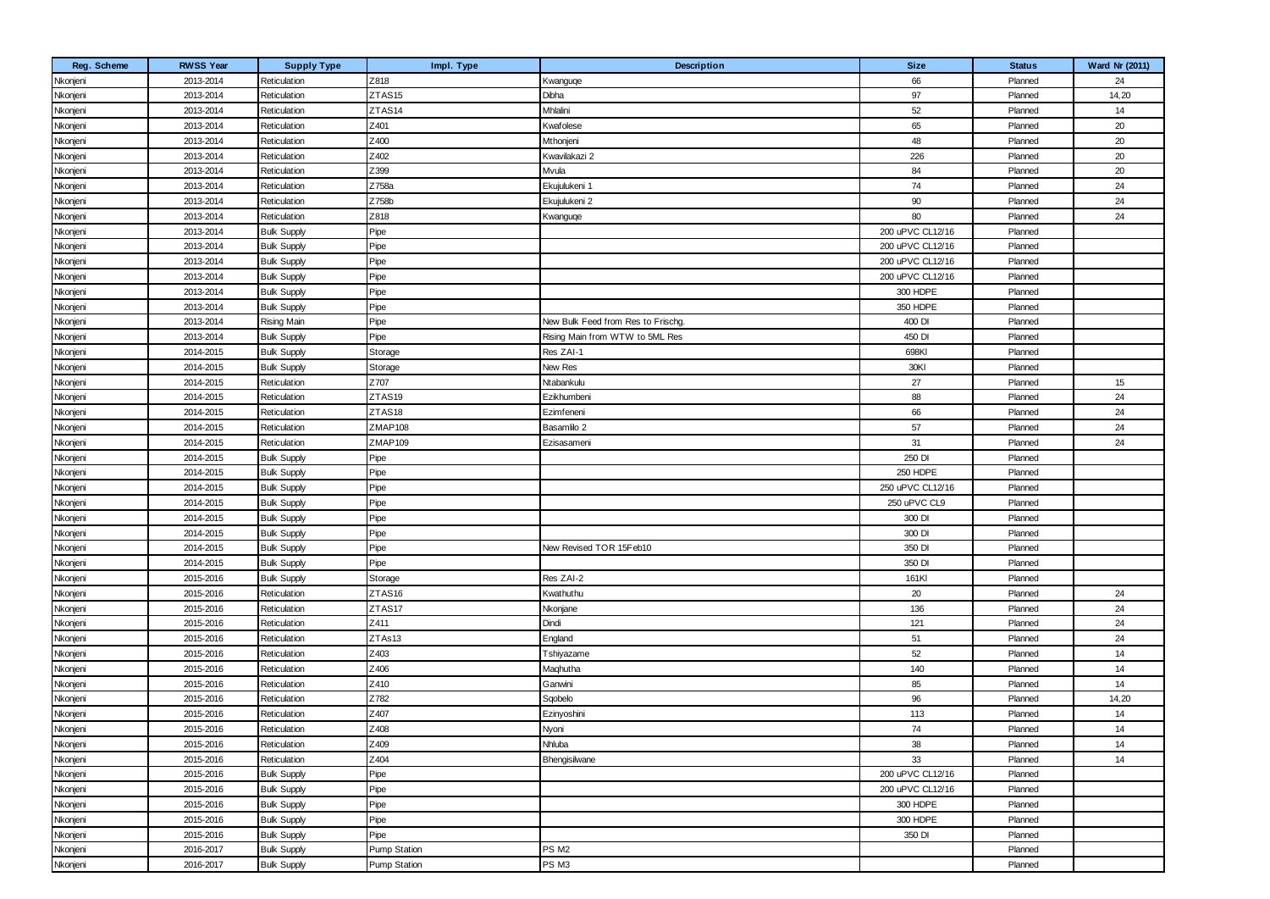| Reg. Scheme | <b>RWSS Year</b> | <b>Supply Type</b> | Impl. Type          | Description                        | <b>Size</b>      | <b>Status</b> | Ward Nr (2011) |
|-------------|------------------|--------------------|---------------------|------------------------------------|------------------|---------------|----------------|
| Nkonjeni    | 2013-2014        | Reticulation       | Z818                | Kwanguqe                           | 66               | Planned       | 24             |
| Nkonjeni    | 2013-2014        | Reticulation       | ZTAS15              | Dibha                              | 97               | Planned       | 14,20          |
| Nkonjeni    | 2013-2014        | Reticulation       | ZTAS14              | Mhlalini                           | 52               | Planned       | 14             |
| Nkonjeni    | 2013-2014        | Reticulation       | Z401                | Kwafolese                          | 65               | Planned       | 20             |
| Nkonjeni    | 2013-2014        | Reticulation       | Z400                | Mthonjeni                          | 48               | Planned       | 20             |
| Nkonjeni    | 2013-2014        | Reticulation       | Z402                | Kwavilakazi 2                      | 226              | Planned       | 20             |
| Nkonjeni    | 2013-2014        | Reticulation       | Z399                | Mvula                              | 84               | Planned       | 20             |
| Nkonjeni    | 2013-2014        | Reticulation       | Z758a               | Ekujulukeni 1                      | 74               | Planned       | 24             |
| Nkonjeni    | 2013-2014        | Reticulation       | Z758b               | Ekujulukeni 2                      | 90               | Planned       | 24             |
| Nkonjeni    | 2013-2014        | Reticulation       | Z818                | Kwanguqe                           | 80               | Planned       | 24             |
| Nkonjeni    | 2013-2014        | <b>Bulk Supply</b> | Pipe                |                                    | 200 uPVC CL12/16 | Planned       |                |
| Nkonjeni    | 2013-2014        | <b>Bulk Supply</b> | Pipe                |                                    | 200 uPVC CL12/16 | Planned       |                |
| Nkonjeni    | 2013-2014        | <b>Bulk Supply</b> | Pipe                |                                    | 200 uPVC CL12/16 | Planned       |                |
| Nkonjeni    | 2013-2014        | <b>Bulk Supply</b> | Pipe                |                                    | 200 uPVC CL12/16 | Planned       |                |
| Nkonjeni    | 2013-2014        | <b>Bulk Supply</b> | Pipe                |                                    | 300 HDPE         | Planned       |                |
| Nkonjeni    | 2013-2014        | <b>Bulk Supply</b> | Pipe                |                                    | 350 HDPE         | Planned       |                |
| Nkonjeni    | 2013-2014        | <b>Rising Main</b> | Pipe                | New Bulk Feed from Res to Frischg. | 400 DI           | Planned       |                |
| Nkonjeni    | 2013-2014        | <b>Bulk Supply</b> | Pipe                | Rising Main from WTW to 5ML Res    | 450 DI           | Planned       |                |
| Nkonjeni    | 2014-2015        | <b>Bulk Supply</b> | Storage             | Res ZAI-1                          | 698KI            | Planned       |                |
| Nkonjeni    | 2014-2015        | <b>Bulk Supply</b> | Storage             | New Res                            | 30KI             | Planned       |                |
| Nkonjeni    | 2014-2015        | Reticulation       | Z707                | Ntabankulu                         | 27               | Planned       | 15             |
| Nkonjeni    | 2014-2015        | Reticulation       | ZTAS19              | Ezikhumbeni                        | 88               | Planned       | 24             |
| Nkonjeni    | 2014-2015        | Reticulation       | ZTAS18              | Ezimfeneni                         | 66               | Planned       | 24             |
| Nkonjeni    | 2014-2015        | Reticulation       | ZMAP108             | Basamlilo 2                        | 57               | Planned       | 24             |
| Nkonjeni    | 2014-2015        | Reticulation       | ZMAP109             | Ezisasameni                        | 31               | Planned       | 24             |
| Nkonjeni    | 2014-2015        | <b>Bulk Supply</b> | Pipe                |                                    | 250 DI           | Planned       |                |
| Nkonjeni    | 2014-2015        | <b>Bulk Supply</b> | Pipe                |                                    | 250 HDPE         | Planned       |                |
| Nkonjeni    | 2014-2015        | <b>Bulk Supply</b> | Pipe                |                                    | 250 uPVC CL12/16 | Planned       |                |
| Nkonjeni    | 2014-2015        | <b>Bulk Supply</b> | Pipe                |                                    | 250 uPVC CL9     | Planned       |                |
| Nkonjeni    | 2014-2015        | <b>Bulk Supply</b> | Pipe                |                                    | 300 DI           | Planned       |                |
| Nkonjeni    | 2014-2015        | <b>Bulk Supply</b> | Pipe                |                                    | 300 DI           | Planned       |                |
| Nkonjeni    | 2014-2015        | <b>Bulk Supply</b> | Pipe                | New Revised TOR 15Feb10            | 350 DI           | Planned       |                |
| Nkonjeni    | 2014-2015        | <b>Bulk Supply</b> | Pipe                |                                    | 350 DI           | Planned       |                |
| Nkonjeni    | 2015-2016        | <b>Bulk Supply</b> | Storage             | Res ZAI-2                          | 161KI            | Planned       |                |
| Nkonjeni    | 2015-2016        | Reticulation       | ZTAS16              | Kwathuthu                          | 20               | Planned       | 24             |
| Nkonjeni    | 2015-2016        | Reticulation       | ZTAS17              | Nkonjane                           | 136              | Planned       | 24             |
| Nkonjeni    | 2015-2016        | Reticulation       | Z411                | Dindi                              | 121              | Planned       | 24             |
| Nkonjeni    | 2015-2016        | Reticulation       | ZTAs13              | England                            | 51               | Planned       | 24             |
| Nkonjeni    | 2015-2016        | Reticulation       | Z403                | Tshiyazame                         | 52               | Planned       | 14             |
| Nkonjeni    | 2015-2016        | Reticulation       | Z406                | Maqhutha                           | 140              | Planned       | 14             |
| Nkonjeni    | 2015-2016        | Reticulation       | Z410                | Ganwini                            | 85               | Planned       | 14             |
| Nkonjeni    | 2015-2016        | Reticulation       | Z782                | Sqobelo                            | 96               | Planned       | 14,20          |
| Nkonjeni    | 2015-2016        | Reticulation       | Z407                | Ezinyoshini                        | 113              | Planned       | 14             |
| Nkonjeni    | 2015-2016        | Reticulation       | Z408                | Nyoni                              | 74               | Planned       | 14             |
| Nkonjeni    | 2015-2016        | Reticulation       | Z409                | Nhluba                             | 38               | Planned       | 14             |
| Nkonjeni    | 2015-2016        | Reticulation       | Z404                | Bhengisilwane                      | 33               | Planned       | 14             |
| Nkonjeni    | 2015-2016        | <b>Bulk Supply</b> | Pipe                |                                    | 200 uPVC CL12/16 | Planned       |                |
| Nkonjeni    | 2015-2016        | <b>Bulk Supply</b> | Pipe                |                                    | 200 uPVC CL12/16 | Planned       |                |
| Nkonjeni    | 2015-2016        | <b>Bulk Supply</b> | Pipe                |                                    | 300 HDPE         | Planned       |                |
| Nkonjeni    | 2015-2016        | <b>Bulk Supply</b> | Pipe                |                                    | 300 HDPE         | Planned       |                |
| Nkonjeni    | 2015-2016        | <b>Bulk Supply</b> | Pipe                |                                    | 350 DI           | Planned       |                |
| Nkonjeni    | 2016-2017        | <b>Bulk Supply</b> | <b>Pump Station</b> | PS M <sub>2</sub>                  |                  | Planned       |                |
| Nkonjeni    | 2016-2017        | <b>Bulk Supply</b> | Pump Station        | PS M3                              |                  | Planned       |                |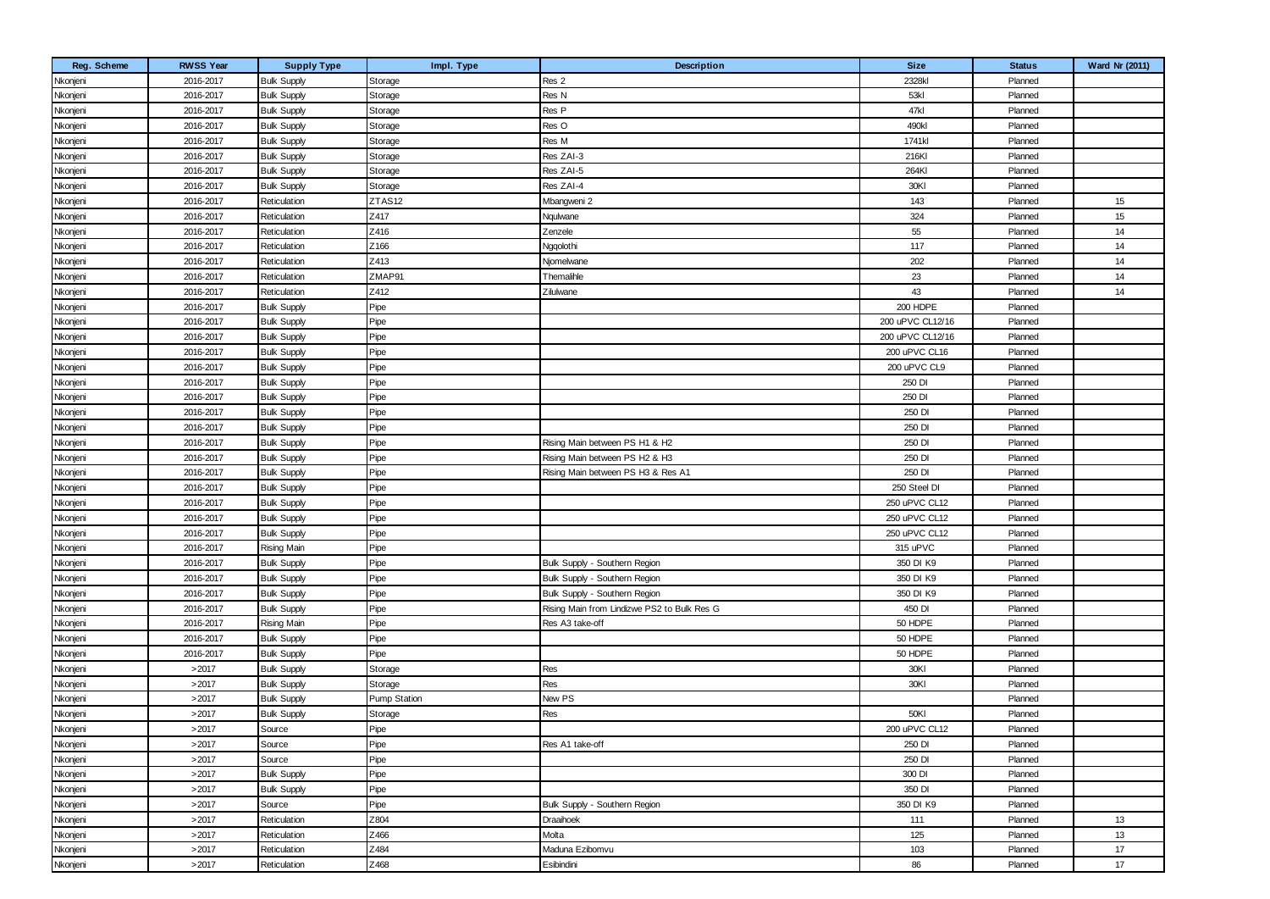| Reg. Scheme | <b>RWSS Year</b> | <b>Supply Type</b> | Impl. Type          | <b>Description</b>                          | <b>Size</b>      | <b>Status</b> | <b>Ward Nr (2011)</b> |
|-------------|------------------|--------------------|---------------------|---------------------------------------------|------------------|---------------|-----------------------|
| Nkonjeni    | 2016-2017        | <b>Bulk Supply</b> | Storage             | Res 2                                       | 2328kl           | Planned       |                       |
| Nkonjeni    | 2016-2017        | <b>Bulk Supply</b> | Storage             | Res N                                       | 53kl             | Planned       |                       |
| Nkonjeni    | 2016-2017        | <b>Bulk Supply</b> | Storage             | Res P                                       | 47kl             | Planned       |                       |
| Nkonjeni    | 2016-2017        | <b>Bulk Supply</b> | Storage             | Res O                                       | 490kl            | Planned       |                       |
| Nkonjeni    | 2016-2017        | <b>Bulk Supply</b> | Storage             | Res M                                       | 1741kl           | Planned       |                       |
| Nkonjeni    | 2016-2017        | <b>Bulk Supply</b> | Storage             | Res ZAI-3                                   | 216KI            | Planned       |                       |
| Nkonjeni    | 2016-2017        | <b>Bulk Supply</b> | Storage             | Res ZAI-5                                   | 264KI            | Planned       |                       |
| Nkonjeni    | 2016-2017        | <b>Bulk Supply</b> | Storage             | Res ZAI-4                                   | 30KI             | Planned       |                       |
| Nkonjeni    | 2016-2017        | Reticulation       | ZTAS12              | Mbangweni 2                                 | 143              | Planned       | 15                    |
| Nkonjeni    | 2016-2017        | Reticulation       | Z417                | Nqulwane                                    | 324              | Planned       | 15                    |
| Nkonjeni    | 2016-2017        | Reticulation       | Z416                | Zenzele                                     | 55               | Planned       | 14                    |
| Nkonjeni    | 2016-2017        | Reticulation       | Z166                | Nggolothi                                   | 117              | Planned       | 14                    |
| Nkonjeni    | 2016-2017        | Reticulation       | Z413                | Njomelwane                                  | 202              | Planned       | 14                    |
| Nkonjeni    | 2016-2017        | Reticulation       | ZMAP91              | Themalihle                                  | 23               | Planned       | 14                    |
| Nkonjeni    | 2016-2017        | Reticulation       | Z412                | Zilulwane                                   | 43               | Planned       | 14                    |
| Nkonjeni    | 2016-2017        | <b>Bulk Supply</b> | Pipe                |                                             | 200 HDPE         | Planned       |                       |
| Nkonjeni    | 2016-2017        | <b>Bulk Supply</b> | Pipe                |                                             | 200 uPVC CL12/16 | Planned       |                       |
| Nkonjeni    | 2016-2017        | <b>Bulk Supply</b> | Pipe                |                                             | 200 uPVC CL12/16 | Planned       |                       |
| Nkonjeni    | 2016-2017        | <b>Bulk Supply</b> | Pipe                |                                             | 200 uPVC CL16    | Planned       |                       |
| Nkonjeni    | 2016-2017        | <b>Bulk Supply</b> | Pipe                |                                             | 200 uPVC CL9     | Planned       |                       |
| Nkonjeni    | 2016-2017        | <b>Bulk Supply</b> | Pipe                |                                             | 250 DI           | Planned       |                       |
| Nkonjeni    | 2016-2017        | <b>Bulk Supply</b> | Pipe                |                                             | 250 DI           | Planned       |                       |
| Nkonjeni    | 2016-2017        | <b>Bulk Supply</b> | Pipe                |                                             | 250 DI           | Planned       |                       |
| Nkonjeni    | 2016-2017        | <b>Bulk Supply</b> | Pipe                |                                             | 250 DI           | Planned       |                       |
| Nkonjeni    | 2016-2017        | <b>Bulk Supply</b> | Pipe                | Rising Main between PS H1 & H2              | 250 DI           | Planned       |                       |
| Nkonjeni    | 2016-2017        | <b>Bulk Supply</b> | Pipe                | Rising Main between PS H2 & H3              | 250 DI           | Planned       |                       |
| Nkonjeni    | 2016-2017        | <b>Bulk Supply</b> | Pipe                | Rising Main between PS H3 & Res A1          | 250 DI           | Planned       |                       |
| Nkonjeni    | 2016-2017        | <b>Bulk Supply</b> | Pipe                |                                             | 250 Steel DI     | Planned       |                       |
| Nkonjeni    | 2016-2017        | <b>Bulk Supply</b> | Pipe                |                                             | 250 uPVC CL12    | Planned       |                       |
| Nkonjeni    | 2016-2017        | <b>Bulk Supply</b> | Pipe                |                                             | 250 uPVC CL12    | Planned       |                       |
| Nkonjeni    | 2016-2017        | <b>Bulk Supply</b> | Pipe                |                                             | 250 uPVC CL12    | Planned       |                       |
| Nkonjeni    | 2016-2017        | <b>Rising Main</b> | Pipe                |                                             | 315 uPVC         | Planned       |                       |
| Nkonjeni    | 2016-2017        | <b>Bulk Supply</b> | Pipe                | Bulk Supply - Southern Region               | 350 DI K9        | Planned       |                       |
| Nkonjeni    | 2016-2017        | <b>Bulk Supply</b> | Pipe                | Bulk Supply - Southern Region               | 350 DI K9        | Planned       |                       |
| Nkonjeni    | 2016-2017        | <b>Bulk Supply</b> | Pipe                | Bulk Supply - Southern Region               | 350 DI K9        | Planned       |                       |
| Nkonjeni    | 2016-2017        | <b>Bulk Supply</b> | Pipe                | Rising Main from Lindizwe PS2 to Bulk Res G | 450 DI           | Planned       |                       |
| Nkonjeni    | 2016-2017        | <b>Rising Main</b> | Pipe                | Res A3 take-off                             | 50 HDPE          | Planned       |                       |
| Nkonjeni    | 2016-2017        | <b>Bulk Supply</b> | Pipe                |                                             | 50 HDPE          | Planned       |                       |
| Nkonjeni    | 2016-2017        | <b>Bulk Supply</b> | Pipe                |                                             | 50 HDPE          | Planned       |                       |
| Nkonjeni    | >2017            | <b>Bulk Supply</b> | Storage             | Res                                         | 30KI             | Planned       |                       |
| Nkonjeni    | >2017            | <b>Bulk Supply</b> | Storage             | Res                                         | 30KI             | Planned       |                       |
| Nkonjeni    | >2017            | <b>Bulk Supply</b> | <b>Pump Station</b> | New PS                                      |                  | Planned       |                       |
| Nkonjeni    | >2017            | <b>Bulk Supply</b> | Storage             | Res                                         | 50KI             | Planned       |                       |
| Nkonjeni    | >2017            | Source             | Pipe                |                                             | 200 uPVC CL12    | Planned       |                       |
| Nkonjeni    | >2017            | Source             | Pipe                | Res A1 take-off                             | 250 DI           | Planned       |                       |
| Nkonjeni    | >2017            | Source             | Pipe                |                                             | 250 DI           | Planned       |                       |
| Nkonjeni    | >2017            | <b>Bulk Supply</b> | Pipe                |                                             | 300 DI           | Planned       |                       |
| Nkonjeni    | >2017            | <b>Bulk Supply</b> | Pipe                |                                             | 350 DI           | Planned       |                       |
| Nkonjeni    | >2017            | Source             | Pipe                | Bulk Supply - Southern Region               | 350 DI K9        | Planned       |                       |
| Nkonjeni    | >2017            | Reticulation       | Z804                | Draaihoek                                   | 111              | Planned       | 13                    |
| Nkonjeni    | >2017            | Reticulation       | Z466                | Molta                                       | 125              | Planned       | 13                    |
| Nkonjeni    | >2017            | Reticulation       | Z484                | Maduna Ezibomvu                             | 103              | Planned       | $17\,$                |
| Nkonjeni    | >2017            | Reticulation       | Z468                | Esibindini                                  | 86               | Planned       | 17                    |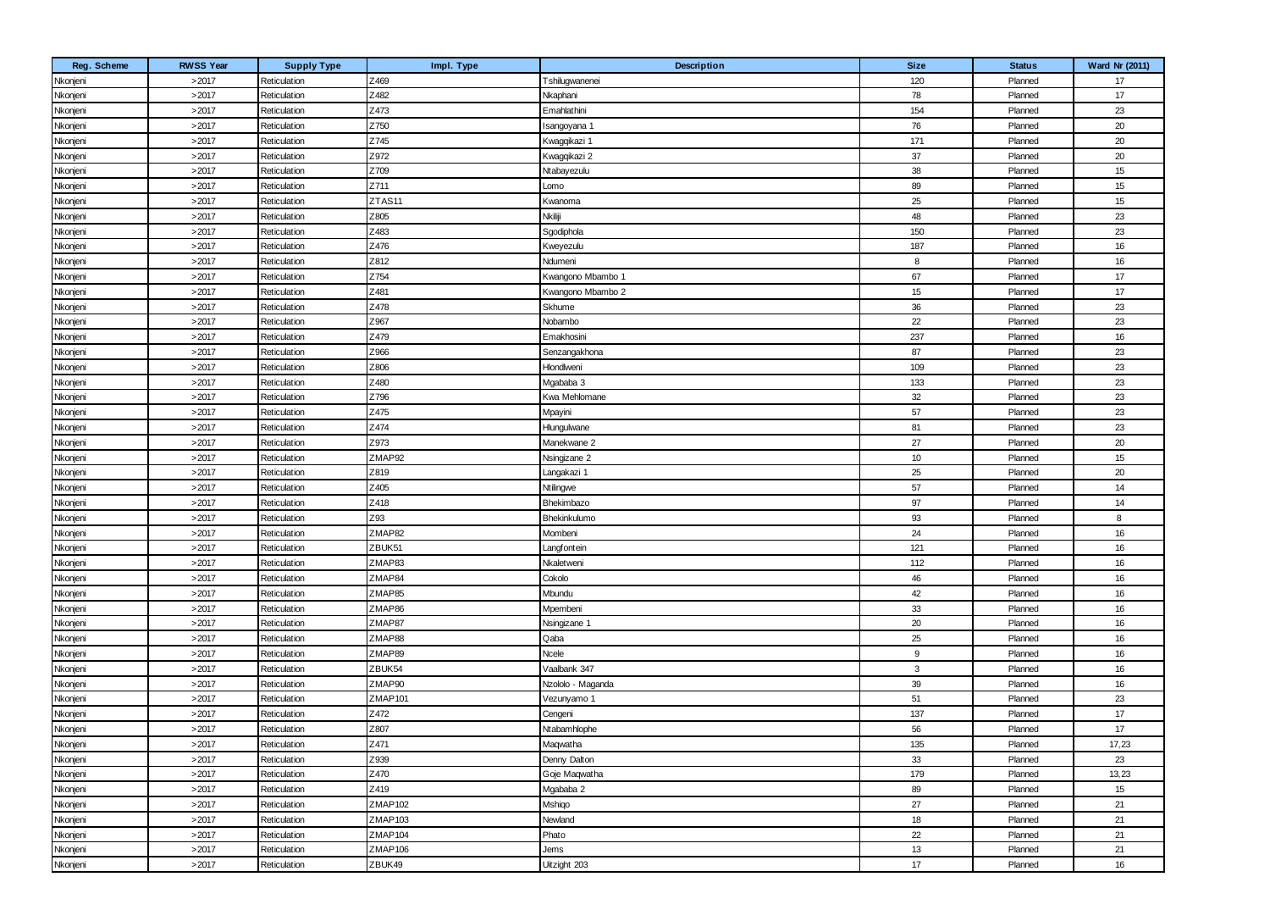| Reg. Scheme | <b>RWSS Year</b> | <b>Supply Type</b> | Impl. Type | Description       | <b>Size</b>  | <b>Status</b> | Ward Nr (2011) |
|-------------|------------------|--------------------|------------|-------------------|--------------|---------------|----------------|
| Nkonjeni    | >2017            | Reticulation       | Z469       | Tshilugwanenei    | 120          | Planned       | 17             |
| Nkonjeni    | >2017            | Reticulation       | Z482       | Nkaphani          | 78           | Planned       | 17             |
| Nkonjeni    | >2017            | Reticulation       | Z473       | Emahlathini       | 154          | Planned       | 23             |
| Nkonjeni    | >2017            | Reticulation       | Z750       | sangoyana '       | 76           | Planned       | 20             |
| Nkonjeni    | >2017            | Reticulation       | Z745       | Kwagqikazi 1      | 171          | Planned       | 20             |
| Nkonjeni    | >2017            | Reticulation       | Z972       | Kwagqikazi 2      | 37           | Planned       | 20             |
| Nkonjeni    | >2017            | Reticulation       | Z709       | Ntabayezulu       | 38           | Planned       | 15             |
| Nkonjeni    | >2017            | Reticulation       | Z711       | Lomo              | 89           | Planned       | 15             |
| Nkonjeni    | >2017            | Reticulation       | ZTAS11     | Kwanoma           | 25           | Planned       | 15             |
| Nkonjeni    | >2017            | Reticulation       | Z805       | Nkiliji           | 48           | Planned       | 23             |
| Nkonjeni    | >2017            | Reticulation       | Z483       | Sgodiphola        | 150          | Planned       | 23             |
| Nkonjeni    | >2017            | Reticulation       | Z476       | Kweyezulu         | 187          | Planned       | 16             |
| Nkonjeni    | >2017            | Reticulation       | Z812       | Ndumeni           | 8            | Planned       | 16             |
| Nkonjeni    | >2017            | Reticulation       | Z754       | Kwangono Mbambo 1 | 67           | Planned       | 17             |
| Nkonjeni    | >2017            | Reticulation       | Z481       | Kwangono Mbambo 2 | 15           | Planned       | 17             |
| Nkonjeni    | >2017            | Reticulation       | Z478       | Skhume            | 36           | Planned       | 23             |
| Nkonjeni    | >2017            | Reticulation       | Z967       | Nobambo           | 22           | Planned       | 23             |
| Nkonjeni    | >2017            | Reticulation       | Z479       | Emakhosini        | 237          | Planned       | 16             |
| Nkonjeni    | >2017            | Reticulation       | Z966       | Senzangakhona     | 87           | Planned       | 23             |
| Nkonjeni    | >2017            | Reticulation       | Z806       | Hlondlweni        | 109          | Planned       | 23             |
| Nkonjeni    | >2017            | Reticulation       | Z480       | Mgababa 3         | 133          | Planned       | 23             |
| Nkonjeni    | >2017            | Reticulation       | Z796       | Kwa Mehlomane     | 32           | Planned       | 23             |
| Nkonjeni    | >2017            | Reticulation       | Z475       | Mpayini           | 57           | Planned       | 23             |
| Nkonjeni    | >2017            | Reticulation       | Z474       | Hlungulwane       | 81           | Planned       | 23             |
| Nkonjeni    | >2017            | Reticulation       | Z973       | Manekwane 2       | 27           | Planned       | 20             |
| Nkonjeni    | >2017            | Reticulation       | ZMAP92     | Nsingizane 2      | 10           | Planned       | 15             |
| Nkonjeni    | >2017            | Reticulation       | Z819       | Langakazi 1       | 25           | Planned       | 20             |
| Nkonjeni    | >2017            | Reticulation       | Z405       | Ntilingwe         | 57           | Planned       | 14             |
| Nkonjeni    | >2017            | Reticulation       | Z418       | Bhekimbazo        | 97           | Planned       | 14             |
| Nkonjeni    | >2017            | Reticulation       | Z93        | Bhekinkulumo      | 93           | Planned       | 8              |
| Nkonjeni    | >2017            | Reticulation       | ZMAP82     | Mombeni           | 24           | Planned       | 16             |
| Nkonjeni    | >2017            | Reticulation       | ZBUK51     | Langfontein       | 121          | Planned       | 16             |
| Nkonjeni    | >2017            | Reticulation       | ZMAP83     | Nkaletweni        | 112          | Planned       | 16             |
| Nkonjeni    | >2017            | Reticulation       | ZMAP84     | Cokolo            | 46           | Planned       | 16             |
| Nkonjeni    | >2017            | Reticulation       | ZMAP85     | Mbundu            | 42           | Planned       | 16             |
| Nkonjeni    | >2017            | Reticulation       | ZMAP86     | Mpembeni          | 33           | Planned       | 16             |
| Nkonjeni    | >2017            | Reticulation       | ZMAP87     | Nsingizane 1      | 20           | Planned       | 16             |
| Nkonjeni    | >2017            | Reticulation       | ZMAP88     | Qaba              | 25           | Planned       | 16             |
| Nkonjeni    | >2017            | Reticulation       | ZMAP89     | Ncele             | 9            | Planned       | 16             |
| Nkonjeni    | >2017            | Reticulation       | ZBUK54     | Vaalbank 347      | $\mathbf{3}$ | Planned       | 16             |
| Nkonjeni    | >2017            | Reticulation       | ZMAP90     | Nzololo - Maganda | 39           | Planned       | 16             |
| Nkonjeni    | >2017            | Reticulation       | ZMAP101    | Vezunyamo 1       | 51           | Planned       | 23             |
| Nkonjeni    | >2017            | Reticulation       | Z472       | Cengeni           | 137          | Planned       | 17             |
| Nkonjeni    | >2017            | Reticulation       | Z807       | Ntabamhlophe      | 56           | Planned       | 17             |
| Nkonjeni    | >2017            | Reticulation       | Z471       | Maqwatha          | 135          | Planned       | 17,23          |
| Nkonjeni    | >2017            | Reticulation       | Z939       | Denny Dalton      | 33           | Planned       | 23             |
| Nkonjeni    | >2017            | Reticulation       | Z470       | Goje Maqwatha     | 179          | Planned       | 13,23          |
| Nkonjeni    | >2017            | Reticulation       | Z419       | Mgababa 2         | 89           | Planned       | 15             |
| Nkonjeni    | >2017            | Reticulation       | ZMAP102    | Mshiqo            | 27           | Planned       | 21             |
| Nkonjeni    | >2017            | Reticulation       | ZMAP103    | Newland           | 18           | Planned       | 21             |
| Nkonjeni    | >2017            | Reticulation       | ZMAP104    | Phato             | 22           | Planned       | 21             |
| Nkonjeni    | >2017            | Reticulation       | ZMAP106    | Jems              | 13           | Planned       | 21             |
| Nkonjeni    | >2017            | Reticulation       | ZBUK49     | Uitzight 203      | 17           | Planned       | 16             |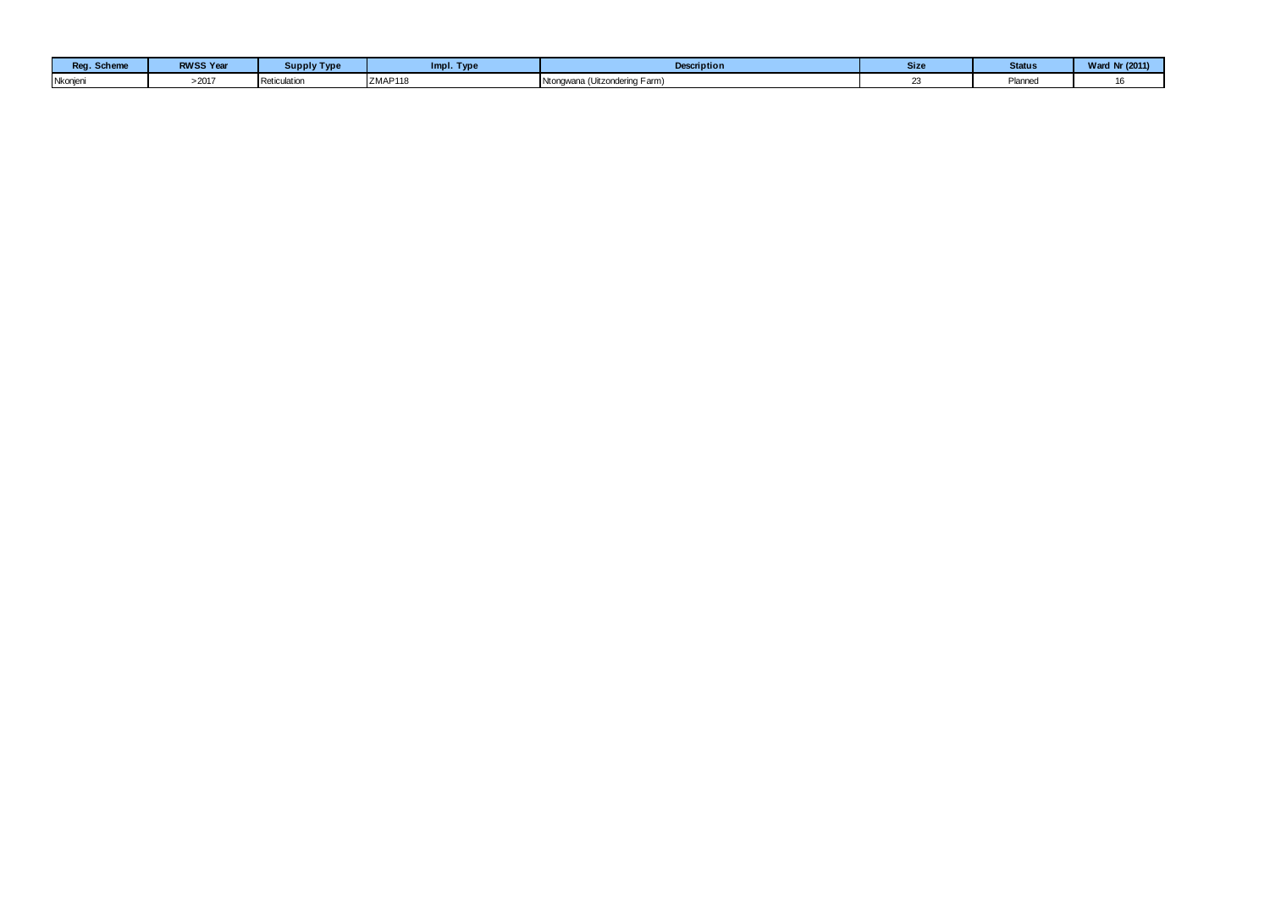| Reg. Scheme | <b>RWSS Year</b> | Supply Type  | Impl. Type | <b>Description</b>                      | <b>Size</b> | <b>Status</b> | Ward Nr (2011) |
|-------------|------------------|--------------|------------|-----------------------------------------|-------------|---------------|----------------|
| Nkonjeni    | >2017            | Reticulation | ZMAP118    | Ntongwana,<br>≅wana (Uitzondering Farm) |             | Planned       |                |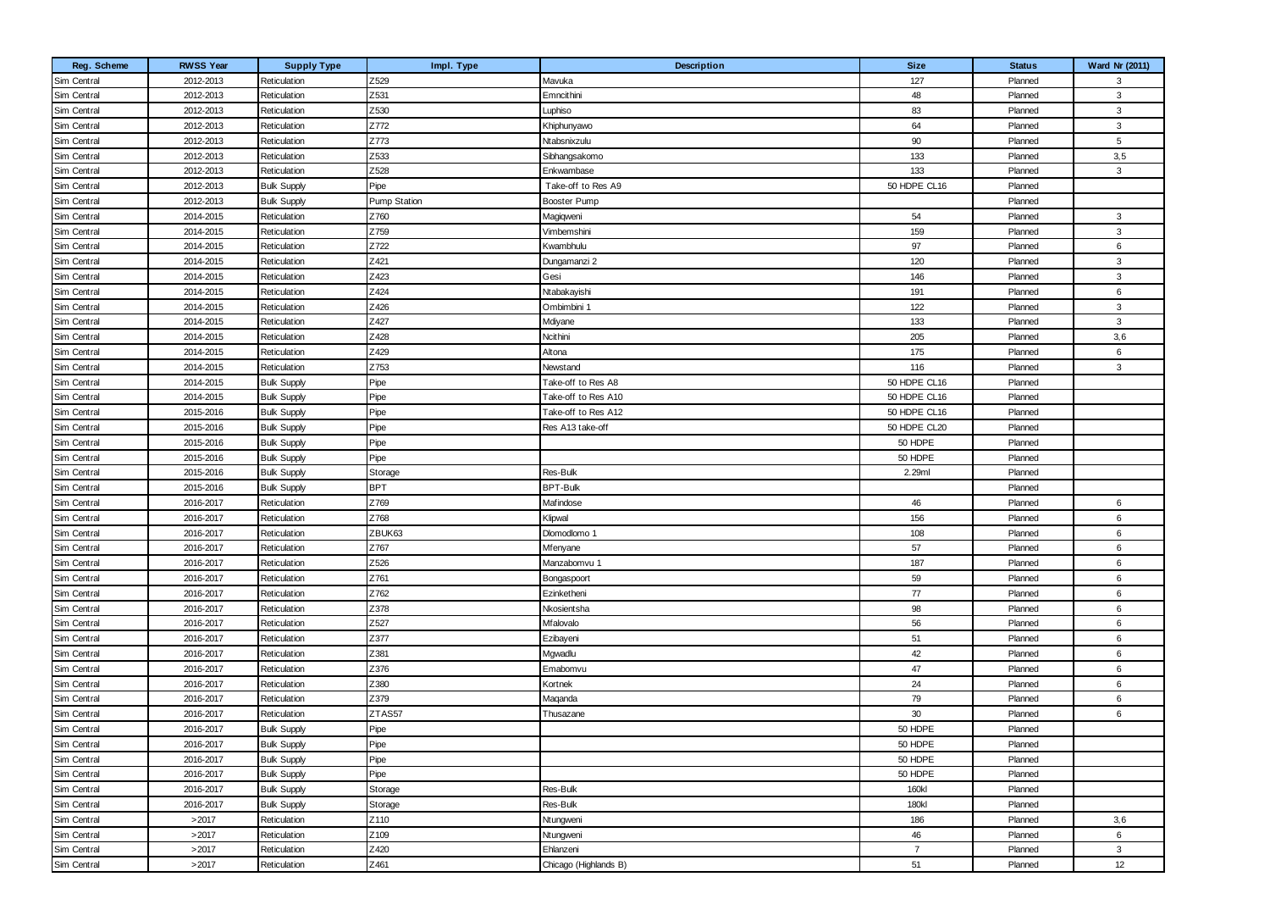| Reg. Scheme | <b>RWSS Year</b> | <b>Supply Type</b> | Impl. Type          | Description           | <b>Size</b>    | <b>Status</b> | Ward Nr (2011) |
|-------------|------------------|--------------------|---------------------|-----------------------|----------------|---------------|----------------|
| Sim Central | 2012-2013        | Reticulation       | Z529                | Mavuka                | 127            | Planned       | 3              |
| Sim Central | 2012-2013        | Reticulation       | Z531                | Emncithini            | 48             | Planned       | 3              |
| Sim Central | 2012-2013        | Reticulation       | Z530                | Luphiso               | 83             | Planned       | 3              |
| Sim Central | 2012-2013        | Reticulation       | Z772                | Khiphunyawo           | 64             | Planned       | $\mathbf{3}$   |
| Sim Central | 2012-2013        | Reticulation       | Z773                | Ntabsnixzulu          | 90             | Planned       | 5              |
| Sim Central | 2012-2013        | Reticulation       | Z533                | Sibhangsakomo         | 133            | Planned       | 3,5            |
| Sim Central | 2012-2013        | Reticulation       | Z528                | Enkwambase            | 133            | Planned       | $\mathbf{3}$   |
| Sim Central | 2012-2013        | <b>Bulk Supply</b> | Pipe                | Take-off to Res A9    | 50 HDPE CL16   | Planned       |                |
| Sim Central | 2012-2013        | <b>Bulk Supply</b> | <b>Pump Station</b> | Booster Pump          |                | Planned       |                |
| Sim Central | 2014-2015        | Reticulation       | Z760                | Magiqweni             | 54             | Planned       | 3              |
| Sim Central | 2014-2015        | Reticulation       | Z759                | Vimbemshini           | 159            | Planned       | 3              |
| Sim Central | 2014-2015        | Reticulation       | Z722                | Kwambhulu             | 97             | Planned       | 6              |
| Sim Central | 2014-2015        | Reticulation       | Z421                | Dungamanzi 2          | 120            | Planned       | 3              |
| Sim Central | 2014-2015        | Reticulation       | Z423                | Gesi                  | 146            | Planned       | 3              |
| Sim Central | 2014-2015        | Reticulation       | Z424                | Ntabakayishi          | 191            | Planned       | 6              |
| Sim Central | 2014-2015        | Reticulation       | Z426                | Ombimbini 1           | 122            | Planned       | $\mathbf{3}$   |
| Sim Central | 2014-2015        | Reticulation       | Z427                | Mdiyane               | 133            | Planned       | 3              |
| Sim Central | 2014-2015        | Reticulation       | Z428                | Ncithini              | 205            | Planned       | 3,6            |
| Sim Central | 2014-2015        | Reticulation       | Z429                | Altona                | 175            | Planned       | 6              |
| Sim Central | 2014-2015        | Reticulation       | Z753                | Newstand              | 116            | Planned       | 3              |
| Sim Central | 2014-2015        | <b>Bulk Supply</b> | Pipe                | Take-off to Res A8    | 50 HDPE CL16   | Planned       |                |
| Sim Central | 2014-2015        | <b>Bulk Supply</b> | Pipe                | Take-off to Res A10   | 50 HDPE CL16   | Planned       |                |
| Sim Central | 2015-2016        | <b>Bulk Supply</b> | Pipe                | Take-off to Res A12   | 50 HDPE CL16   | Planned       |                |
| Sim Central | 2015-2016        | <b>Bulk Supply</b> | Pipe                | Res A13 take-off      | 50 HDPE CL20   | Planned       |                |
| Sim Central | 2015-2016        | <b>Bulk Supply</b> | Pipe                |                       | 50 HDPE        | Planned       |                |
| Sim Central | 2015-2016        | <b>Bulk Supply</b> | Pipe                |                       | 50 HDPE        | Planned       |                |
| Sim Central | 2015-2016        | <b>Bulk Supply</b> | Storage             | Res-Bulk              | 2.29ml         | Planned       |                |
| Sim Central | 2015-2016        | <b>Bulk Supply</b> | <b>BPT</b>          | <b>BPT-Bulk</b>       |                | Planned       |                |
| Sim Central | 2016-2017        | Reticulation       | Z769                | Mafindose             | 46             | Planned       | 6              |
| Sim Central | 2016-2017        | Reticulation       | Z768                | Klipwal               | 156            | Planned       | 6              |
| Sim Central | 2016-2017        | Reticulation       | ZBUK63              | Dlomodlomo 1          | 108            | Planned       | 6              |
| Sim Central | 2016-2017        | Reticulation       | Z767                | Mfenyane              | 57             | Planned       | 6              |
| Sim Central | 2016-2017        | Reticulation       | Z526                | Manzabomvu 1          | 187            | Planned       | 6              |
| Sim Central | 2016-2017        | Reticulation       | Z761                | Bongaspoort           | 59             | Planned       | 6              |
| Sim Central | 2016-2017        | Reticulation       | Z762                | Ezinketheni           | 77             | Planned       | 6              |
| Sim Central | 2016-2017        | Reticulation       | Z378                | Nkosientsha           | 98             | Planned       | 6              |
| Sim Central | 2016-2017        | Reticulation       | Z527                | Mfalovalo             | 56             | Planned       | 6              |
| Sim Central | 2016-2017        | Reticulation       | Z377                | Ezibayeni             | 51             | Planned       | 6              |
| Sim Central | 2016-2017        | Reticulation       | Z381                | Mgwadlu               | 42             | Planned       | 6              |
| Sim Central | 2016-2017        | Reticulation       | Z376                | Emabomvu              | 47             | Planned       | 6              |
| Sim Central | 2016-2017        | Reticulation       | Z380                | Kortnek               | 24             | Planned       | 6              |
| Sim Central | 2016-2017        | Reticulation       | Z379                | Maqanda               | 79             | Planned       | 6              |
| Sim Central | 2016-2017        | Reticulation       | ZTAS57              | Thusazane             | 30             | Planned       | 6              |
| Sim Central | 2016-2017        | <b>Bulk Supply</b> | Pipe                |                       | 50 HDPE        | Planned       |                |
| Sim Central | 2016-2017        | <b>Bulk Supply</b> | Pipe                |                       | 50 HDPE        | Planned       |                |
| Sim Central | 2016-2017        | <b>Bulk Supply</b> | Pipe                |                       | 50 HDPE        | Planned       |                |
| Sim Central | 2016-2017        | <b>Bulk Supply</b> | Pipe                |                       | 50 HDPE        | Planned       |                |
| Sim Central | 2016-2017        | <b>Bulk Supply</b> | Storage             | Res-Bulk              | 160kl          | Planned       |                |
| Sim Central | 2016-2017        | <b>Bulk Supply</b> | Storage             | Res-Bulk              | 180kl          | Planned       |                |
| Sim Central | >2017            | Reticulation       | Z110                | Ntungweni             | 186            | Planned       | 3,6            |
| Sim Central | >2017            | Reticulation       | Z <sub>109</sub>    | Ntungweni             | 46             | Planned       | 6              |
| Sim Central | >2017            | Reticulation       | Z420                | Ehlanzeni             | $\overline{7}$ | Planned       | 3              |
| Sim Central | >2017            | Reticulation       | Z461                | Chicago (Highlands B) | 51             | Planned       | 12             |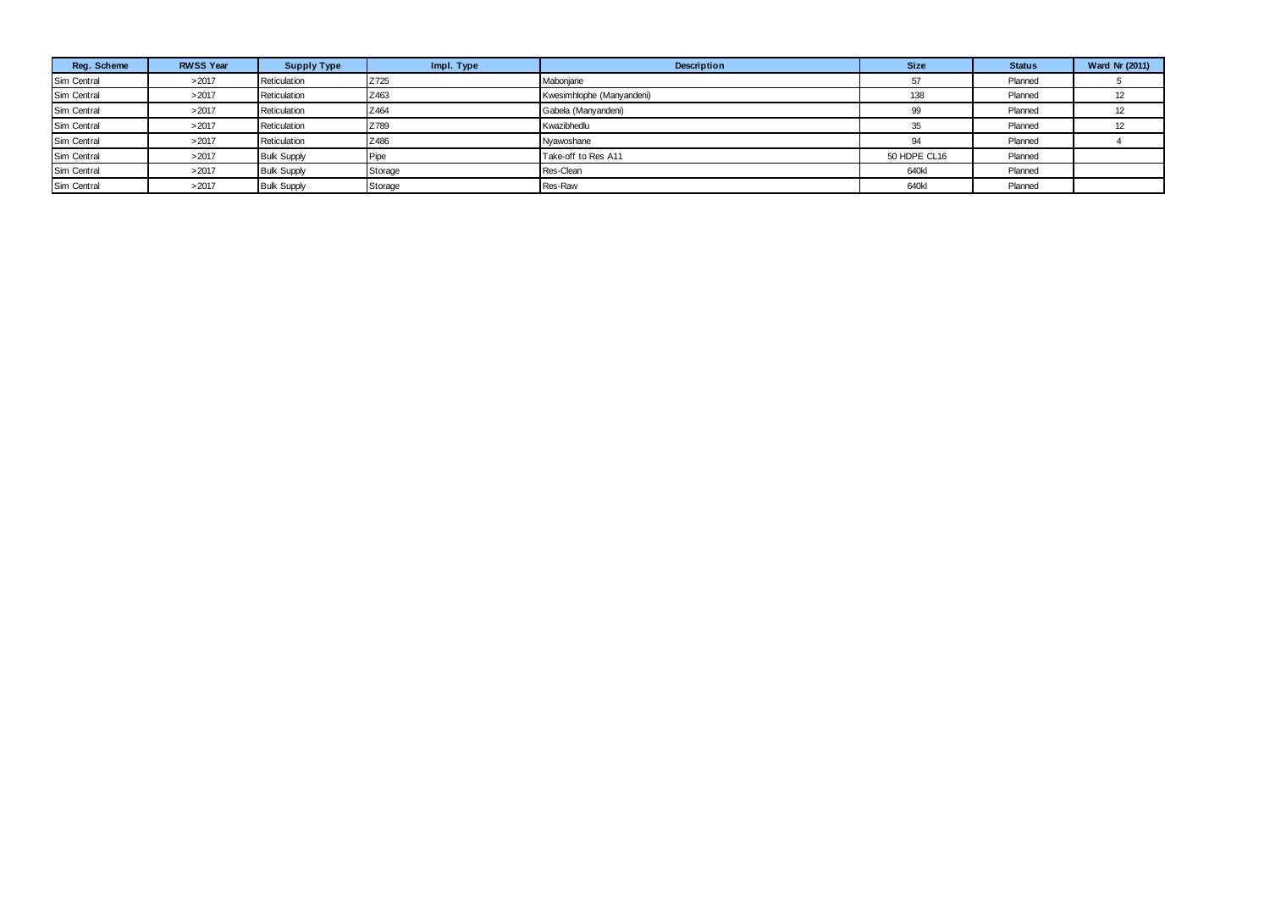| Reg. Scheme | <b>RWSS Year</b> | <b>Supply Type</b> | Impl. Type | Description               | <b>Size</b>  | <b>Status</b> | <b>Ward Nr (2011)</b> |
|-------------|------------------|--------------------|------------|---------------------------|--------------|---------------|-----------------------|
| Sim Central | >2017            | Reticulation       | Z725       | Mabonjane                 | 57           | Planned       |                       |
| Sim Central | >2017            | Reticulation       | Z463       | Kwesimhlophe (Manyandeni) | 138          | Planned       |                       |
| Sim Central | >2017            | Reticulation       | Z464       | Gabela (Manyandeni)       | 99           | Planned       |                       |
| Sim Central | >2017            | Reticulation       | Z789       | Kwazibhedlu               | 35           | Planned       |                       |
| Sim Central | >2017            | Reticulation       | Z486       | Nyawoshane                | 94           | Planned       |                       |
| Sim Central | >2017            | <b>Bulk Supply</b> | Pipe       | Take-off to Res A11       | 50 HDPE CL16 | Planned       |                       |
| Sim Central | >2017            | <b>Bulk Supply</b> | Storage    | Res-Clean                 | 640kl        | Planned       |                       |
| Sim Central | >2017            | <b>Bulk Supply</b> | Storage    | Res-Raw                   | 640kl        | Planned       |                       |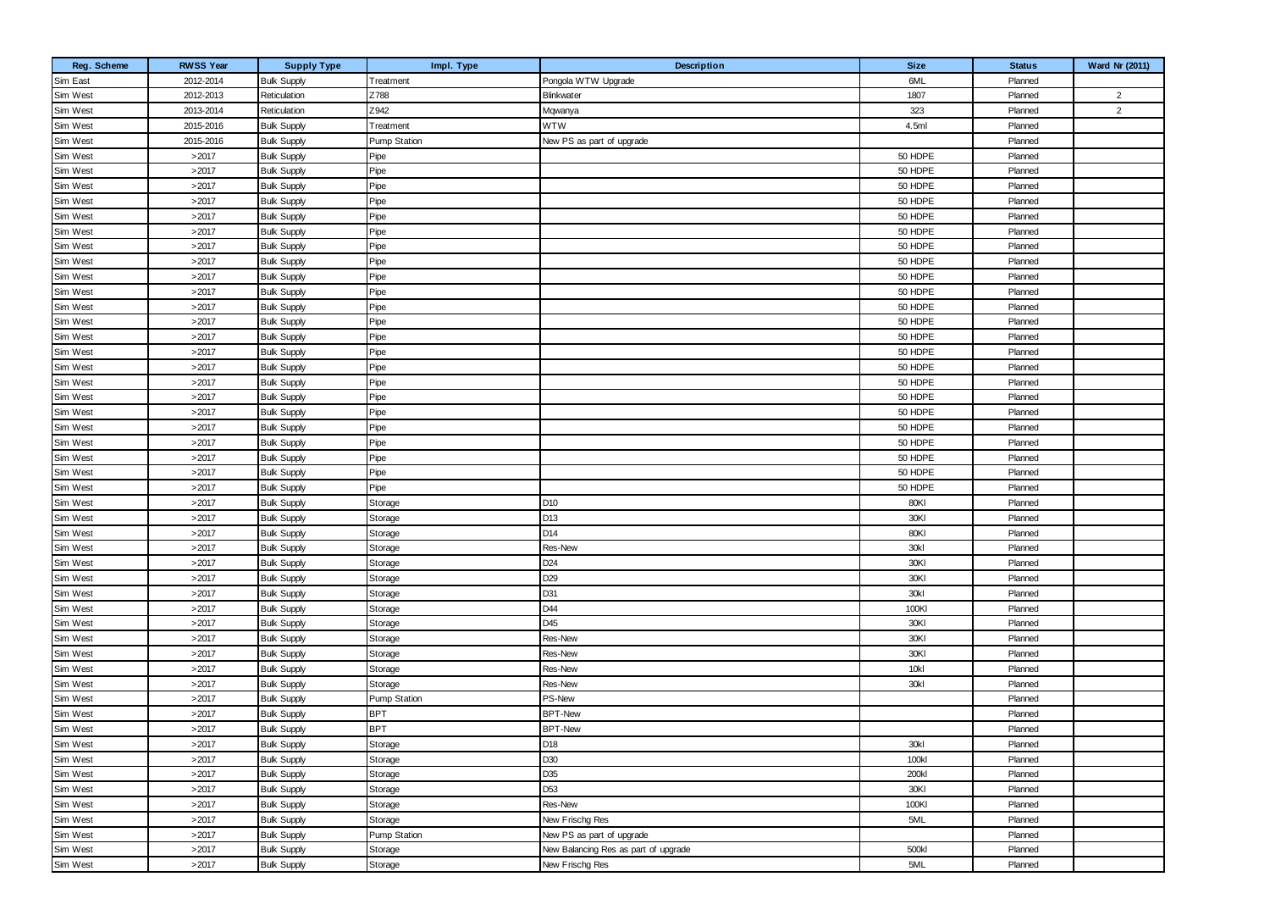| Reg. Scheme          | <b>RWSS Year</b> | <b>Supply Type</b>                       | Impl. Type               | Description                          | <b>Size</b>   | <b>Status</b>      | Ward Nr (2011) |
|----------------------|------------------|------------------------------------------|--------------------------|--------------------------------------|---------------|--------------------|----------------|
| Sim East             | 2012-2014        | <b>Bulk Supply</b>                       | Treatment                | Pongola WTW Upgrade                  | 6ML           | Planned            |                |
| Sim West             | 2012-2013        | Reticulation                             | Z788                     | <b>Blinkwater</b>                    | 1807          | Planned            | $\overline{2}$ |
| Sim West             | 2013-2014        | Reticulation                             | Z942                     | Mqwanya                              | 323           | Planned            | $\overline{2}$ |
| Sim West             | 2015-2016        | <b>Bulk Supply</b>                       | Treatment                | <b>WTW</b>                           | 4.5ml         | Planned            |                |
| Sim West             | 2015-2016        | <b>Bulk Supply</b>                       | <b>Pump Station</b>      | New PS as part of upgrade            |               | Planned            |                |
| Sim West             | >2017            | <b>Bulk Supply</b>                       | Pipe                     |                                      | 50 HDPE       | Planned            |                |
| Sim West             | >2017            | <b>Bulk Supply</b>                       | Pipe                     |                                      | 50 HDPE       | Planned            |                |
| Sim West             | >2017            | <b>Bulk Supply</b>                       | Pipe                     |                                      | 50 HDPE       | Planned            |                |
| Sim West             | >2017            | <b>Bulk Supply</b>                       | Pipe                     |                                      | 50 HDPE       | Planned            |                |
| Sim West             | >2017            | <b>Bulk Supply</b>                       | Pipe                     |                                      | 50 HDPE       | Planned            |                |
| Sim West             | >2017            | <b>Bulk Supply</b>                       | Pipe                     |                                      | 50 HDPE       | Planned            |                |
| Sim West             | >2017            | <b>Bulk Supply</b>                       | Pipe                     |                                      | 50 HDPE       | Planned            |                |
| Sim West             | >2017            | <b>Bulk Supply</b>                       | Pipe                     |                                      | 50 HDPE       | Planned            |                |
| Sim West             | >2017            | <b>Bulk Supply</b>                       | Pipe                     |                                      | 50 HDPE       | Planned            |                |
| Sim West             | >2017            | <b>Bulk Supply</b>                       | Pipe                     |                                      | 50 HDPE       | Planned            |                |
| Sim West             | >2017            | <b>Bulk Supply</b>                       | Pipe                     |                                      | 50 HDPE       | Planned            |                |
| Sim West             | >2017            | <b>Bulk Supply</b>                       | Pipe                     |                                      | 50 HDPE       | Planned            |                |
| Sim West             | >2017            | <b>Bulk Supply</b>                       | Pipe                     |                                      | 50 HDPE       | Planned            |                |
| Sim West             | >2017            | <b>Bulk Supply</b>                       | Pipe                     |                                      | 50 HDPE       | Planned            |                |
| Sim West             | >2017            | <b>Bulk Supply</b>                       | Pipe                     |                                      | 50 HDPE       | Planned            |                |
| Sim West             | >2017            | <b>Bulk Supply</b>                       | Pipe                     |                                      | 50 HDPE       | Planned            |                |
| Sim West             | >2017            | <b>Bulk Supply</b>                       | Pipe                     |                                      | 50 HDPE       | Planned            |                |
| Sim West             | >2017            | <b>Bulk Supply</b>                       | Pipe                     |                                      | 50 HDPE       | Planned            |                |
| Sim West             | >2017            | <b>Bulk Supply</b>                       | Pipe                     |                                      | 50 HDPE       | Planned            |                |
| Sim West             | >2017            | <b>Bulk Supply</b>                       | Pipe                     |                                      | 50 HDPE       | Planned            |                |
| Sim West             | >2017            | <b>Bulk Supply</b>                       | Pipe                     |                                      | 50 HDPE       | Planned            |                |
| Sim West             | >2017            | <b>Bulk Supply</b>                       | Pipe                     |                                      | 50 HDPE       | Planned            |                |
| Sim West             | >2017            | <b>Bulk Supply</b>                       | Pipe                     |                                      | 50 HDPE       | Planned            |                |
| Sim West             | >2017            | <b>Bulk Supply</b>                       | Storage                  | D10                                  | 80KI          | Planned            |                |
| Sim West             | >2017            | <b>Bulk Supply</b>                       | Storage                  | D13                                  | 30KI          | Planned            |                |
| Sim West             | >2017            | <b>Bulk Supply</b>                       | Storage                  | D14                                  | 80KI          | Planned            |                |
| Sim West             | >2017            | <b>Bulk Supply</b>                       | Storage                  | Res-New                              | 30kl          | Planned            |                |
| Sim West             | >2017            | <b>Bulk Supply</b>                       | Storage                  | D <sub>24</sub>                      | 30KI          | Planned            |                |
| Sim West             | >2017            | <b>Bulk Supply</b>                       | Storage                  | D <sub>29</sub>                      | 30KI          | Planned            |                |
| Sim West             | >2017            | <b>Bulk Supply</b>                       | Storage                  | D31                                  | 30kl          | Planned            |                |
| Sim West             | >2017            | <b>Bulk Supply</b>                       | Storage                  | D44                                  | 100KI         | Planned            |                |
| Sim West             | >2017            | <b>Bulk Supply</b>                       | Storage                  | D45                                  | 30KI          | Planned            |                |
| Sim West             | >2017            | <b>Bulk Supply</b>                       | Storage                  | Res-New                              | 30KI          | Planned            |                |
| Sim West             | >2017            | <b>Bulk Supply</b>                       | Storage                  | Res-New                              | 30KI          | Planned            |                |
| Sim West             | >2017            | <b>Bulk Supply</b>                       | Storage                  | Res-New                              | 10kl          | Planned            |                |
| Sim West             | >2017            | <b>Bulk Supply</b>                       | Storage                  | Res-New                              | 30kl          | Planned            |                |
| Sim West             | >2017            | <b>Bulk Supply</b>                       | <b>Pump Station</b>      | PS-New                               |               | Planned            |                |
| Sim West<br>Sim West | >2017<br>>2017   | <b>Bulk Supply</b><br><b>Bulk Supply</b> | <b>BPT</b><br><b>BPT</b> | <b>BPT-New</b><br><b>BPT-New</b>     |               | Planned<br>Planned |                |
| Sim West             |                  |                                          |                          |                                      |               |                    |                |
| Sim West             | >2017<br>>2017   | <b>Bulk Supply</b><br><b>Bulk Supply</b> | Storage                  | D18<br>D30                           | 30kl<br>100kl | Planned<br>Planned |                |
| Sim West             | >2017            | <b>Bulk Supply</b>                       | Storage<br>Storage       | D35                                  | 200kl         | Planned            |                |
| Sim West             | >2017            |                                          |                          | D <sub>53</sub>                      | 30KI          | Planned            |                |
| Sim West             | >2017            | <b>Bulk Supply</b><br><b>Bulk Supply</b> | Storage<br>Storage       | Res-New                              | 100KI         | Planned            |                |
| Sim West             | >2017            | <b>Bulk Supply</b>                       | Storage                  | New Frischg Res                      | 5ML           | Planned            |                |
| Sim West             | >2017            | <b>Bulk Supply</b>                       | Pump Station             | New PS as part of upgrade            |               | Planned            |                |
| Sim West             | >2017            | <b>Bulk Supply</b>                       | Storage                  | New Balancing Res as part of upgrade | 500kl         | Planned            |                |
| Sim West             | >2017            | <b>Bulk Supply</b>                       | Storage                  | New Frischg Res                      | 5ML           | Planned            |                |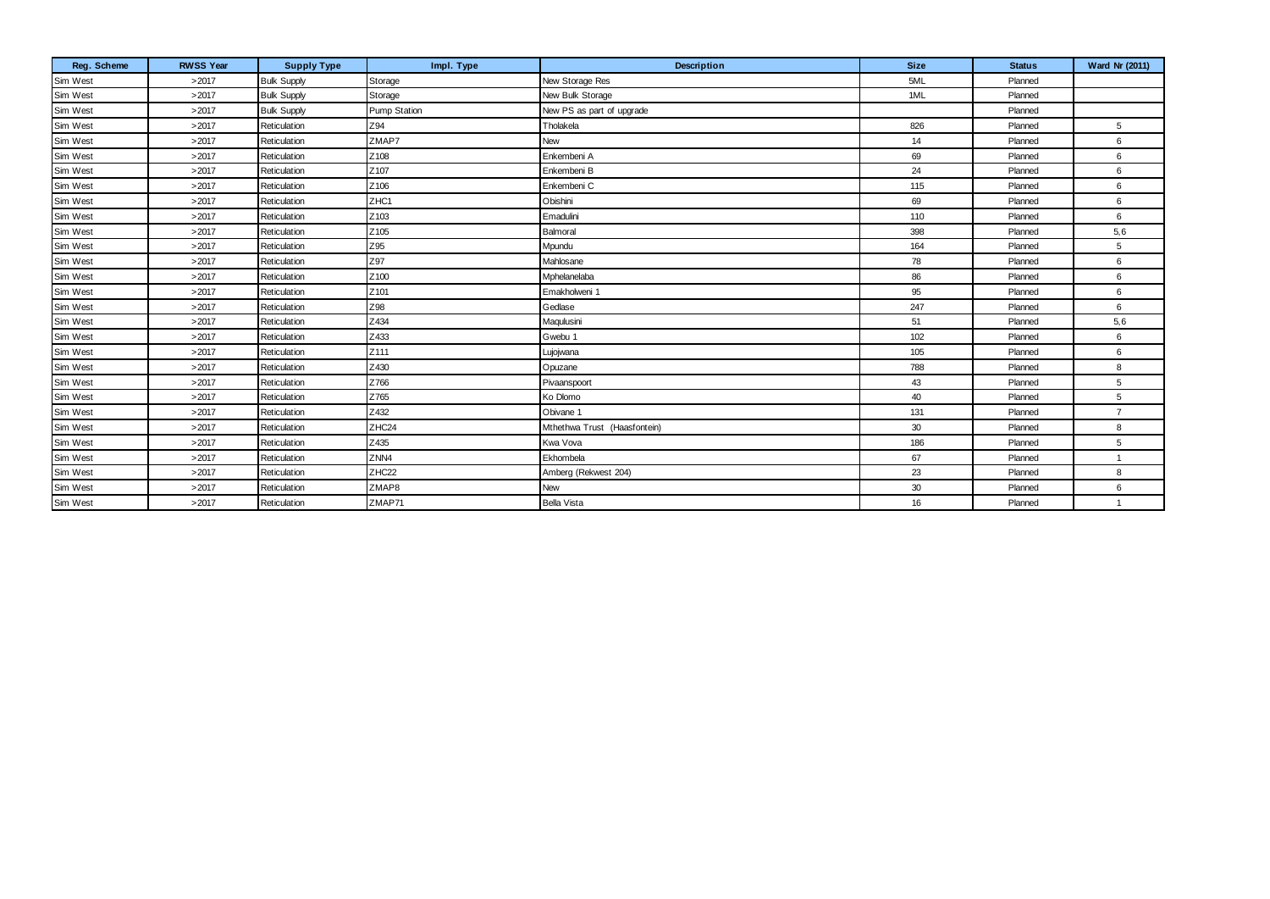| Reg. Scheme | <b>RWSS Year</b> | <b>Supply Type</b> | Impl. Type        | Description                  | <b>Size</b> | <b>Status</b> | Ward Nr (2011) |
|-------------|------------------|--------------------|-------------------|------------------------------|-------------|---------------|----------------|
| Sim West    | >2017            | <b>Bulk Supply</b> | Storage           | New Storage Res              | 5ML         | Planned       |                |
| Sim West    | >2017            | <b>Bulk Supply</b> | Storage           | New Bulk Storage             | 1ML         | Planned       |                |
| Sim West    | >2017            | <b>Bulk Supply</b> | Pump Station      | New PS as part of upgrade    |             | Planned       |                |
| Sim West    | >2017            | Reticulation       | Z94               | Tholakela                    | 826         | Planned       | 5              |
| Sim West    | >2017            | Reticulation       | ZMAP7             | New                          | 14          | Planned       | 6              |
| Sim West    | >2017            | Reticulation       | Z108              | Enkembeni A                  | 69          | Planned       | 6              |
| Sim West    | >2017            | Reticulation       | Z107              | Enkembeni B                  | 24          | Planned       | 6              |
| Sim West    | >2017            | Reticulation       | Z106              | Enkembeni C                  | 115         | Planned       | 6              |
| Sim West    | >2017            | Reticulation       | ZHC1              | Obishini                     | 69          | Planned       | 6              |
| Sim West    | >2017            | Reticulation       | Z103              | Emadulini                    | 110         | Planned       | 6              |
| Sim West    | >2017            | Reticulation       | Z105              | Balmoral                     | 398         | Planned       | 5,6            |
| Sim West    | >2017            | Reticulation       | Z95               | Mpundu                       | 164         | Planned       | 5              |
| Sim West    | >2017            | Reticulation       | Z97               | Mahlosane                    | 78          | Planned       | 6              |
| Sim West    | >2017            | Reticulation       | Z100              | Mphelanelaba                 | 86          | Planned       | 6              |
| Sim West    | >2017            | Reticulation       | Z101              | Emakholweni 1                | 95          | Planned       | 6              |
| Sim West    | >2017            | Reticulation       | Z98               | Gedlase                      | 247         | Planned       | 6              |
| Sim West    | >2017            | Reticulation       | Z434              | Maqulusini                   | 51          | Planned       | 5,6            |
| Sim West    | >2017            | Reticulation       | Z433              | Gwebu 1                      | 102         | Planned       | 6              |
| Sim West    | >2017            | Reticulation       | Z111              | Lujojwana                    | 105         | Planned       | 6              |
| Sim West    | >2017            | Reticulation       | Z430              | Opuzane                      | 788         | Planned       | 8              |
| Sim West    | >2017            | Reticulation       | Z766              | Pivaanspoort                 | 43          | Planned       | 5              |
| Sim West    | >2017            | Reticulation       | Z765              | Ko Dlomo                     | 40          | Planned       | 5              |
| Sim West    | >2017            | Reticulation       | Z432              | Obivane 1                    | 131         | Planned       | $\overline{7}$ |
| Sim West    | >2017            | Reticulation       | ZHC24             | Mthethwa Trust (Haasfontein) | 30          | Planned       | 8              |
| Sim West    | >2017            | Reticulation       | Z435              | Kwa Vova                     | 186         | Planned       | 5              |
| Sim West    | >2017            | Reticulation       | ZNN4              | Ekhombela                    | 67          | Planned       |                |
| Sim West    | >2017            | Reticulation       | ZHC <sub>22</sub> | Amberg (Rekwest 204)         | 23          | Planned       | 8              |
| Sim West    | >2017            | Reticulation       | ZMAP8             | New                          | 30          | Planned       | 6              |
| Sim West    | >2017            | Reticulation       | ZMAP71            | <b>Bella Vista</b>           | 16          | Planned       |                |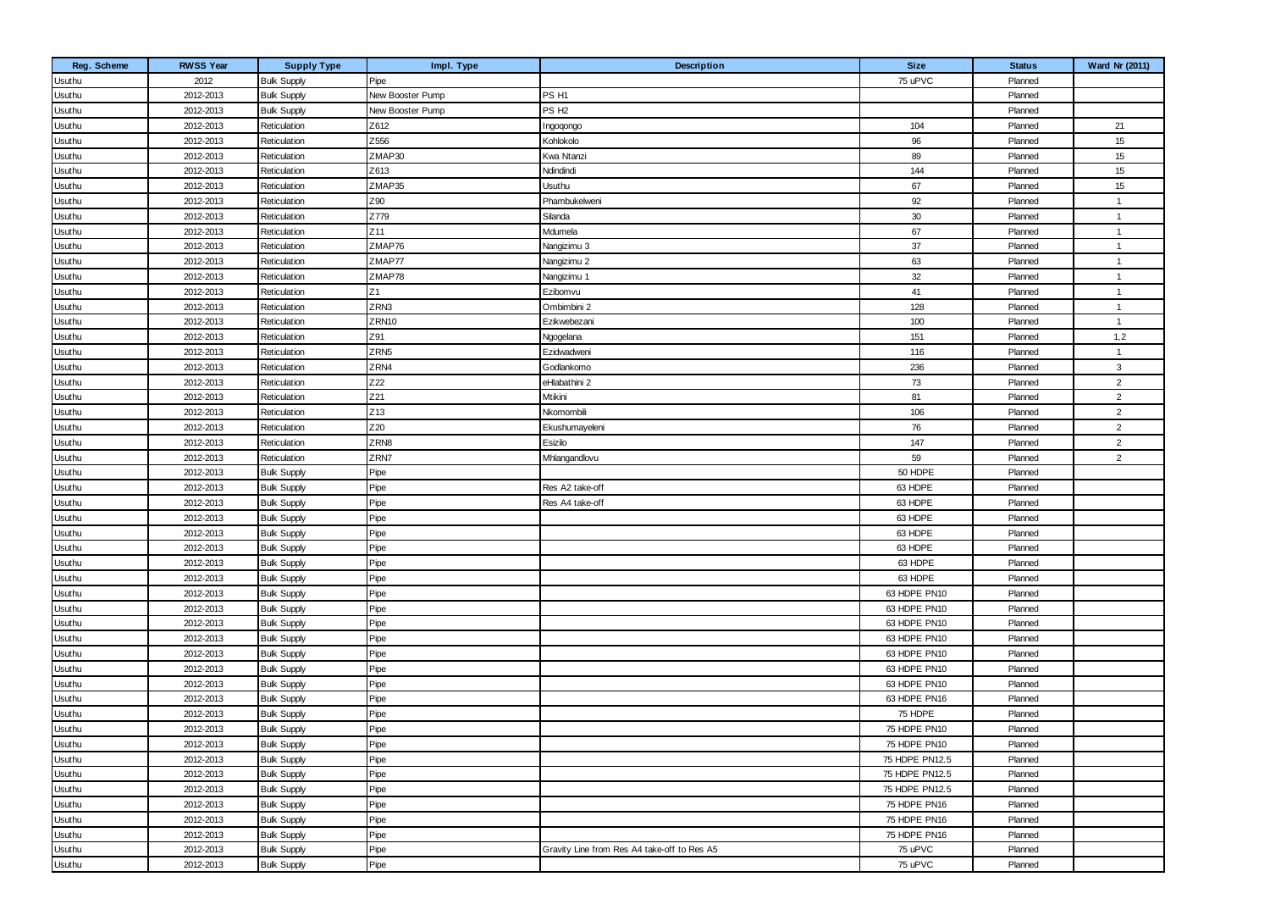| Reg. Scheme   | <b>RWSS Year</b> | <b>Supply Type</b> | Impl. Type       | Description                                 | <b>Size</b>    | <b>Status</b> | Ward Nr (2011) |
|---------------|------------------|--------------------|------------------|---------------------------------------------|----------------|---------------|----------------|
| Usuthu        | 2012             | <b>Bulk Supply</b> | Pipe             |                                             | 75 uPVC        | Planned       |                |
| Usuthu        | 2012-2013        | <b>Bulk Supply</b> | New Booster Pump | PS H1                                       |                | Planned       |                |
| Usuthu        | 2012-2013        | <b>Bulk Supply</b> | New Booster Pump | PS <sub>H2</sub>                            |                | Planned       |                |
| Usuthu        | 2012-2013        | Reticulation       | Z612             | Ingoqongo                                   | 104            | Planned       | 21             |
| Usuthu        | 2012-2013        | Reticulation       | Z556             | Kohlokolo                                   | 96             | Planned       | 15             |
| Usuthu        | 2012-2013        | Reticulation       | ZMAP30           | Kwa Ntanzi                                  | 89             | Planned       | 15             |
| Usuthu        | 2012-2013        | Reticulation       | Z613             | Ndindindi                                   | 144            | Planned       | 15             |
| Usuthu        | 2012-2013        | Reticulation       | ZMAP35           | <b>Usuthu</b>                               | 67             | Planned       | 15             |
| Usuthu        | 2012-2013        | Reticulation       | Z90              | Phambukelweni                               | 92             | Planned       | $\mathbf{1}$   |
| Usuthu        | 2012-2013        | Reticulation       | Z779             | Silanda                                     | 30             | Planned       | $\overline{1}$ |
| Usuthu        | 2012-2013        | Reticulation       | Z <sub>11</sub>  | Mdumela                                     | 67             | Planned       | $\overline{1}$ |
| Usuthu        | 2012-2013        | Reticulation       | ZMAP76           | Nangizimu 3                                 | 37             | Planned       | $\overline{1}$ |
| Usuthu        | 2012-2013        | Reticulation       | ZMAP77           | Nangizimu 2                                 | 63             | Planned       | $\overline{1}$ |
| Usuthu        | 2012-2013        | Reticulation       | ZMAP78           | Nangizimu 1                                 | 32             | Planned       | $\overline{1}$ |
| Usuthu        | 2012-2013        | Reticulation       | Z1               | Ezibomvu                                    | 41             | Planned       | $\overline{1}$ |
| Usuthu        | 2012-2013        | Reticulation       | ZRN3             | Ombimbini 2                                 | 128            | Planned       | $\overline{1}$ |
| Usuthu        | 2012-2013        | Reticulation       | ZRN10            | Ezikwebezani                                | 100            | Planned       | $\overline{1}$ |
| Usuthu        | 2012-2013        | Reticulation       | Z91              | Ngogelana                                   | 151            | Planned       | 1,2            |
| Usuthu        | 2012-2013        | Reticulation       | ZRN <sub>5</sub> | Ezidwadweni                                 | 116            | Planned       | $\overline{1}$ |
| Usuthu        | 2012-2013        | Reticulation       | ZRN4             | Godlankomo                                  | 236            | Planned       | 3              |
| Usuthu        | 2012-2013        | Reticulation       | Z22              | eHlabathini 2                               | 73             | Planned       | $\overline{2}$ |
| Usuthu        | 2012-2013        | Reticulation       | Z21              | Mtikini                                     | 81             | Planned       | $\overline{2}$ |
| Usuthu        | 2012-2013        | Reticulation       | Z13              | Nkomombili                                  | 106            | Planned       | $\overline{2}$ |
| Usuthu        | 2012-2013        | Reticulation       | Z20              | Ekushumayeleni                              | 76             | Planned       | $\overline{2}$ |
| Usuthu        | 2012-2013        | Reticulation       | ZRN8             | Esizilo                                     | 147            | Planned       | $\overline{2}$ |
| Usuthu        | 2012-2013        | Reticulation       | ZRN7             | Mhlangandlovu                               | 59             | Planned       | $\overline{2}$ |
| Usuthu        | 2012-2013        | <b>Bulk Supply</b> | Pipe             |                                             | 50 HDPE        | Planned       |                |
| Usuthu        | 2012-2013        | <b>Bulk Supply</b> | Pipe             | Res A2 take-off                             | 63 HDPE        | Planned       |                |
| Usuthu        | 2012-2013        | <b>Bulk Supply</b> | Pipe             | Res A4 take-off                             | 63 HDPE        | Planned       |                |
| <b>Usuthu</b> | 2012-2013        | <b>Bulk Supply</b> | Pipe             |                                             | 63 HDPE        | Planned       |                |
| Usuthu        | 2012-2013        | <b>Bulk Supply</b> | Pipe             |                                             | 63 HDPE        | Planned       |                |
| Usuthu        | 2012-2013        | <b>Bulk Supply</b> | Pipe             |                                             | 63 HDPE        | Planned       |                |
| <b>Usuthu</b> | 2012-2013        | <b>Bulk Supply</b> | Pipe             |                                             | 63 HDPE        | Planned       |                |
| Usuthu        | 2012-2013        | <b>Bulk Supply</b> | Pipe             |                                             | 63 HDPE        | Planned       |                |
| Usuthu        | 2012-2013        | <b>Bulk Supply</b> | Pipe             |                                             | 63 HDPE PN10   | Planned       |                |
| Usuthu        | 2012-2013        | <b>Bulk Supply</b> | Pipe             |                                             | 63 HDPE PN10   | Planned       |                |
| Usuthu        | 2012-2013        | <b>Bulk Supply</b> | Pipe             |                                             | 63 HDPE PN10   | Planned       |                |
| Usuthu        | 2012-2013        | <b>Bulk Supply</b> | Pipe             |                                             | 63 HDPE PN10   | Planned       |                |
| <b>Usuthu</b> | 2012-2013        | <b>Bulk Supply</b> | Pipe             |                                             | 63 HDPE PN10   | Planned       |                |
| Usuthu        | 2012-2013        | <b>Bulk Supply</b> | Pipe             |                                             | 63 HDPE PN10   | Planned       |                |
| Usuthu        | 2012-2013        | <b>Bulk Supply</b> | Pipe             |                                             | 63 HDPE PN10   | Planned       |                |
| Usuthu        | 2012-2013        | <b>Bulk Supply</b> | Pipe             |                                             | 63 HDPE PN16   | Planned       |                |
| Usuthu        | 2012-2013        | <b>Bulk Supply</b> | Pipe             |                                             | 75 HDPE        | Planned       |                |
| Usuthu        | 2012-2013        | <b>Bulk Supply</b> | Pipe             |                                             | 75 HDPE PN10   | Planned       |                |
| Usuthu        | 2012-2013        | <b>Bulk Supply</b> | Pipe             |                                             | 75 HDPE PN10   | Planned       |                |
| Usuthu        | 2012-2013        | <b>Bulk Supply</b> | Pipe             |                                             | 75 HDPE PN12.5 | Planned       |                |
| Usuthu        | 2012-2013        | <b>Bulk Supply</b> | Pipe             |                                             | 75 HDPE PN12.5 | Planned       |                |
| Usuthu        | 2012-2013        | <b>Bulk Supply</b> | Pipe             |                                             | 75 HDPE PN12.5 | Planned       |                |
| Usuthu        | 2012-2013        | <b>Bulk Supply</b> | Pipe             |                                             | 75 HDPE PN16   | Planned       |                |
| Usuthu        | 2012-2013        | <b>Bulk Supply</b> | Pipe             |                                             | 75 HDPE PN16   | Planned       |                |
| Usuthu        | 2012-2013        | <b>Bulk Supply</b> | Pipe             |                                             | 75 HDPE PN16   | Planned       |                |
| Usuthu        | 2012-2013        | <b>Bulk Supply</b> | Pipe             | Gravity Line from Res A4 take-off to Res A5 | 75 uPVC        | Planned       |                |
| Usuthu        | 2012-2013        | <b>Bulk Supply</b> | Pipe             |                                             | 75 uPVC        | Planned       |                |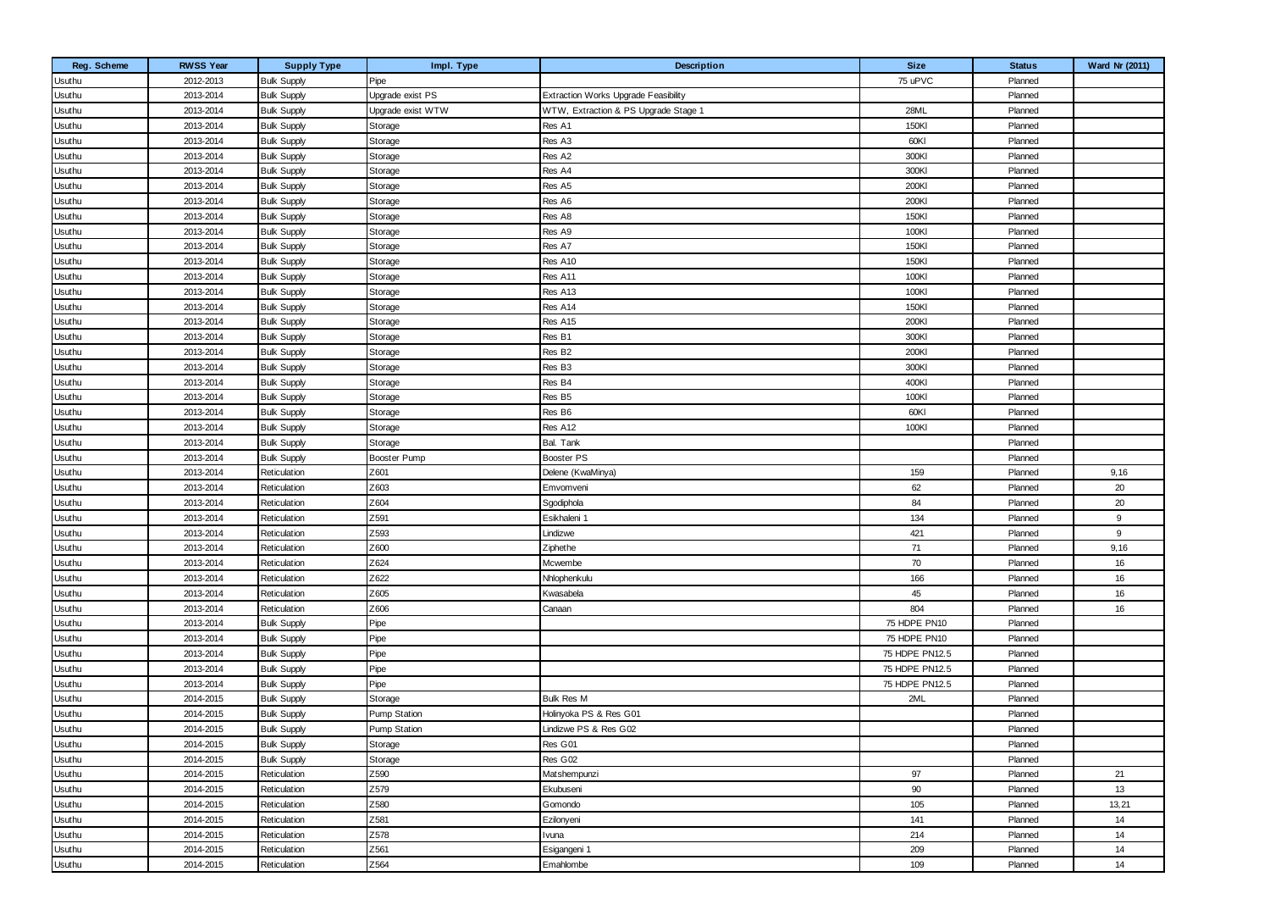| Reg. Scheme   | <b>RWSS Year</b> | <b>Supply Type</b> | Impl. Type          | Description                          | <b>Size</b>    | <b>Status</b> | Ward Nr (2011) |
|---------------|------------------|--------------------|---------------------|--------------------------------------|----------------|---------------|----------------|
| Usuthu        | 2012-2013        | <b>Bulk Supply</b> | Pipe                |                                      | 75 uPVC        | Planned       |                |
| Usuthu        | 2013-2014        | <b>Bulk Supply</b> | Upgrade exist PS    | Extraction Works Upgrade Feasibility |                | Planned       |                |
| Usuthu        | 2013-2014        | <b>Bulk Supply</b> | Upgrade exist WTW   | WTW, Extraction & PS Upgrade Stage 1 | 28ML           | Planned       |                |
| Usuthu        | 2013-2014        | <b>Bulk Supply</b> | Storage             | Res A1                               | 150KI          | Planned       |                |
| Usuthu        | 2013-2014        | <b>Bulk Supply</b> | Storage             | Res A3                               | 60KI           | Planned       |                |
| Usuthu        | 2013-2014        | <b>Bulk Supply</b> | Storage             | Res A2                               | 300KI          | Planned       |                |
| Usuthu        | 2013-2014        | <b>Bulk Supply</b> | Storage             | Res A4                               | 300KI          | Planned       |                |
| Usuthu        | 2013-2014        | <b>Bulk Supply</b> | Storage             | Res A5                               | 200KI          | Planned       |                |
| Usuthu        | 2013-2014        | <b>Bulk Supply</b> | Storage             | Res A6                               | 200KI          | Planned       |                |
| Usuthu        | 2013-2014        | <b>Bulk Supply</b> | Storage             | Res A8                               | 150KI          | Planned       |                |
| Usuthu        | 2013-2014        | <b>Bulk Supply</b> | Storage             | Res A9                               | 100KI          | Planned       |                |
| Usuthu        | 2013-2014        | <b>Bulk Supply</b> | Storage             | Res A7                               | 150KI          | Planned       |                |
| Usuthu        | 2013-2014        | <b>Bulk Supply</b> | Storage             | Res A10                              | 150KI          | Planned       |                |
| Usuthu        | 2013-2014        | <b>Bulk Supply</b> | Storage             | Res A11                              | 100KI          | Planned       |                |
| Usuthu        | 2013-2014        | <b>Bulk Supply</b> | Storage             | Res A13                              | 100KI          | Planned       |                |
| Usuthu        | 2013-2014        | <b>Bulk Supply</b> | Storage             | Res A14                              | 150KI          | Planned       |                |
| Usuthu        | 2013-2014        | <b>Bulk Supply</b> | Storage             | Res A15                              | 200KI          | Planned       |                |
| Usuthu        | 2013-2014        | <b>Bulk Supply</b> | Storage             | Res B1                               | 300KI          | Planned       |                |
| Usuthu        | 2013-2014        | <b>Bulk Supply</b> | Storage             | Res B <sub>2</sub>                   | 200KI          | Planned       |                |
| Usuthu        | 2013-2014        | <b>Bulk Supply</b> | Storage             | Res B3                               | 300KI          | Planned       |                |
| Usuthu        | 2013-2014        | <b>Bulk Supply</b> | Storage             | Res B4                               | 400KI          | Planned       |                |
| Usuthu        | 2013-2014        | <b>Bulk Supply</b> | Storage             | Res B5                               | 100KI          | Planned       |                |
| Usuthu        | 2013-2014        | <b>Bulk Supply</b> | Storage             | Res B6                               | 60KI           | Planned       |                |
| Usuthu        | 2013-2014        | <b>Bulk Supply</b> | Storage             | Res A12                              | 100KI          | Planned       |                |
| Usuthu        | 2013-2014        | <b>Bulk Supply</b> | Storage             | Bal. Tank                            |                | Planned       |                |
| Usuthu        | 2013-2014        | <b>Bulk Supply</b> | Booster Pump        | Booster PS                           |                | Planned       |                |
| Usuthu        | 2013-2014        | Reticulation       | Z601                | Delene (KwaMinya)                    | 159            | Planned       | 9,16           |
| Usuthu        | 2013-2014        | Reticulation       | Z603                | Emvomveni                            | 62             | Planned       | 20             |
| Usuthu        | 2013-2014        | Reticulation       | Z604                | Sgodiphola                           | 84             | Planned       | 20             |
| Usuthu        | 2013-2014        | Reticulation       | Z591                | Esikhaleni 1                         | 134            | Planned       | 9              |
| Usuthu        | 2013-2014        | Reticulation       | Z593                | Lindizwe                             | 421            | Planned       | 9              |
| Usuthu        | 2013-2014        | Reticulation       | Z600                | Ziphethe                             | 71             | Planned       | 9,16           |
| Usuthu        | 2013-2014        | Reticulation       | Z624                | Mcwembe                              | 70             | Planned       | 16             |
| Usuthu        | 2013-2014        | Reticulation       | Z622                | Nhlophenkulu                         | 166            | Planned       | 16             |
| Usuthu        | 2013-2014        | Reticulation       | Z605                | Kwasabela                            | 45             | Planned       | 16             |
| Usuthu        | 2013-2014        | Reticulation       | Z606                | Canaan                               | 804            | Planned       | 16             |
| Usuthu        | 2013-2014        | <b>Bulk Supply</b> | Pipe                |                                      | 75 HDPE PN10   | Planned       |                |
| Usuthu        | 2013-2014        | <b>Bulk Supply</b> | Pipe                |                                      | 75 HDPE PN10   | Planned       |                |
| <b>Usuthu</b> | 2013-2014        | <b>Bulk Supply</b> | Pipe                |                                      | 75 HDPE PN12.5 | Planned       |                |
| Usuthu        | 2013-2014        | <b>Bulk Supply</b> | Pipe                |                                      | 75 HDPE PN12.5 | Planned       |                |
| Usuthu        | 2013-2014        | <b>Bulk Supply</b> | Pipe                |                                      | 75 HDPE PN12.5 | Planned       |                |
| Usuthu        | 2014-2015        | <b>Bulk Supply</b> | Storage             | <b>Bulk Res M</b>                    | 2ML            | Planned       |                |
| Usuthu        | 2014-2015        | <b>Bulk Supply</b> | <b>Pump Station</b> | Holinyoka PS & Res G01               |                | Planned       |                |
| Usuthu        | 2014-2015        | <b>Bulk Supply</b> | <b>Pump Station</b> | Lindizwe PS & Res G02                |                | Planned       |                |
| Usuthu        | 2014-2015        | <b>Bulk Supply</b> | Storage             | Res G01                              |                | Planned       |                |
| Usuthu        | 2014-2015        | <b>Bulk Supply</b> | Storage             | Res G02                              |                | Planned       |                |
| Usuthu        | 2014-2015        | Reticulation       | Z590                | Matshempunzi                         | 97             | Planned       | 21             |
| Usuthu        | 2014-2015        | Reticulation       | Z579                | Ekubuseni                            | 90             | Planned       | 13             |
| Usuthu        | 2014-2015        | Reticulation       | Z580                | Gomondo                              | 105            | Planned       | 13,21          |
| Usuthu        | 2014-2015        | Reticulation       | Z581                | Ezilonyeni                           | 141            | Planned       | 14             |
| Usuthu        | 2014-2015        | Reticulation       | Z578                | Ivuna                                | 214            | Planned       | 14             |
| Usuthu        | 2014-2015        | Reticulation       | Z561                | Esigangeni 1                         | 209            | Planned       | 14             |
| Usuthu        | 2014-2015        | Reticulation       | Z564                | Emahlombe                            | 109            | Planned       | 14             |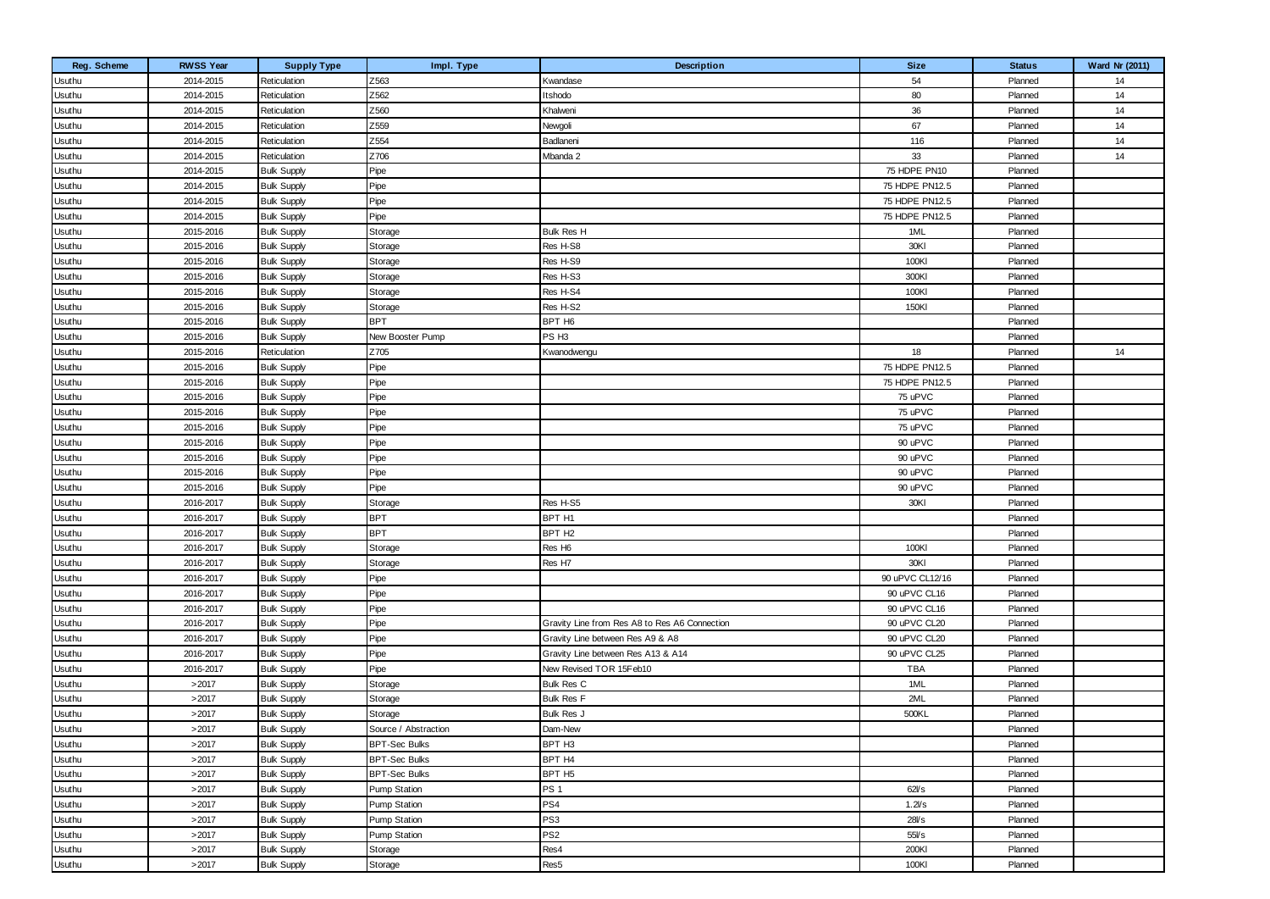| Reg. Scheme | <b>RWSS Year</b> | <b>Supply Type</b> | Impl. Type           | Description                                   | <b>Size</b>     | <b>Status</b> | Ward Nr (2011) |
|-------------|------------------|--------------------|----------------------|-----------------------------------------------|-----------------|---------------|----------------|
| Usuthu      | 2014-2015        | Reticulation       | Z563                 | Kwandase                                      | 54              | Planned       | 14             |
| Usuthu      | 2014-2015        | Reticulation       | Z562                 | Itshodo                                       | 80              | Planned       | 14             |
| Usuthu      | 2014-2015        | Reticulation       | Z560                 | Khalweni                                      | 36              | Planned       | 14             |
| Usuthu      | 2014-2015        | Reticulation       | Z559                 | Newgoli                                       | 67              | Planned       | 14             |
| Usuthu      | 2014-2015        | Reticulation       | Z554                 | Badlaneni                                     | 116             | Planned       | 14             |
| Usuthu      | 2014-2015        | Reticulation       | Z706                 | Mbanda 2                                      | 33              | Planned       | 14             |
| Usuthu      | 2014-2015        | <b>Bulk Supply</b> | Pipe                 |                                               | 75 HDPE PN10    | Planned       |                |
| Usuthu      | 2014-2015        | <b>Bulk Supply</b> | Pipe                 |                                               | 75 HDPE PN12.5  | Planned       |                |
| Usuthu      | 2014-2015        | <b>Bulk Supply</b> | Pipe                 |                                               | 75 HDPE PN12.5  | Planned       |                |
| Usuthu      | 2014-2015        | <b>Bulk Supply</b> | Pipe                 |                                               | 75 HDPE PN12.5  | Planned       |                |
| Usuthu      | 2015-2016        | <b>Bulk Supply</b> | Storage              | Bulk Res H                                    | 1ML             | Planned       |                |
| Usuthu      | 2015-2016        | <b>Bulk Supply</b> | Storage              | Res H-S8                                      | 30KI            | Planned       |                |
| Usuthu      | 2015-2016        | <b>Bulk Supply</b> | Storage              | Res H-S9                                      | 100KI           | Planned       |                |
| Usuthu      | 2015-2016        | <b>Bulk Supply</b> | Storage              | Res H-S3                                      | 300KI           | Planned       |                |
| Usuthu      | 2015-2016        | <b>Bulk Supply</b> | Storage              | Res H-S4                                      | 100KI           | Planned       |                |
| Usuthu      | 2015-2016        | <b>Bulk Supply</b> | Storage              | Res H-S2                                      | 150KI           | Planned       |                |
| Usuthu      | 2015-2016        | <b>Bulk Supply</b> | <b>BPT</b>           | BPT H6                                        |                 | Planned       |                |
| Usuthu      | 2015-2016        | <b>Bulk Supply</b> | New Booster Pump     | PS H <sub>3</sub>                             |                 | Planned       |                |
| Usuthu      | 2015-2016        | Reticulation       | Z705                 | Kwanodwengu                                   | 18              | Planned       | 14             |
| Usuthu      | 2015-2016        | <b>Bulk Supply</b> | Pipe                 |                                               | 75 HDPE PN12.5  | Planned       |                |
| Usuthu      | 2015-2016        | <b>Bulk Supply</b> | Pipe                 |                                               | 75 HDPE PN12.5  | Planned       |                |
| Usuthu      | 2015-2016        | <b>Bulk Supply</b> | Pipe                 |                                               | 75 uPVC         | Planned       |                |
| Usuthu      | 2015-2016        | <b>Bulk Supply</b> | Pipe                 |                                               | 75 uPVC         | Planned       |                |
| Usuthu      | 2015-2016        | <b>Bulk Supply</b> | Pipe                 |                                               | 75 uPVC         | Planned       |                |
| Usuthu      | 2015-2016        | <b>Bulk Supply</b> | Pipe                 |                                               | 90 uPVC         | Planned       |                |
| Usuthu      | 2015-2016        | <b>Bulk Supply</b> | Pipe                 |                                               | 90 uPVC         | Planned       |                |
| Usuthu      | 2015-2016        | <b>Bulk Supply</b> | Pipe                 |                                               | 90 uPVC         | Planned       |                |
| Usuthu      | 2015-2016        | <b>Bulk Supply</b> | Pipe                 |                                               | 90 uPVC         | Planned       |                |
| Usuthu      | 2016-2017        | <b>Bulk Supply</b> | Storage              | Res H-S5                                      | 30KI            | Planned       |                |
| Usuthu      | 2016-2017        | <b>Bulk Supply</b> | <b>BPT</b>           | BPT H1                                        |                 | Planned       |                |
| Usuthu      | 2016-2017        | <b>Bulk Supply</b> | <b>BPT</b>           | BPT H <sub>2</sub>                            |                 | Planned       |                |
| Usuthu      | 2016-2017        | <b>Bulk Supply</b> | Storage              | Res H <sub>6</sub>                            | 100KI           | Planned       |                |
| Usuthu      | 2016-2017        | <b>Bulk Supply</b> | Storage              | Res H7                                        | 30KI            | Planned       |                |
| Usuthu      | 2016-2017        | <b>Bulk Supply</b> | Pipe                 |                                               | 90 uPVC CL12/16 | Planned       |                |
| Usuthu      | 2016-2017        | <b>Bulk Supply</b> | Pipe                 |                                               | 90 uPVC CL16    | Planned       |                |
| Usuthu      | 2016-2017        | <b>Bulk Supply</b> | Pipe                 |                                               | 90 uPVC CL16    | Planned       |                |
| Usuthu      | 2016-2017        | <b>Bulk Supply</b> | Pipe                 | Gravity Line from Res A8 to Res A6 Connection | 90 uPVC CL20    | Planned       |                |
| Usuthu      | 2016-2017        | <b>Bulk Supply</b> | Pipe                 | Gravity Line between Res A9 & A8              | 90 uPVC CL20    | Planned       |                |
| Usuthu      | 2016-2017        | <b>Bulk Supply</b> | Pipe                 | Gravity Line between Res A13 & A14            | 90 uPVC CL25    | Planned       |                |
| Usuthu      | 2016-2017        | <b>Bulk Supply</b> | Pipe                 | New Revised TOR 15Feb10                       | <b>TBA</b>      | Planned       |                |
| Usuthu      | >2017            | <b>Bulk Supply</b> | Storage              | <b>Bulk Res C</b>                             | 1ML             | Planned       |                |
| Usuthu      | >2017            | <b>Bulk Supply</b> | Storage              | <b>Bulk Res F</b>                             | 2ML             | Planned       |                |
| Usuthu      | >2017            | <b>Bulk Supply</b> | Storage              | Bulk Res J                                    | 500KL           | Planned       |                |
| Usuthu      | >2017            | <b>Bulk Supply</b> | Source / Abstraction | Dam-New                                       |                 | Planned       |                |
| Usuthu      | >2017            | <b>Bulk Supply</b> | <b>BPT-Sec Bulks</b> | BPT H <sub>3</sub>                            |                 | Planned       |                |
| Usuthu      | >2017            | <b>Bulk Supply</b> | <b>BPT-Sec Bulks</b> | BPT H4                                        |                 | Planned       |                |
| Usuthu      | >2017            | <b>Bulk Supply</b> | <b>BPT-Sec Bulks</b> | BPT H <sub>5</sub>                            |                 | Planned       |                |
| Usuthu      | >2017            | <b>Bulk Supply</b> | Pump Station         | PS <sub>1</sub>                               | 62Vs            | Planned       |                |
| Usuthu      | >2017            | <b>Bulk Supply</b> | <b>Pump Station</b>  | PS4                                           | 1.2Vs           | Planned       |                |
| Usuthu      | >2017            | <b>Bulk Supply</b> | <b>Pump Station</b>  | PS <sub>3</sub>                               | 28Vs            | Planned       |                |
| Usuthu      | >2017            | <b>Bulk Supply</b> | Pump Station         | PS <sub>2</sub>                               | 55Vs            | Planned       |                |
| Usuthu      | >2017            | <b>Bulk Supply</b> | Storage              | Res4                                          | 200KI           | Planned       |                |
| Usuthu      | >2017            | <b>Bulk Supply</b> | Storage              | Res5                                          | 100KI           | Planned       |                |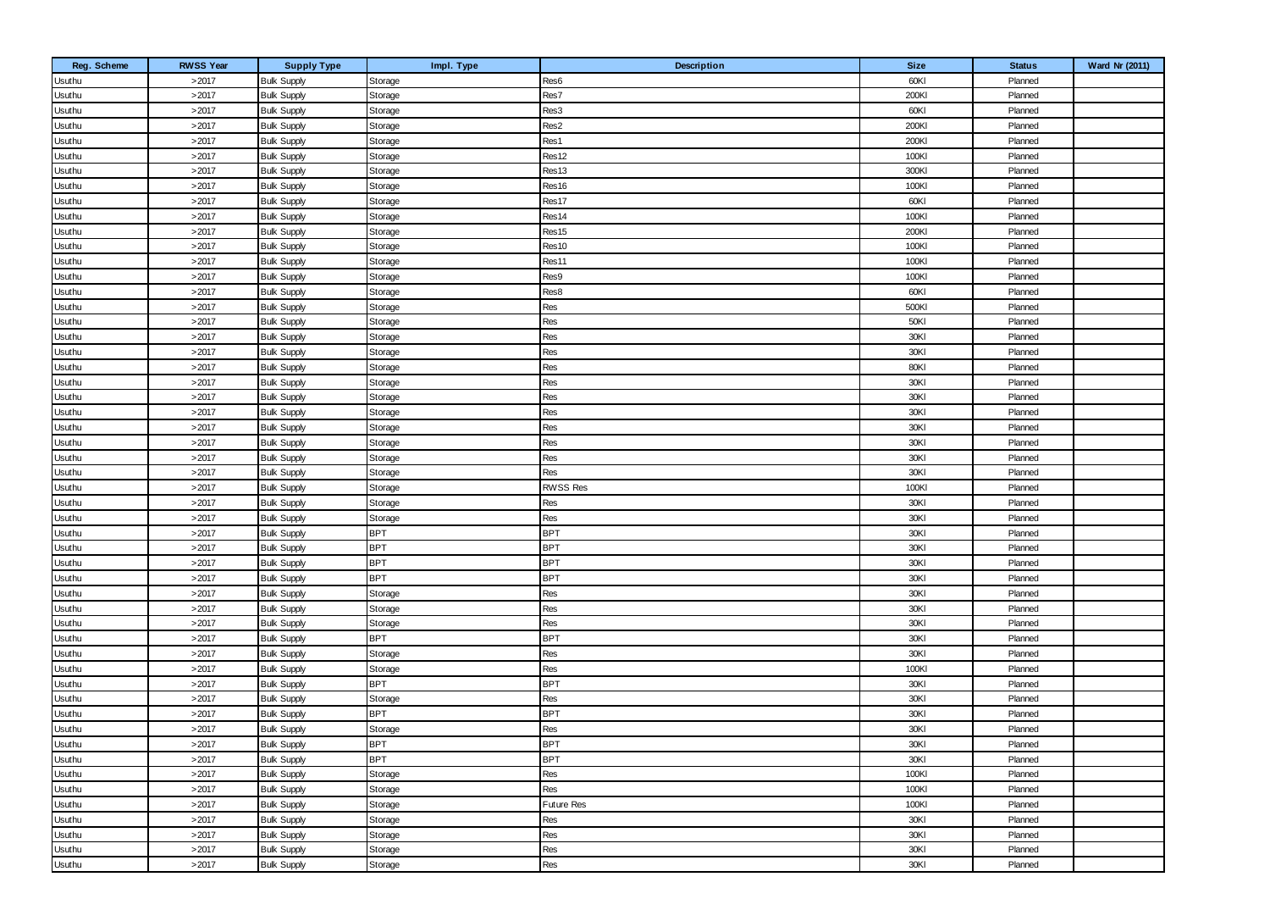| Reg. Scheme<br><b>RWSS Year</b><br><b>Size</b><br><b>Supply Type</b><br>Impl. Type<br>Description<br><b>Status</b><br>>2017<br>Storage<br>60KI<br>Planned<br><b>Bulk Supply</b><br>Res6<br>Usuthu<br>Res7<br>200KI<br>>2017<br>Planned<br>Usuthu<br><b>Bulk Supply</b><br>Storage<br>>2017<br>60KI<br><b>Bulk Supply</b><br>Res3<br>Planned<br>Usuthu<br>Storage<br>>2017<br>Res2<br>200KI<br>Planned<br>Usuthu<br><b>Bulk Supply</b><br>Storage<br>>2017<br>Res1<br>200KI<br>Planned<br>Usuthu<br><b>Bulk Supply</b><br>Storage<br>>2017<br>100KI<br><b>Bulk Supply</b><br>Res12<br>Planned<br>Usuthu<br>Storage | Ward Nr (2011) |
|-------------------------------------------------------------------------------------------------------------------------------------------------------------------------------------------------------------------------------------------------------------------------------------------------------------------------------------------------------------------------------------------------------------------------------------------------------------------------------------------------------------------------------------------------------------------------------------------------------------------|----------------|
|                                                                                                                                                                                                                                                                                                                                                                                                                                                                                                                                                                                                                   |                |
|                                                                                                                                                                                                                                                                                                                                                                                                                                                                                                                                                                                                                   |                |
|                                                                                                                                                                                                                                                                                                                                                                                                                                                                                                                                                                                                                   |                |
|                                                                                                                                                                                                                                                                                                                                                                                                                                                                                                                                                                                                                   |                |
|                                                                                                                                                                                                                                                                                                                                                                                                                                                                                                                                                                                                                   |                |
|                                                                                                                                                                                                                                                                                                                                                                                                                                                                                                                                                                                                                   |                |
| >2017<br>Res13<br>300KI<br><b>Bulk Supply</b><br>Storage<br>Planned<br>Usuthu                                                                                                                                                                                                                                                                                                                                                                                                                                                                                                                                     |                |
| >2017<br>100KI<br>Planned<br><b>Bulk Supply</b><br>Storage<br>Res16<br>Usuthu                                                                                                                                                                                                                                                                                                                                                                                                                                                                                                                                     |                |
| >2017<br>60KI<br><b>Bulk Supply</b><br>Res17<br>Planned<br>Usuthu<br>Storage                                                                                                                                                                                                                                                                                                                                                                                                                                                                                                                                      |                |
| Res14<br>100KI<br>>2017<br><b>Bulk Supply</b><br>Storage<br>Planned<br>Usuthu                                                                                                                                                                                                                                                                                                                                                                                                                                                                                                                                     |                |
| >2017<br>200KI<br>Res15<br>Planned<br>Usuthu<br><b>Bulk Supply</b><br>Storage                                                                                                                                                                                                                                                                                                                                                                                                                                                                                                                                     |                |
| >2017<br>100KI<br><b>Bulk Supply</b><br>Res10<br>Planned<br>Usuthu<br>Storage                                                                                                                                                                                                                                                                                                                                                                                                                                                                                                                                     |                |
| >2017<br>Res11<br>100KI<br><b>Bulk Supply</b><br>Storage<br>Planned<br>Usuthu                                                                                                                                                                                                                                                                                                                                                                                                                                                                                                                                     |                |
| >2017<br>100KI<br>Planned<br><b>Bulk Supply</b><br>Storage<br>Res9<br>Usuthu                                                                                                                                                                                                                                                                                                                                                                                                                                                                                                                                      |                |
| >2017<br>60KI<br><b>Bulk Supply</b><br>Res8<br>Planned<br>Usuthu<br>Storage                                                                                                                                                                                                                                                                                                                                                                                                                                                                                                                                       |                |
| >2017<br>Res<br>500KI<br><b>Bulk Supply</b><br>Storage<br>Planned<br>Usuthu                                                                                                                                                                                                                                                                                                                                                                                                                                                                                                                                       |                |
| >2017<br>Res<br>50KI<br><b>Bulk Supply</b><br>Planned<br>Usuthu<br>Storage                                                                                                                                                                                                                                                                                                                                                                                                                                                                                                                                        |                |
| >2017<br>Res<br>30KI<br>Planned<br><b>Bulk Supply</b><br>Usuthu<br>Storage                                                                                                                                                                                                                                                                                                                                                                                                                                                                                                                                        |                |
| Res<br>30KI<br>>2017<br><b>Bulk Supply</b><br>Storage<br>Planned<br>Usuthu                                                                                                                                                                                                                                                                                                                                                                                                                                                                                                                                        |                |
| >2017<br>Res<br>80KI<br><b>Bulk Supply</b><br>Planned<br>Usuthu<br>Storage                                                                                                                                                                                                                                                                                                                                                                                                                                                                                                                                        |                |
| >2017<br>Res<br>30KI<br><b>Bulk Supply</b><br>Planned<br>Usuthu<br>Storage                                                                                                                                                                                                                                                                                                                                                                                                                                                                                                                                        |                |
| Res<br>30KI<br>>2017<br><b>Bulk Supply</b><br>Storage<br>Planned<br>Usuthu                                                                                                                                                                                                                                                                                                                                                                                                                                                                                                                                        |                |
| >2017<br>Res<br>30KI<br><b>Bulk Supply</b><br>Planned<br>Usuthu<br>Storage                                                                                                                                                                                                                                                                                                                                                                                                                                                                                                                                        |                |
| Res<br>30KI<br>>2017<br><b>Bulk Supply</b><br>Planned<br>Usuthu<br>Storage                                                                                                                                                                                                                                                                                                                                                                                                                                                                                                                                        |                |
| >2017<br>Res<br>30KI<br><b>Bulk Supply</b><br>Storage<br>Planned<br>Usuthu                                                                                                                                                                                                                                                                                                                                                                                                                                                                                                                                        |                |
| >2017<br>Res<br>30KI<br>Planned<br><b>Bulk Supply</b><br>Storage<br>Usuthu                                                                                                                                                                                                                                                                                                                                                                                                                                                                                                                                        |                |
| >2017<br>Res<br>30KI<br>Planned<br><b>Bulk Supply</b><br>Usuthu<br>Storage                                                                                                                                                                                                                                                                                                                                                                                                                                                                                                                                        |                |
| >2017<br><b>RWSS Res</b><br>100KI<br><b>Bulk Supply</b><br>Planned<br>Usuthu<br>Storage                                                                                                                                                                                                                                                                                                                                                                                                                                                                                                                           |                |
| >2017<br>30KI<br>Planned<br><b>Bulk Supply</b><br>Res<br>Usuthu<br>Storage                                                                                                                                                                                                                                                                                                                                                                                                                                                                                                                                        |                |
| >2017<br>Res<br>30KI<br><b>Bulk Supply</b><br>Planned<br>Usuthu<br>Storage                                                                                                                                                                                                                                                                                                                                                                                                                                                                                                                                        |                |
| <b>BPT</b><br><b>BPT</b><br>>2017<br>30KI<br><b>Bulk Supply</b><br>Planned<br>Usuthu                                                                                                                                                                                                                                                                                                                                                                                                                                                                                                                              |                |
| <b>BPT</b><br><b>BPT</b><br>>2017<br>30KI<br>Planned<br><b>Bulk Supply</b><br>Usuthu                                                                                                                                                                                                                                                                                                                                                                                                                                                                                                                              |                |
| <b>BPT</b><br>>2017<br><b>BPT</b><br>30KI<br><b>Bulk Supply</b><br>Planned<br>Usuthu                                                                                                                                                                                                                                                                                                                                                                                                                                                                                                                              |                |
| <b>BPT</b><br><b>BPT</b><br>>2017<br>30KI<br><b>Bulk Supply</b><br>Planned<br>Usuthu                                                                                                                                                                                                                                                                                                                                                                                                                                                                                                                              |                |
| >2017<br>Res<br>30KI<br><b>Bulk Supply</b><br>Storage<br>Planned<br>Usuthu                                                                                                                                                                                                                                                                                                                                                                                                                                                                                                                                        |                |
| Res<br>30KI<br>Planned<br>>2017<br><b>Bulk Supply</b><br>Usuthu<br>Storage                                                                                                                                                                                                                                                                                                                                                                                                                                                                                                                                        |                |
| >2017<br>Res<br>30KI<br><b>Bulk Supply</b><br>Storage<br>Planned<br>Usuthu                                                                                                                                                                                                                                                                                                                                                                                                                                                                                                                                        |                |
| >2017<br><b>BPT</b><br><b>BPT</b><br>30KI<br><b>Bulk Supply</b><br>Planned<br>Usuthu                                                                                                                                                                                                                                                                                                                                                                                                                                                                                                                              |                |
| Res<br>30KI<br>Planned<br>>2017<br><b>Bulk Supply</b><br>Usuthu<br>Storage                                                                                                                                                                                                                                                                                                                                                                                                                                                                                                                                        |                |
| >2017<br><b>Bulk Supply</b><br>Res<br>100KI<br>Planned<br>Usuthu<br>Storage                                                                                                                                                                                                                                                                                                                                                                                                                                                                                                                                       |                |
| <b>BPT</b><br><b>BPT</b><br>>2017<br><b>Bulk Supply</b><br>30KI<br>Planned<br>Usuthu                                                                                                                                                                                                                                                                                                                                                                                                                                                                                                                              |                |
| >2017<br>Res<br>30KI<br><b>Bulk Supply</b><br>Planned<br>Usuthu<br>Storage                                                                                                                                                                                                                                                                                                                                                                                                                                                                                                                                        |                |
| <b>BPT</b><br><b>BPT</b><br>30KI<br>Planned<br>>2017<br><b>Bulk Supply</b><br>Usuthu                                                                                                                                                                                                                                                                                                                                                                                                                                                                                                                              |                |
| Usuthu<br>>2017<br><b>Bulk Supply</b><br>Storage<br>Res<br>30KI<br>Planned                                                                                                                                                                                                                                                                                                                                                                                                                                                                                                                                        |                |
| Usuthu<br><b>BPT</b><br><b>BPT</b><br>30KI<br>>2017<br><b>Bulk Supply</b><br>Planned                                                                                                                                                                                                                                                                                                                                                                                                                                                                                                                              |                |
| Usuthu<br><b>BPT</b><br><b>BPT</b><br>>2017<br>30KI<br><b>Bulk Supply</b><br>Planned                                                                                                                                                                                                                                                                                                                                                                                                                                                                                                                              |                |
| Usuthu<br>>2017<br>Res<br><b>Bulk Supply</b><br>Storage<br>100KI<br>Planned                                                                                                                                                                                                                                                                                                                                                                                                                                                                                                                                       |                |
| Res<br>Usuthu<br>>2017<br><b>Bulk Supply</b><br>Storage<br>100KI<br>Planned                                                                                                                                                                                                                                                                                                                                                                                                                                                                                                                                       |                |
| Usuthu<br>>2017<br><b>Bulk Supply</b><br>Storage<br>Future Res<br>100KI<br>Planned                                                                                                                                                                                                                                                                                                                                                                                                                                                                                                                                |                |
| Usuthu<br>>2017<br><b>Bulk Supply</b><br>Storage<br>Res<br>30KI<br>Planned                                                                                                                                                                                                                                                                                                                                                                                                                                                                                                                                        |                |
| Res<br>30KI<br>>2017<br><b>Bulk Supply</b><br>Storage<br>Planned<br>Usuthu                                                                                                                                                                                                                                                                                                                                                                                                                                                                                                                                        |                |
| Res<br>30KI<br>>2017<br><b>Bulk Supply</b><br>Storage<br>Planned<br>Usuthu                                                                                                                                                                                                                                                                                                                                                                                                                                                                                                                                        |                |
| Usuthu<br>Res<br>>2017<br><b>Bulk Supply</b><br>30KI<br>Planned<br>Storage                                                                                                                                                                                                                                                                                                                                                                                                                                                                                                                                        |                |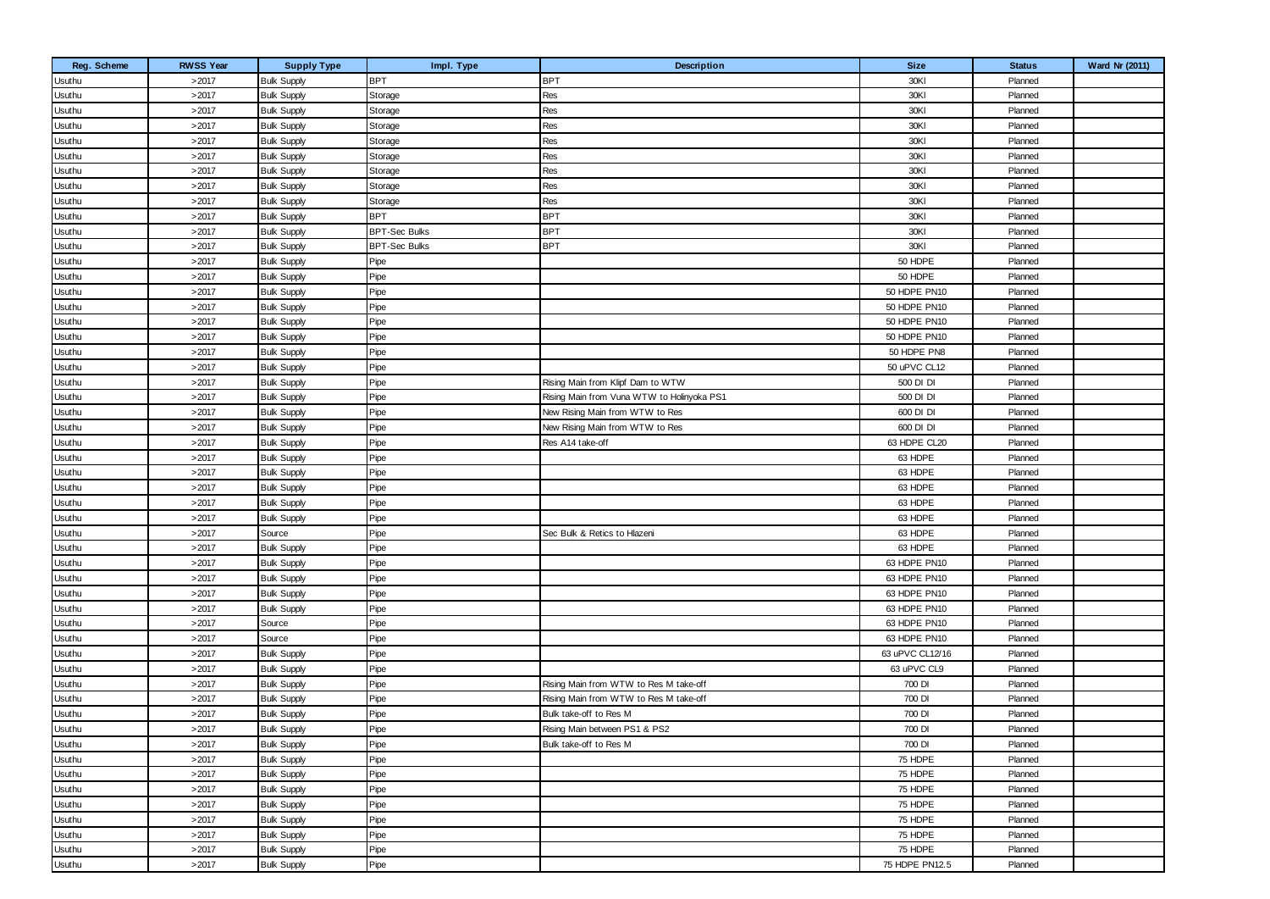| Reg. Scheme | <b>RWSS Year</b> | <b>Supply Type</b> | Impl. Type           | Description                                | <b>Size</b>     | <b>Status</b> | Ward Nr (2011) |
|-------------|------------------|--------------------|----------------------|--------------------------------------------|-----------------|---------------|----------------|
| Usuthu      | >2017            | <b>Bulk Supply</b> | <b>BPT</b>           | <b>BPT</b>                                 | 30KI            | Planned       |                |
| Usuthu      | >2017            | <b>Bulk Supply</b> | Storage              | Res                                        | 30KI            | Planned       |                |
| Usuthu      | >2017            | <b>Bulk Supply</b> | Storage              | Res                                        | 30KI            | Planned       |                |
| Usuthu      | >2017            | <b>Bulk Supply</b> | Storage              | Res                                        | 30KI            | Planned       |                |
| Usuthu      | >2017            | <b>Bulk Supply</b> | Storage              | Res                                        | 30KI            | Planned       |                |
| Usuthu      | >2017            | <b>Bulk Supply</b> | Storage              | Res                                        | 30KI            | Planned       |                |
| Usuthu      | >2017            | <b>Bulk Supply</b> | Storage              | Res                                        | 30KI            | Planned       |                |
| Usuthu      | >2017            | <b>Bulk Supply</b> | Storage              | Res                                        | 30KI            | Planned       |                |
| Usuthu      | >2017            | <b>Bulk Supply</b> | Storage              | Res                                        | 30KI            | Planned       |                |
| Usuthu      | >2017            | <b>Bulk Supply</b> | <b>BPT</b>           | <b>BPT</b>                                 | 30KI            | Planned       |                |
| Usuthu      | >2017            | <b>Bulk Supply</b> | <b>BPT-Sec Bulks</b> | <b>BPT</b>                                 | 30KI            | Planned       |                |
| Usuthu      | >2017            | <b>Bulk Supply</b> | <b>BPT-Sec Bulks</b> | <b>BPT</b>                                 | 30KI            | Planned       |                |
| Usuthu      | >2017            | <b>Bulk Supply</b> | Pipe                 |                                            | 50 HDPE         | Planned       |                |
| Usuthu      | >2017            | <b>Bulk Supply</b> | Pipe                 |                                            | 50 HDPE         | Planned       |                |
| Usuthu      | >2017            | <b>Bulk Supply</b> | Pipe                 |                                            | 50 HDPE PN10    | Planned       |                |
| Usuthu      | >2017            | <b>Bulk Supply</b> | Pipe                 |                                            | 50 HDPE PN10    | Planned       |                |
| Usuthu      | >2017            | <b>Bulk Supply</b> | Pipe                 |                                            | 50 HDPE PN10    | Planned       |                |
| Usuthu      | >2017            | <b>Bulk Supply</b> | Pipe                 |                                            | 50 HDPE PN10    | Planned       |                |
| Usuthu      | >2017            | <b>Bulk Supply</b> | Pipe                 |                                            | 50 HDPE PN8     | Planned       |                |
| Usuthu      | >2017            | <b>Bulk Supply</b> | Pipe                 |                                            | 50 uPVC CL12    | Planned       |                |
| Usuthu      | >2017            | <b>Bulk Supply</b> | Pipe                 | Rising Main from Klipf Dam to WTW          | 500 DI DI       | Planned       |                |
| Usuthu      | >2017            | <b>Bulk Supply</b> | Pipe                 | Rising Main from Vuna WTW to Holinyoka PS1 | 500 DI DI       | Planned       |                |
| Usuthu      | >2017            | <b>Bulk Supply</b> | Pipe                 | New Rising Main from WTW to Res            | 600 DI DI       | Planned       |                |
| Usuthu      | >2017            | <b>Bulk Supply</b> | Pipe                 | New Rising Main from WTW to Res            | 600 DI DI       | Planned       |                |
| Usuthu      | >2017            | <b>Bulk Supply</b> | Pipe                 | Res A14 take-off                           | 63 HDPE CL20    | Planned       |                |
| Usuthu      | >2017            | <b>Bulk Supply</b> | Pipe                 |                                            | 63 HDPE         | Planned       |                |
| Usuthu      | >2017            | <b>Bulk Supply</b> | Pipe                 |                                            | 63 HDPE         | Planned       |                |
| Usuthu      | >2017            | <b>Bulk Supply</b> | Pipe                 |                                            | 63 HDPE         | Planned       |                |
| Usuthu      | >2017            | <b>Bulk Supply</b> | Pipe                 |                                            | 63 HDPE         | Planned       |                |
| Usuthu      | >2017            | <b>Bulk Supply</b> | Pipe                 |                                            | 63 HDPE         | Planned       |                |
| Usuthu      | >2017            | Source             | Pipe                 | Sec Bulk & Retics to Hlazeni               | 63 HDPE         | Planned       |                |
| Usuthu      | >2017            | <b>Bulk Supply</b> | Pipe                 |                                            | 63 HDPE         | Planned       |                |
| Usuthu      | >2017            | <b>Bulk Supply</b> | Pipe                 |                                            | 63 HDPE PN10    | Planned       |                |
| Usuthu      | >2017            | <b>Bulk Supply</b> | Pipe                 |                                            | 63 HDPE PN10    | Planned       |                |
| Usuthu      | >2017            | <b>Bulk Supply</b> | Pipe                 |                                            | 63 HDPE PN10    | Planned       |                |
| Usuthu      | >2017            | <b>Bulk Supply</b> | Pipe                 |                                            | 63 HDPE PN10    | Planned       |                |
| Usuthu      | >2017            | Source             | Pipe                 |                                            | 63 HDPE PN10    | Planned       |                |
| Usuthu      | >2017            | Source             | Pipe                 |                                            | 63 HDPE PN10    | Planned       |                |
| Usuthu      | >2017            | <b>Bulk Supply</b> | Pipe                 |                                            | 63 uPVC CL12/16 | Planned       |                |
| Usuthu      | >2017            | <b>Bulk Supply</b> | Pipe                 |                                            | 63 uPVC CL9     | Planned       |                |
| Usuthu      | >2017            | <b>Bulk Supply</b> | Pipe                 | Rising Main from WTW to Res M take-off     | 700 DI          | Planned       |                |
| Usuthu      | >2017            | <b>Bulk Supply</b> | Pipe                 | Rising Main from WTW to Res M take-off     | 700 DI          | Planned       |                |
| Usuthu      | >2017            | <b>Bulk Supply</b> | Pipe                 | Bulk take-off to Res M                     | 700 DI          | Planned       |                |
| Usuthu      | >2017            | <b>Bulk Supply</b> | Pipe                 | Rising Main between PS1 & PS2              | 700 DI          | Planned       |                |
| Usuthu      | >2017            | <b>Bulk Supply</b> | Pipe                 | Bulk take-off to Res M                     | 700 DI          | Planned       |                |
| Usuthu      | >2017            | <b>Bulk Supply</b> | Pipe                 |                                            | 75 HDPE         | Planned       |                |
| Usuthu      | >2017            | <b>Bulk Supply</b> | Pipe                 |                                            | 75 HDPE         | Planned       |                |
| Usuthu      | >2017            | <b>Bulk Supply</b> | Pipe                 |                                            | 75 HDPE         | Planned       |                |
| Usuthu      | >2017            | <b>Bulk Supply</b> | Pipe                 |                                            | 75 HDPE         | Planned       |                |
| Usuthu      | >2017            | <b>Bulk Supply</b> | Pipe                 |                                            | 75 HDPE         | Planned       |                |
| Usuthu      | >2017            | <b>Bulk Supply</b> | Pipe                 |                                            | 75 HDPE         | Planned       |                |
| Usuthu      | >2017            | <b>Bulk Supply</b> | Pipe                 |                                            | 75 HDPE         | Planned       |                |
| Usuthu      | >2017            | <b>Bulk Supply</b> | Pipe                 |                                            | 75 HDPE PN12.5  | Planned       |                |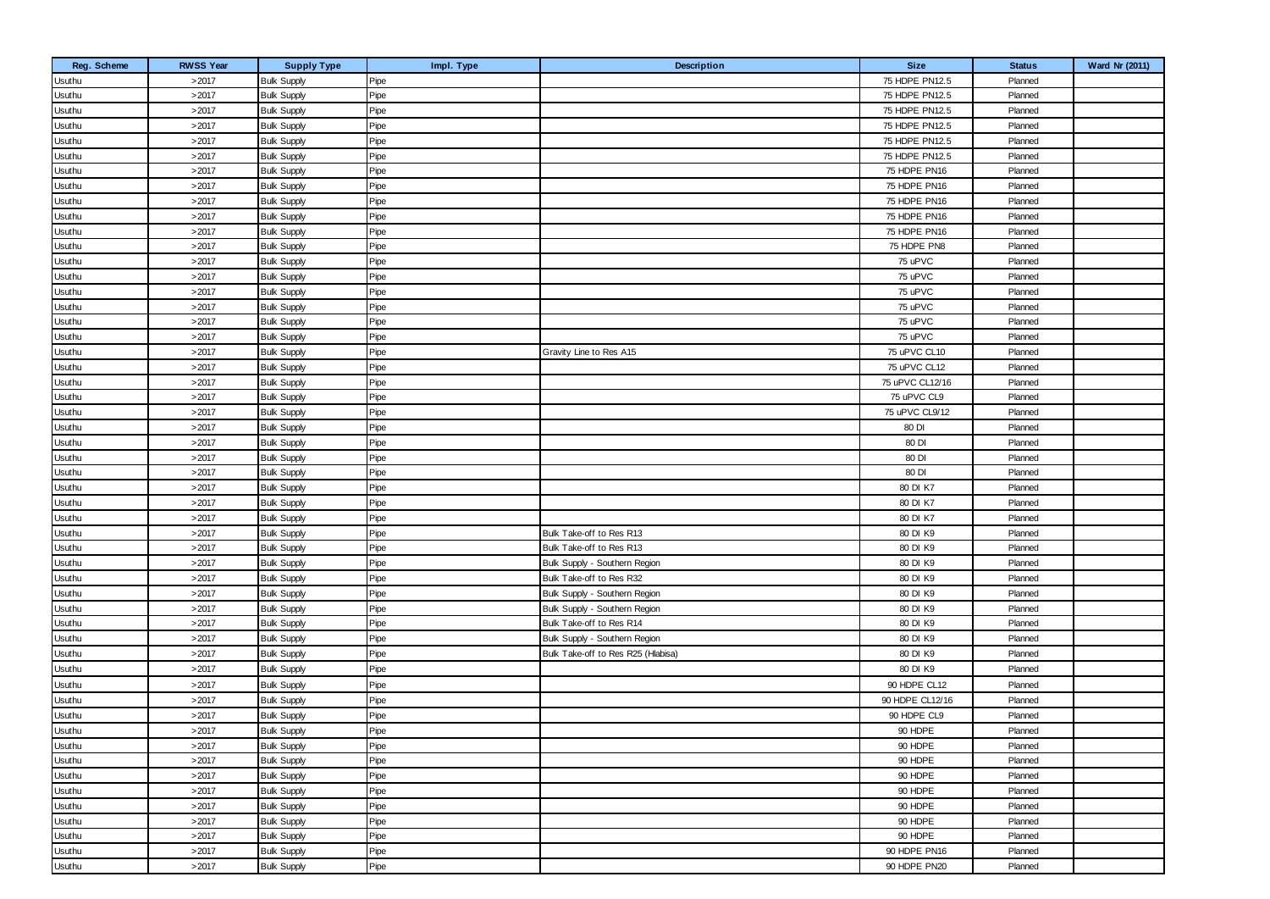| Reg. Scheme   | <b>RWSS Year</b> | <b>Supply Type</b> | Impl. Type | <b>Description</b>                 | <b>Size</b>     | <b>Status</b> | Ward Nr (2011) |
|---------------|------------------|--------------------|------------|------------------------------------|-----------------|---------------|----------------|
| Usuthu        | >2017            | <b>Bulk Supply</b> | Pipe       |                                    | 75 HDPE PN12.5  | Planned       |                |
| Usuthu        | >2017            | <b>Bulk Supply</b> | Pipe       |                                    | 75 HDPE PN12.5  | Planned       |                |
| Usuthu        | >2017            | <b>Bulk Supply</b> | Pipe       |                                    | 75 HDPE PN12.5  | Planned       |                |
| Usuthu        | >2017            | <b>Bulk Supply</b> | Pipe       |                                    | 75 HDPE PN12.5  | Planned       |                |
| Usuthu        | >2017            | <b>Bulk Supply</b> | Pipe       |                                    | 75 HDPE PN12.5  | Planned       |                |
| Usuthu        | >2017            | <b>Bulk Supply</b> | Pipe       |                                    | 75 HDPE PN12.5  | Planned       |                |
| Usuthu        | >2017            | <b>Bulk Supply</b> | Pipe       |                                    | 75 HDPE PN16    | Planned       |                |
| Usuthu        | >2017            | <b>Bulk Supply</b> | Pipe       |                                    | 75 HDPE PN16    | Planned       |                |
| Usuthu        | >2017            | <b>Bulk Supply</b> | Pipe       |                                    | 75 HDPE PN16    | Planned       |                |
| <b>Usuthu</b> | >2017            | <b>Bulk Supply</b> | Pipe       |                                    | 75 HDPE PN16    | Planned       |                |
| Usuthu        | >2017            | <b>Bulk Supply</b> | Pipe       |                                    | 75 HDPE PN16    | Planned       |                |
| Usuthu        | >2017            | <b>Bulk Supply</b> | Pipe       |                                    | 75 HDPE PN8     | Planned       |                |
| <b>Usuthu</b> | >2017            | <b>Bulk Supply</b> | Pipe       |                                    | 75 uPVC         | Planned       |                |
| Usuthu        | >2017            | <b>Bulk Supply</b> | Pipe       |                                    | 75 uPVC         | Planned       |                |
| Usuthu        | >2017            | <b>Bulk Supply</b> | Pipe       |                                    | 75 uPVC         | Planned       |                |
| <b>Usuthu</b> | >2017            | <b>Bulk Supply</b> | Pipe       |                                    | 75 uPVC         | Planned       |                |
| Usuthu        | >2017            | <b>Bulk Supply</b> | Pipe       |                                    | 75 uPVC         | Planned       |                |
| Usuthu        | >2017            | <b>Bulk Supply</b> | Pipe       |                                    | 75 uPVC         | Planned       |                |
| Usuthu        | >2017            | <b>Bulk Supply</b> | Pipe       | Gravity Line to Res A15            | 75 uPVC CL10    | Planned       |                |
| Usuthu        | >2017            | <b>Bulk Supply</b> | Pipe       |                                    | 75 uPVC CL12    | Planned       |                |
| Usuthu        | >2017            | <b>Bulk Supply</b> | Pipe       |                                    | 75 uPVC CL12/16 | Planned       |                |
| <b>Usuthu</b> | >2017            | <b>Bulk Supply</b> | Pipe       |                                    | 75 uPVC CL9     | Planned       |                |
| Usuthu        | >2017            | <b>Bulk Supply</b> | Pipe       |                                    | 75 uPVC CL9/12  | Planned       |                |
| Usuthu        | >2017            | <b>Bulk Supply</b> | Pipe       |                                    | 80 DI           | Planned       |                |
| Usuthu        | >2017            | <b>Bulk Supply</b> | Pipe       |                                    | 80 DI           | Planned       |                |
| Usuthu        | >2017            | <b>Bulk Supply</b> | Pipe       |                                    | 80 DI           | Planned       |                |
| Usuthu        | >2017            | <b>Bulk Supply</b> | Pipe       |                                    | 80 DI           | Planned       |                |
| <b>Usuthu</b> | >2017            | <b>Bulk Supply</b> | Pipe       |                                    | 80 DI K7        | Planned       |                |
| Usuthu        | >2017            | <b>Bulk Supply</b> | Pipe       |                                    | 80 DI K7        | Planned       |                |
| Usuthu        | >2017            | <b>Bulk Supply</b> | Pipe       |                                    | 80 DI K7        | Planned       |                |
| Usuthu        | >2017            | <b>Bulk Supply</b> | Pipe       | Bulk Take-off to Res R13           | 80 DI K9        | Planned       |                |
| Usuthu        | >2017            | <b>Bulk Supply</b> | Pipe       | Bulk Take-off to Res R13           | 80 DI K9        | Planned       |                |
| Usuthu        | >2017            | <b>Bulk Supply</b> | Pipe       | Bulk Supply - Southern Region      | 80 DI K9        | Planned       |                |
| Usuthu        | >2017            | <b>Bulk Supply</b> | Pipe       | Bulk Take-off to Res R32           | 80 DI K9        | Planned       |                |
| Usuthu        | >2017            | <b>Bulk Supply</b> | Pipe       | Bulk Supply - Southern Region      | 80 DI K9        | Planned       |                |
| Usuthu        | >2017            | <b>Bulk Supply</b> | Pipe       | Bulk Supply - Southern Region      | 80 DI K9        | Planned       |                |
| <b>Usuthu</b> | >2017            | <b>Bulk Supply</b> | Pipe       | Bulk Take-off to Res R14           | 80 DI K9        | Planned       |                |
| Usuthu        | >2017            | <b>Bulk Supply</b> | Pipe       | Bulk Supply - Southern Region      | 80 DI K9        | Planned       |                |
| Usuthu        | >2017            | <b>Bulk Supply</b> | Pipe       | Bulk Take-off to Res R25 (Hlabisa) | 80 DI K9        | Planned       |                |
| Usuthu        | >2017            | <b>Bulk Supply</b> | Pipe       |                                    | 80 DI K9        | Planned       |                |
| Usuthu        | >2017            | <b>Bulk Supply</b> | Pipe       |                                    | 90 HDPE CL12    | Planned       |                |
| Usuthu        | >2017            | <b>Bulk Supply</b> | Pipe       |                                    | 90 HDPE CL12/16 | Planned       |                |
| Usuthu        | >2017            | <b>Bulk Supply</b> | Pipe       |                                    | 90 HDPE CL9     | Planned       |                |
| Usuthu        | >2017            | <b>Bulk Supply</b> | Pipe       |                                    | 90 HDPE         | Planned       |                |
| Usuthu        | >2017            | <b>Bulk Supply</b> | Pipe       |                                    | 90 HDPE         | Planned       |                |
| Usuthu        | >2017            | <b>Bulk Supply</b> | Pipe       |                                    | 90 HDPE         | Planned       |                |
| Usuthu        | >2017            | <b>Bulk Supply</b> | Pipe       |                                    | 90 HDPE         | Planned       |                |
| Usuthu        | >2017            | <b>Bulk Supply</b> | Pipe       |                                    | 90 HDPE         | Planned       |                |
| Usuthu        | >2017            | <b>Bulk Supply</b> | Pipe       |                                    | 90 HDPE         | Planned       |                |
| Usuthu        | >2017            | <b>Bulk Supply</b> | Pipe       |                                    | 90 HDPE         | Planned       |                |
| Usuthu        | >2017            | <b>Bulk Supply</b> | Pipe       |                                    | 90 HDPE         | Planned       |                |
| Usuthu        | >2017            | <b>Bulk Supply</b> | Pipe       |                                    | 90 HDPE PN16    | Planned       |                |
| Usuthu        | >2017            | <b>Bulk Supply</b> | Pipe       |                                    | 90 HDPE PN20    | Planned       |                |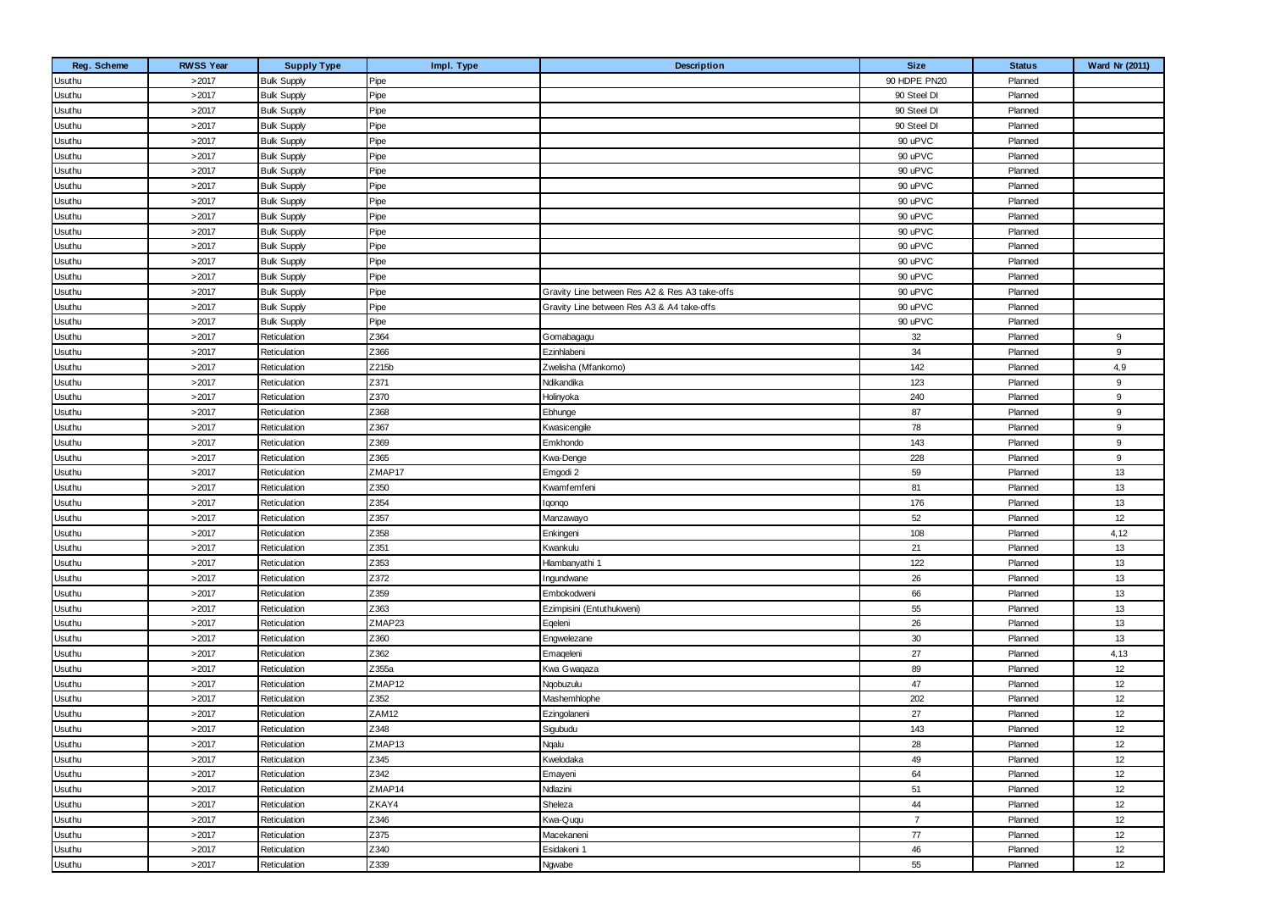| Reg. Scheme | <b>RWSS Year</b> | <b>Supply Type</b> | Impl. Type | <b>Description</b>                             | <b>Size</b>    | <b>Status</b> | Ward Nr (2011) |
|-------------|------------------|--------------------|------------|------------------------------------------------|----------------|---------------|----------------|
| Usuthu      | >2017            | <b>Bulk Supply</b> | Pipe       |                                                | 90 HDPE PN20   | Planned       |                |
| Usuthu      | >2017            | <b>Bulk Supply</b> | Pipe       |                                                | 90 Steel DI    | Planned       |                |
| Usuthu      | >2017            | <b>Bulk Supply</b> | Pipe       |                                                | 90 Steel DI    | Planned       |                |
| Usuthu      | >2017            | <b>Bulk Supply</b> | Pipe       |                                                | 90 Steel DI    | Planned       |                |
| Usuthu      | >2017            | <b>Bulk Supply</b> | Pipe       |                                                | 90 uPVC        | Planned       |                |
| Usuthu      | >2017            | <b>Bulk Supply</b> | Pipe       |                                                | 90 uPVC        | Planned       |                |
| Usuthu      | >2017            | <b>Bulk Supply</b> | Pipe       |                                                | 90 uPVC        | Planned       |                |
| Usuthu      | >2017            | <b>Bulk Supply</b> | Pipe       |                                                | 90 uPVC        | Planned       |                |
| Usuthu      | >2017            | <b>Bulk Supply</b> | Pipe       |                                                | 90 uPVC        | Planned       |                |
| Usuthu      | >2017            | <b>Bulk Supply</b> | Pipe       |                                                | 90 uPVC        | Planned       |                |
| Usuthu      | >2017            | <b>Bulk Supply</b> | Pipe       |                                                | 90 uPVC        | Planned       |                |
| Usuthu      | >2017            | <b>Bulk Supply</b> | Pipe       |                                                | 90 uPVC        | Planned       |                |
| Usuthu      | >2017            | <b>Bulk Supply</b> | Pipe       |                                                | 90 uPVC        | Planned       |                |
| Usuthu      | >2017            | <b>Bulk Supply</b> | Pipe       |                                                | 90 uPVC        | Planned       |                |
| Usuthu      | >2017            | <b>Bulk Supply</b> | Pipe       | Gravity Line between Res A2 & Res A3 take-offs | 90 uPVC        | Planned       |                |
| Usuthu      | >2017            | <b>Bulk Supply</b> | Pipe       | Gravity Line between Res A3 & A4 take-offs     | 90 uPVC        | Planned       |                |
| Usuthu      | >2017            | <b>Bulk Supply</b> | Pipe       |                                                | 90 uPVC        | Planned       |                |
| Usuthu      | >2017            | Reticulation       | Z364       | Gomabagagu                                     | 32             | Planned       | 9              |
| Usuthu      | >2017            | Reticulation       | Z366       | Ezinhlabeni                                    | 34             | Planned       | 9              |
| Usuthu      | >2017            | Reticulation       | Z215b      | Zwelisha (Mfankomo)                            | 142            | Planned       | 4,9            |
| Usuthu      | >2017            | Reticulation       | Z371       | Ndikandika                                     | 123            | Planned       | 9              |
| Usuthu      | >2017            | Reticulation       | Z370       | Holinyoka                                      | 240            | Planned       | 9              |
| Usuthu      | >2017            | Reticulation       | Z368       | Ebhunge                                        | 87             | Planned       | 9              |
| Usuthu      | >2017            | Reticulation       | Z367       | Kwasicengile                                   | 78             | Planned       | 9              |
| Usuthu      | >2017            | Reticulation       | Z369       | Emkhondo                                       | 143            | Planned       | 9              |
| Usuthu      | >2017            | Reticulation       | Z365       | Kwa-Denge                                      | 228            | Planned       | 9              |
| Usuthu      | >2017            | Reticulation       | ZMAP17     | Emgodi 2                                       | 59             | Planned       | 13             |
| Usuthu      | >2017            | Reticulation       | Z350       | Kwamfemfeni                                    | 81             | Planned       | 13             |
| Usuthu      | >2017            | Reticulation       | Z354       | lgongo                                         | 176            | Planned       | 13             |
| Usuthu      | >2017            | Reticulation       | Z357       | Manzawayo                                      | 52             | Planned       | 12             |
| Usuthu      | >2017            | Reticulation       | Z358       | Enkingeni                                      | 108            | Planned       | 4, 12          |
| Usuthu      | >2017            | Reticulation       | Z351       | Kwankulu                                       | 21             | Planned       | 13             |
| Usuthu      | >2017            | Reticulation       | Z353       | Hlambanyathi 1                                 | 122            | Planned       | 13             |
| Usuthu      | >2017            | Reticulation       | Z372       | Ingundwane                                     | 26             | Planned       | 13             |
| Usuthu      | >2017            | Reticulation       | Z359       | Embokodweni                                    | 66             | Planned       | 13             |
| Usuthu      | >2017            | Reticulation       | Z363       | Ezimpisini (Entuthukweni)                      | 55             | Planned       | 13             |
| Usuthu      | >2017            | Reticulation       | ZMAP23     | Eqeleni                                        | 26             | Planned       | 13             |
| Usuthu      | >2017            | Reticulation       | Z360       | Engwelezane                                    | 30             | Planned       | 13             |
| Usuthu      | >2017            | Reticulation       | Z362       | Emageleni                                      | 27             | Planned       | 4,13           |
| Usuthu      | >2017            | Reticulation       | Z355a      | Kwa Gwaqaza                                    | 89             | Planned       | 12             |
| Usuthu      | >2017            | Reticulation       | ZMAP12     | Ngobuzulu                                      | 47             | Planned       | 12             |
| Usuthu      | >2017            | Reticulation       | Z352       | Mashemhlophe                                   | 202            | Planned       | 12             |
| Usuthu      | >2017            | Reticulation       | ZAM12      | Ezingolaneni                                   | 27             | Planned       | 12             |
| Usuthu      | >2017            | Reticulation       | Z348       | Sigubudu                                       | 143            | Planned       | 12             |
| Usuthu      | >2017            | Reticulation       | ZMAP13     | Nqalu                                          | 28             | Planned       | 12             |
| Usuthu      | >2017            | Reticulation       | Z345       | Kwelodaka                                      | 49             | Planned       | 12             |
| Usuthu      | >2017            | Reticulation       | Z342       | Emayeni                                        | 64             | Planned       | 12             |
| Usuthu      | >2017            | Reticulation       | ZMAP14     | Ndlazini                                       | 51             | Planned       | 12             |
| Usuthu      | >2017            | Reticulation       | ZKAY4      | Sheleza                                        | 44             | Planned       | 12             |
| Usuthu      | >2017            | Reticulation       | Z346       | Kwa-Ququ                                       | $\overline{7}$ | Planned       | 12             |
| Usuthu      | >2017            | Reticulation       | Z375       | Macekaneni                                     | 77             | Planned       | 12             |
| Usuthu      | >2017            | Reticulation       | Z340       | Esidakeni 1                                    | 46             | Planned       | 12             |
| Usuthu      | >2017            | Reticulation       | Z339       | Ngwabe                                         | 55             | Planned       | 12             |
|             |                  |                    |            |                                                |                |               |                |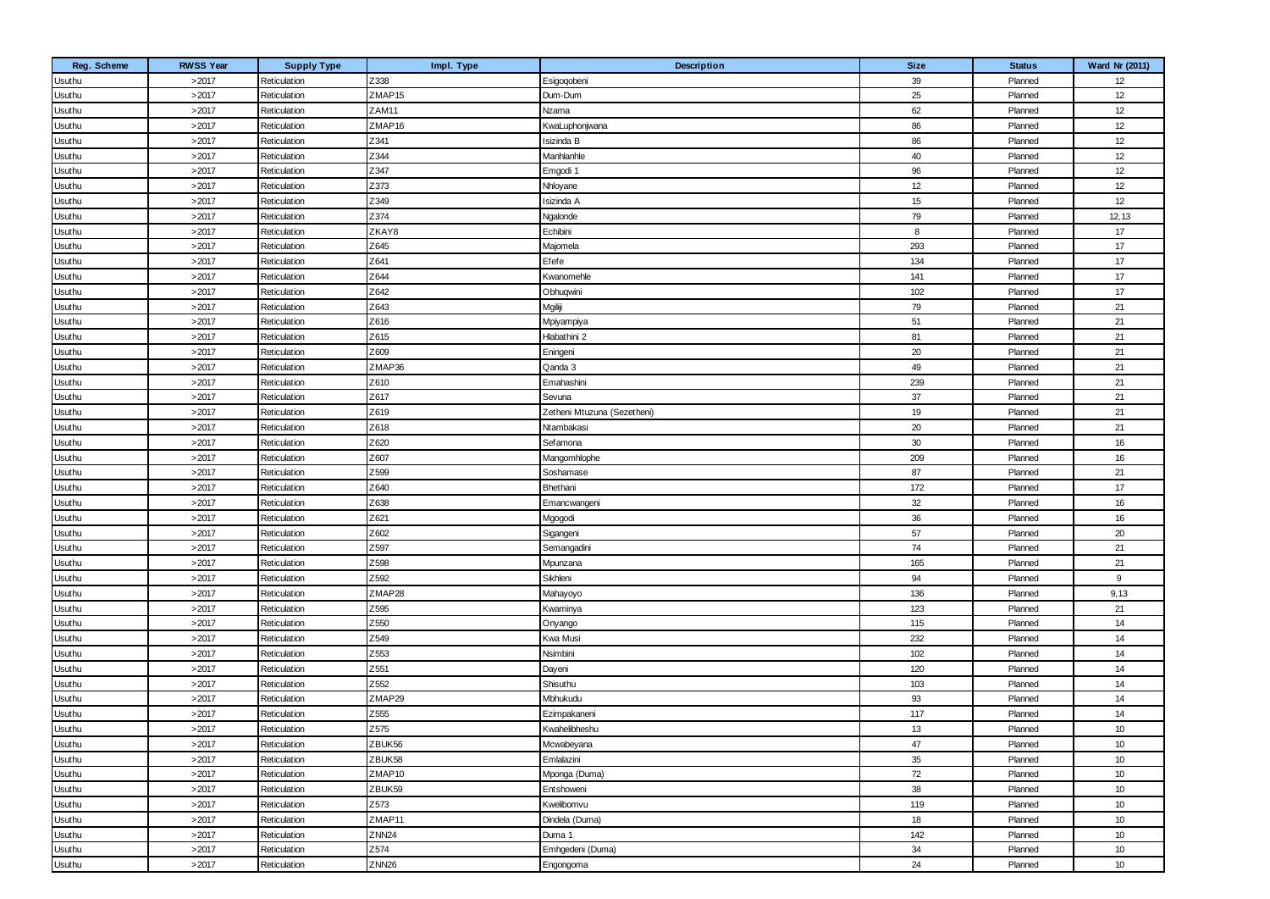| Reg. Scheme | <b>RWSS Year</b> | <b>Supply Type</b> | Impl. Type         | Description                 | <b>Size</b> | <b>Status</b> | Ward Nr (2011) |
|-------------|------------------|--------------------|--------------------|-----------------------------|-------------|---------------|----------------|
| Usuthu      | >2017            | Reticulation       | Z338               | Esigoqobeni                 | 39          | Planned       | 12             |
| Usuthu      | >2017            | Reticulation       | ZMAP <sub>15</sub> | Dum-Dum                     | 25          | Planned       | 12             |
| Usuthu      | >2017            | Reticulation       | ZAM11              | Nzama                       | 62          | Planned       | 12             |
| Usuthu      | >2017            | Reticulation       | ZMAP16             | KwaLuphonjwana              | 86          | Planned       | 12             |
| Usuthu      | >2017            | Reticulation       | Z341               | Isizinda B                  | 86          | Planned       | 12             |
| Usuthu      | >2017            | Reticulation       | Z344               | Manhlanhle                  | 40          | Planned       | 12             |
| Usuthu      | >2017            | Reticulation       | Z347               | Emgodi 1                    | 96          | Planned       | 12             |
| Usuthu      | >2017            | Reticulation       | Z373               | Nhloyane                    | 12          | Planned       | 12             |
| Usuthu      | >2017            | Reticulation       | Z349               | Isizinda A                  | 15          | Planned       | 12             |
| Usuthu      | >2017            | Reticulation       | Z374               | Ngalonde                    | 79          | Planned       | 12, 13         |
| Usuthu      | >2017            | Reticulation       | ZKAY8              | Echibini                    | 8           | Planned       | 17             |
| Usuthu      | >2017            | Reticulation       | Z645               | Majomela                    | 293         | Planned       | 17             |
| Usuthu      | >2017            | Reticulation       | Z641               | Efefe                       | 134         | Planned       | 17             |
| Usuthu      | >2017            | Reticulation       | Z644               | Kwanomehle                  | 141         | Planned       | 17             |
| Usuthu      | >2017            | Reticulation       | Z642               | Obhuqwini                   | 102         | Planned       | 17             |
| Usuthu      | >2017            | Reticulation       | Z643               | Mgiliji                     | 79          | Planned       | 21             |
| Usuthu      | >2017            | Reticulation       | Z616               | Mpiyampiya                  | 51          | Planned       | 21             |
| Usuthu      | >2017            | Reticulation       | Z615               | Hlabathini 2                | 81          | Planned       | 21             |
| Usuthu      | >2017            | Reticulation       | Z609               | Eningeni                    | 20          | Planned       | 21             |
| Usuthu      | >2017            | Reticulation       | ZMAP36             | Qanda 3                     | 49          | Planned       | 21             |
| Usuthu      | >2017            | Reticulation       | Z610               | Emahashini                  | 239         | Planned       | 21             |
| Usuthu      | >2017            | Reticulation       | Z617               | Sevuna                      | 37          | Planned       | 21             |
| Usuthu      | >2017            | Reticulation       | Z619               | Zetheni Mtuzuna (Sezetheni) | 19          | Planned       | 21             |
| Usuthu      | >2017            | Reticulation       | Z618               | Ntambakasi                  | 20          | Planned       | 21             |
| Usuthu      | >2017            | Reticulation       | Z620               | Sefamona                    | 30          | Planned       | 16             |
| Usuthu      | >2017            | Reticulation       | Z607               | Mangomhlophe                | 209         | Planned       | 16             |
| Usuthu      | >2017            | Reticulation       | Z599               | Soshamase                   | 87          | Planned       | 21             |
| Usuthu      | >2017            | Reticulation       | Z640               | Bhethani                    | 172         | Planned       | 17             |
| Usuthu      | >2017            | Reticulation       | Z638               | Emancwangeni                | 32          | Planned       | 16             |
| Usuthu      | >2017            | Reticulation       | Z621               | Mgogodi                     | 36          | Planned       | 16             |
| Usuthu      | >2017            | Reticulation       | Z602               | Sigangeni                   | 57          | Planned       | 20             |
| Usuthu      | >2017            | Reticulation       | Z597               | Semangadini                 | 74          | Planned       | 21             |
| Usuthu      | >2017            | Reticulation       | Z598               | Mpunzana                    | 165         | Planned       | 21             |
| Usuthu      | >2017            | Reticulation       | Z592               | Sikhleni                    | 94          | Planned       | 9              |
| Usuthu      | >2017            | Reticulation       | ZMAP28             | Mahayoyo                    | 136         | Planned       | 9,13           |
| Usuthu      | >2017            | Reticulation       | Z595               | Kwaminya                    | 123         | Planned       | 21             |
| Usuthu      | >2017            | Reticulation       | Z550               | Onyango                     | 115         | Planned       | 14             |
| Usuthu      | >2017            | Reticulation       | Z549               | Kwa Musi                    | 232         | Planned       | 14             |
| Usuthu      | >2017            | Reticulation       | Z553               | Nsimbini                    | 102         | Planned       | 14             |
| Usuthu      | >2017            | Reticulation       | Z551               | Dayeni                      | 120         | Planned       | 14             |
| Usuthu      | >2017            | Reticulation       | Z552               | Shisuthu                    | 103         | Planned       | 14             |
| Usuthu      | >2017            | Reticulation       | ZMAP29             | Mbhukudu                    | 93          | Planned       | 14             |
| Usuthu      | >2017            | Reticulation       | Z555               | Ezimpakaneni                | 117         | Planned       | 14             |
| Usuthu      | >2017            | Reticulation       | Z575               | Kwahelibheshu               | 13          | Planned       | 10             |
| Usuthu      | >2017            | Reticulation       | ZBUK56             | Mcwabeyana                  | 47          | Planned       | 10             |
| Usuthu      | >2017            | Reticulation       | ZBUK58             | Emlalazini                  | $35\,$      | Planned       | 10             |
| Usuthu      | >2017            | Reticulation       | ZMAP10             | Mponga (Duma)               | 72          | Planned       | 10             |
| Usuthu      | >2017            | Reticulation       | ZBUK59             | Entshoweni                  | 38          | Planned       | 10             |
| Usuthu      | >2017            | Reticulation       | Z573               | Kwelibomvu                  | 119         | Planned       | 10             |
| Usuthu      | >2017            | Reticulation       | ZMAP11             | Dindela (Duma)              | 18          | Planned       | 10             |
| Usuthu      | >2017            | Reticulation       | <b>ZNN24</b>       | Duma 1                      | 142         | Planned       | 10             |
| Usuthu      | >2017            | Reticulation       | Z574               | Emhgedeni (Duma)            | 34          | Planned       | 10             |
| Usuthu      | >2017            | Reticulation       | ZNN <sub>26</sub>  | Engongoma                   | 24          | Planned       | 10             |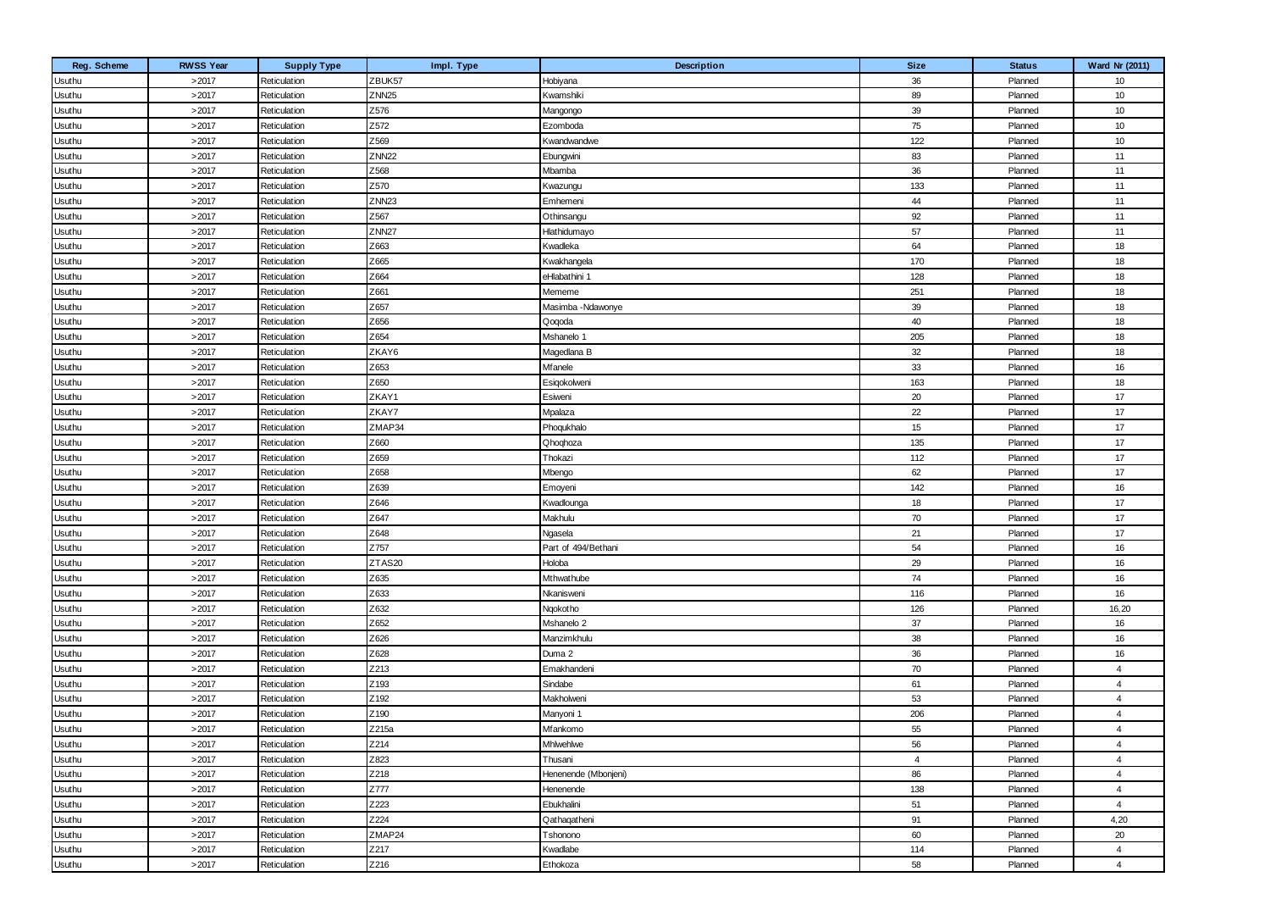| Reg. Scheme | <b>RWSS Year</b> | <b>Supply Type</b> | Impl. Type        | Description          | <b>Size</b>    | <b>Status</b> | Ward Nr (2011) |
|-------------|------------------|--------------------|-------------------|----------------------|----------------|---------------|----------------|
| Usuthu      | >2017            | Reticulation       | ZBUK57            | Hobiyana             | 36             | Planned       | 10             |
| Usuthu      | >2017            | Reticulation       | ZNN <sub>25</sub> | Kwamshiki            | 89             | Planned       | 10             |
| Usuthu      | >2017            | Reticulation       | Z576              | Mangongo             | 39             | Planned       | 10             |
| Usuthu      | >2017            | Reticulation       | Z572              | Ezomboda             | 75             | Planned       | 10             |
| Usuthu      | >2017            | Reticulation       | Z569              | Kwandwandwe          | 122            | Planned       | 10             |
| Usuthu      | >2017            | Reticulation       | <b>ZNN22</b>      | Ebungwini            | 83             | Planned       | 11             |
| Usuthu      | >2017            | Reticulation       | Z568              | Mbamba               | 36             | Planned       | 11             |
| Usuthu      | >2017            | Reticulation       | Z570              | Kwazungu             | 133            | Planned       | 11             |
| Usuthu      | >2017            | Reticulation       | ZNN <sub>23</sub> | Emhemeni             | 44             | Planned       | 11             |
| Usuthu      | >2017            | Reticulation       | Z567              | Othinsangu           | 92             | Planned       | 11             |
| Usuthu      | >2017            | Reticulation       | ZNN <sub>27</sub> | Hlathidumayo         | 57             | Planned       | 11             |
| Usuthu      | >2017            | Reticulation       | Z663              | Kwadleka             | 64             | Planned       | 18             |
| Usuthu      | >2017            | Reticulation       | Z665              | Kwakhangela          | 170            | Planned       | 18             |
| Usuthu      | >2017            | Reticulation       | Z664              | eHlabathini 1        | 128            | Planned       | 18             |
| Usuthu      | >2017            | Reticulation       | Z661              | Mememe               | 251            | Planned       | 18             |
| Usuthu      | >2017            | Reticulation       | Z657              | Masimba -Ndawonye    | 39             | Planned       | 18             |
| Usuthu      | >2017            | Reticulation       | Z656              | Qoqoda               | 40             | Planned       | 18             |
| Usuthu      | >2017            | Reticulation       | Z654              | Mshanelo 1           | 205            | Planned       | 18             |
| Usuthu      | >2017            | Reticulation       | ZKAY6             | Magedlana B          | 32             | Planned       | 18             |
| Usuthu      | >2017            | Reticulation       | Z653              | Mfanele              | 33             | Planned       | 16             |
| Usuthu      | >2017            | Reticulation       | Z650              | Esigokolweni         | 163            | Planned       | 18             |
| Usuthu      | >2017            | Reticulation       | ZKAY1             | Esiweni              | 20             | Planned       | 17             |
| Usuthu      | >2017            | Reticulation       | ZKAY7             | Mpalaza              | 22             | Planned       | 17             |
| Usuthu      | >2017            | Reticulation       | ZMAP34            | Phoqukhalo           | 15             | Planned       | 17             |
| Usuthu      | >2017            | Reticulation       | Z660              | Qhoqhoza             | 135            | Planned       | 17             |
| Usuthu      | >2017            | Reticulation       | Z659              | Thokazi              | 112            | Planned       | 17             |
| Usuthu      | >2017            | Reticulation       | Z658              | Mbengo               | 62             | Planned       | 17             |
| Usuthu      | >2017            | Reticulation       | Z639              | Emoyeni              | 142            | Planned       | 16             |
| Usuthu      | >2017            | Reticulation       | Z646              | Kwadlounga           | 18             | Planned       | 17             |
| Usuthu      | >2017            | Reticulation       | Z647              | Makhulu              | 70             | Planned       | 17             |
| Usuthu      | >2017            | Reticulation       | Z648              | Ngasela              | 21             | Planned       | 17             |
| Usuthu      | >2017            | Reticulation       | Z757              | Part of 494/Bethani  | 54             | Planned       | 16             |
| Usuthu      | >2017            | Reticulation       | ZTAS20            | Holoba               | 29             | Planned       | 16             |
| Usuthu      | >2017            | Reticulation       | Z635              | Mthwathube           | 74             | Planned       | 16             |
| Usuthu      | >2017            | Reticulation       | Z633              | Nkanisweni           | 116            | Planned       | 16             |
| Usuthu      | >2017            | Reticulation       | Z632              | Ngokotho             | 126            | Planned       | 16,20          |
| Usuthu      | >2017            | Reticulation       | Z652              | Mshanelo 2           | 37             | Planned       | 16             |
| Usuthu      | >2017            | Reticulation       | Z626              | Manzimkhulu          | 38             | Planned       | 16             |
| Usuthu      | >2017            | Reticulation       | Z628              | Duma 2               | 36             | Planned       | 16             |
| Usuthu      | >2017            | Reticulation       | Z213              | Emakhandeni          | 70             | Planned       | $\overline{4}$ |
| Usuthu      | >2017            | Reticulation       | Z193              | Sindabe              | 61             | Planned       | $\overline{4}$ |
| Usuthu      | >2017            | Reticulation       | Z192              | Makholweni           | 53             | Planned       | $\overline{4}$ |
| Usuthu      | >2017            | Reticulation       | Z190              | Manyoni 1            | 206            | Planned       | $\overline{4}$ |
| Usuthu      | >2017            | Reticulation       | Z215a             | Mfankomo             | 55             | Planned       | $\overline{4}$ |
| Usuthu      | >2017            | Reticulation       | Z214              | Mhlwehlwe            | 56             | Planned       | $\overline{4}$ |
| Usuthu      | >2017            | Reticulation       | Z823              | Thusani              | $\overline{4}$ | Planned       | $\overline{4}$ |
| Usuthu      | >2017            | Reticulation       | Z218              | Henenende (Mbonjeni) | 86             | Planned       | $\overline{4}$ |
| Usuthu      | >2017            | Reticulation       | Z777              | Henenende            | 138            | Planned       | 4              |
| Usuthu      | >2017            | Reticulation       | Z223              | Ebukhalini           | 51             | Planned       | $\overline{4}$ |
| Usuthu      | >2017            | Reticulation       | Z224              | Qathaqatheni         | 91             | Planned       | 4,20           |
| Usuthu      | >2017            | Reticulation       | ZMAP24            | Tshonono             | 60             | Planned       | 20             |
| Usuthu      | >2017            | Reticulation       | Z217              | Kwadlabe             | 114            | Planned       | $\overline{4}$ |
| Usuthu      | >2017            | Reticulation       | Z216              | Ethokoza             | 58             | Planned       | $\overline{4}$ |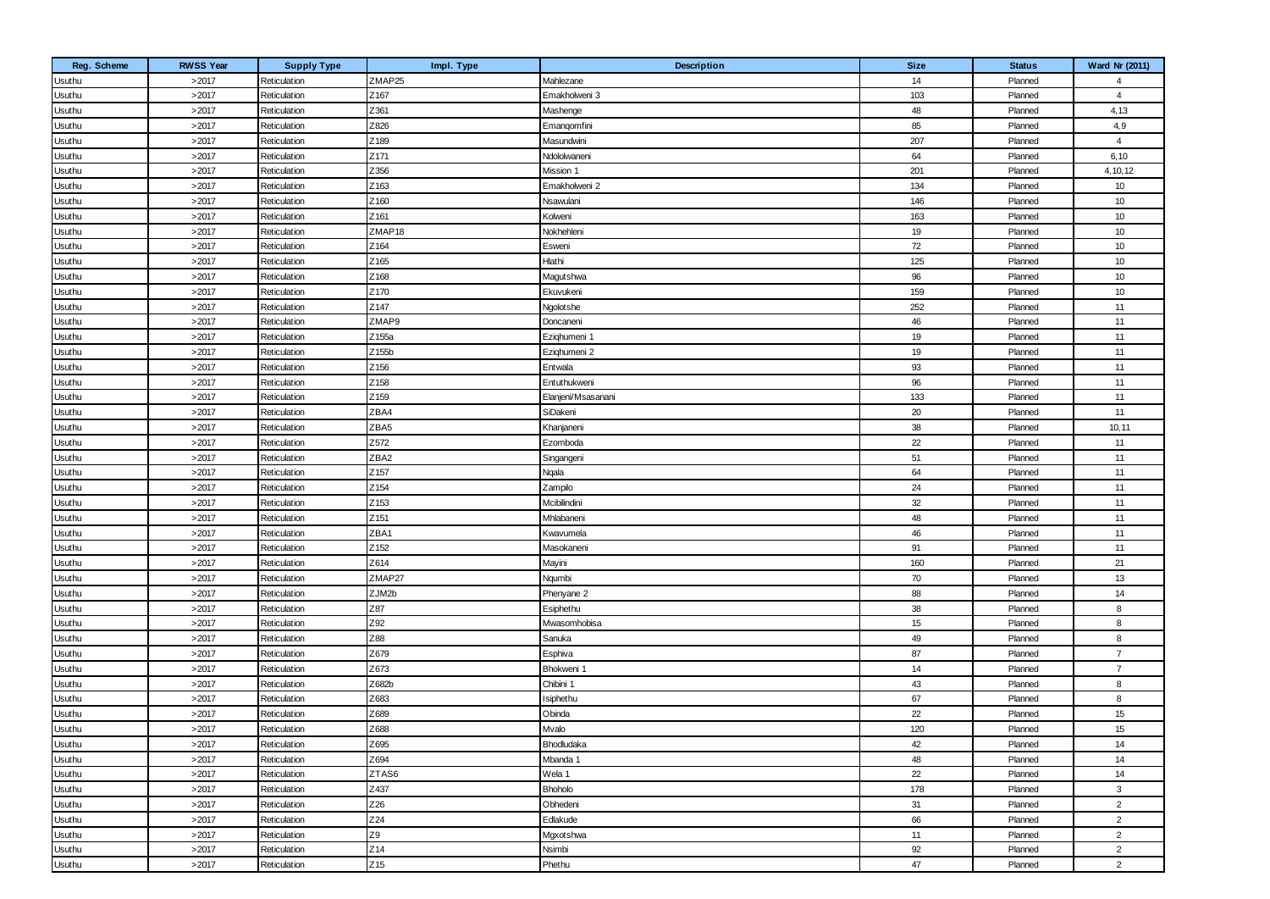| Reg. Scheme      | <b>RWSS Year</b> | <b>Supply Type</b> | Impl. Type               | Description             | <b>Size</b> | <b>Status</b>      | Ward Nr (2011) |
|------------------|------------------|--------------------|--------------------------|-------------------------|-------------|--------------------|----------------|
| Usuthu           | >2017            | Reticulation       | ZMAP25                   | Mahlezane               | 14          | Planned            | $\overline{4}$ |
| Usuthu           | >2017            | Reticulation       | Z167                     | Emakholweni 3           | 103         | Planned            | $\overline{4}$ |
| Usuthu           | >2017            | Reticulation       | Z361                     | Mashenge                | 48          | Planned            | 4,13           |
| Usuthu           | >2017            | Reticulation       | Z826                     | Emangomfini             | 85          | Planned            | 4,9            |
| Usuthu           | >2017            | Reticulation       | Z189                     | Masundwini              | 207         | Planned            | $\overline{4}$ |
| Usuthu           | >2017            | Reticulation       | Z171                     | Ndololwaneni            | 64          | Planned            | 6, 10          |
| Usuthu           | >2017            | Reticulation       | Z356                     | Mission 1               | 201         | Planned            | 4, 10, 12      |
| Usuthu           | >2017            | Reticulation       | Z163                     | Emakholweni 2           | 134         | Planned            | 10             |
| Usuthu           | >2017            | Reticulation       | Z160                     | Nsawulani               | 146         | Planned            | 10             |
| Usuthu           | >2017            | Reticulation       | Z161                     | Kolweni                 | 163         | Planned            | 10             |
| Usuthu           | >2017            | Reticulation       | ZMAP18                   | Nokhehleni              | 19          | Planned            | 10             |
| Usuthu           | >2017            | Reticulation       | Z164                     | Esweni                  | 72          | Planned            | 10             |
| Usuthu           | >2017            | Reticulation       | Z165                     | Hlathi                  | 125         | Planned            | 10             |
| Usuthu           | >2017            | Reticulation       | Z168                     | Magutshwa               | 96          | Planned            | 10             |
| Usuthu           | >2017            | Reticulation       | Z170                     | Ekuvukeni               | 159         | Planned            | 10             |
| Usuthu           | >2017            | Reticulation       | Z147                     | Ngolotshe               | 252         | Planned            | 11             |
| Usuthu           | >2017            | Reticulation       | ZMAP9                    | Doncaneni               | 46          | Planned            | 11             |
| Usuthu           | >2017            | Reticulation       | Z155a                    | Ezighumeni 1            | 19          | Planned            | 11             |
| Usuthu           | >2017            | Reticulation       | Z155b                    | Ezighumeni 2            | 19          | Planned            | 11             |
| Usuthu           | >2017            | Reticulation       | Z156                     | Entwala                 | 93          | Planned            | 11             |
| Usuthu           | >2017            | Reticulation       | Z158                     | Entuthukweni            | 96          | Planned            | 11             |
| Usuthu           | >2017            | Reticulation       | Z159                     | Elanjeni/Msasanani      | 133         | Planned            | 11             |
| Usuthu           | >2017            | Reticulation       | ZBA4                     | SiDakeni                | 20          | Planned            | 11             |
| Usuthu           | >2017            | Reticulation       | ZBA5                     | Khanjaneni              | 38          | Planned            | 10, 11         |
| Usuthu           | >2017            | Reticulation       | Z572                     | Ezomboda                | 22          | Planned            | 11             |
| Usuthu           | >2017            | Reticulation       | ZBA2                     | Singangeni              | 51          | Planned            | 11             |
| Usuthu           | >2017            | Reticulation       | Z157                     | Ngala                   | 64          | Planned            | 11             |
|                  |                  |                    |                          |                         |             |                    |                |
| Usuthu           | >2017            | Reticulation       | Z154                     | Zampilo<br>Mcibilindini | 24<br>32    | Planned            | 11<br>11       |
| Usuthu           | >2017            | Reticulation       | Z153                     |                         | 48          | Planned            | 11             |
| Usuthu           | >2017            | Reticulation       | Z151                     | Mhlabaneni              |             | Planned            |                |
| Usuthu           | >2017            | Reticulation       | ZBA1<br>Z <sub>152</sub> | Kwavumela               | 46          | Planned            | 11<br>11       |
| Usuthu           | >2017            | Reticulation       |                          | Masokaneni              | 91          | Planned            | 21             |
| Usuthu           | >2017            | Reticulation       | Z614<br>ZMAP27           | Mayini                  | 160         | Planned<br>Planned | 13             |
| Usuthu           | >2017            | Reticulation       |                          | Nqumbi                  | 70          |                    |                |
| Usuthu           | >2017            | Reticulation       | ZJM2b                    | Phenyane 2              | 88          | Planned            | 14             |
| Usuthu           | >2017            | Reticulation       | Z87                      | Esiphethu               | 38          | Planned            | 8              |
| Usuthu           | >2017            | Reticulation       | Z92<br>Z88               | Mwasomhobisa            | 15<br>49    | Planned            | 8              |
| Usuthu           | >2017            | Reticulation       |                          | Sanuka                  |             | Planned            | 8              |
| Usuthu           | >2017            | Reticulation       | Z679                     | Esphiva                 | 87          | Planned            | $\overline{7}$ |
| Usuthu           | >2017            | Reticulation       | Z673                     | Bhokweni 1              | 14          | Planned            | $\overline{7}$ |
| Usuthu           | >2017            | Reticulation       | Z682b                    | Chibini 1               | 43          | Planned            | 8              |
| Usuthu           | >2017            | Reticulation       | Z683                     | Isiphethu               | 67          | Planned            | 8              |
| Usuthu<br>Usuthu | >2017            | Reticulation       | Z689                     | Obinda                  | 22          | Planned            | 15             |
|                  | >2017            | Reticulation       | Z688                     | Mvalo                   | 120         | Planned            | 15             |
| Usuthu           | >2017            | Reticulation       | Z695                     | Bhodludaka              | 42          | Planned            | 14             |
| Usuthu           | >2017            | Reticulation       | Z694                     | Mbanda 1                | 48          | Planned            | 14             |
| Usuthu           | >2017            | Reticulation       | ZTAS6                    | Wela 1                  | 22          | Planned            | 14             |
| Usuthu           | >2017            | Reticulation       | Z437                     | Bhoholo                 | 178         | Planned            | 3              |
| Usuthu           | >2017            | Reticulation       | Z26                      | Obhedeni                | 31          | Planned            | $\overline{2}$ |
| Usuthu           | >2017            | Reticulation       | Z24                      | Edlakude                | 66          | Planned            | $\overline{2}$ |
| Usuthu           | >2017            | Reticulation       | Z9                       | Mgxotshwa               | 11          | Planned            | $\overline{2}$ |
| Usuthu<br>Usuthu | >2017            | Reticulation       | Z14                      | Nsimbi                  | 92          | Planned            | $\overline{2}$ |
|                  | >2017            | Reticulation       | Z15                      | Phethu                  | 47          | Planned            | $\overline{2}$ |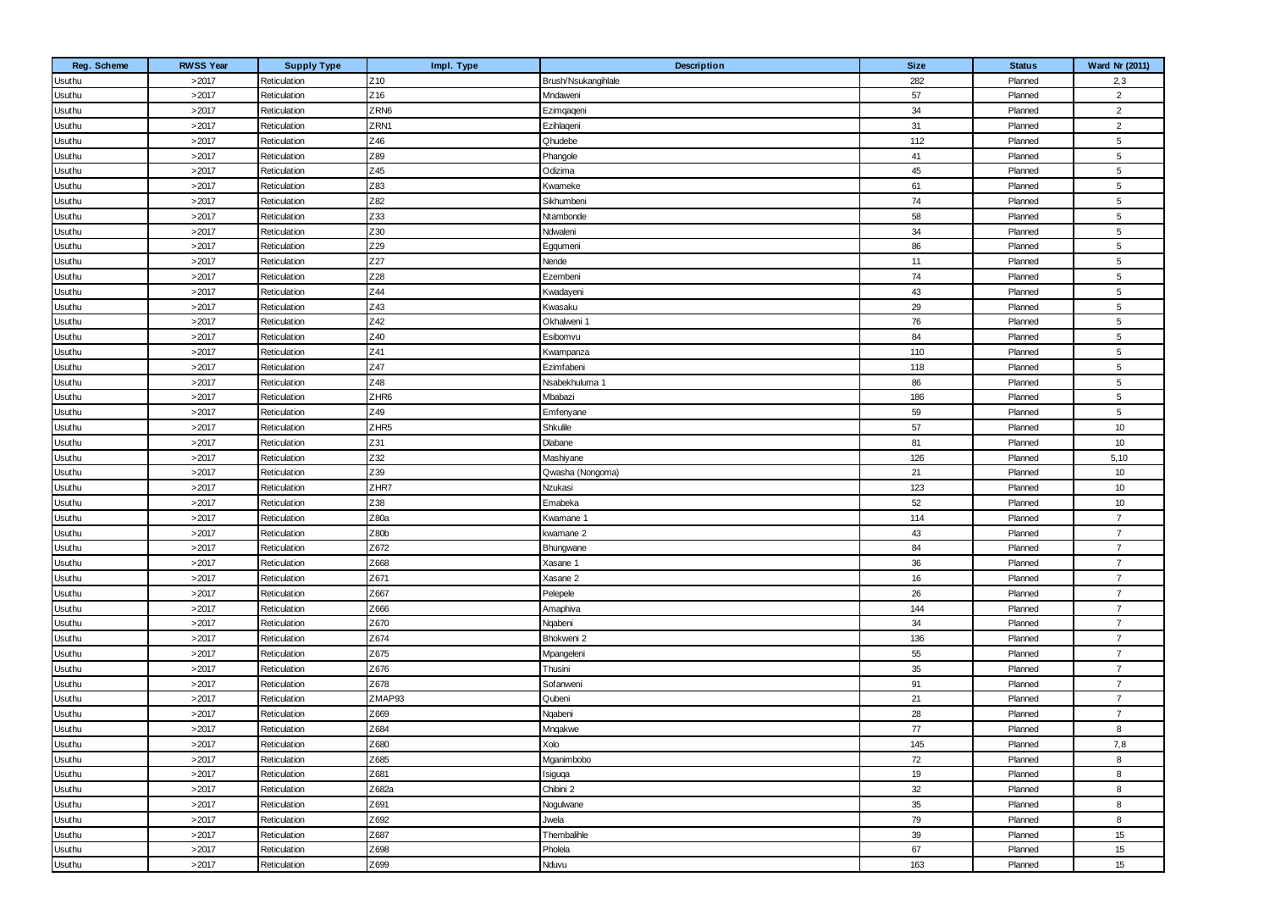| Reg. Scheme | <b>RWSS Year</b> | <b>Supply Type</b> | Impl. Type       | Description         | <b>Size</b> | <b>Status</b> | Ward Nr (2011)  |
|-------------|------------------|--------------------|------------------|---------------------|-------------|---------------|-----------------|
| Usuthu      | >2017            | Reticulation       | Z <sub>10</sub>  | Brush/Nsukangihlale | 282         | Planned       | 2,3             |
| Usuthu      | >2017            | Reticulation       | Z16              | Mndaweni            | 57          | Planned       | $\overline{2}$  |
| Usuthu      | >2017            | Reticulation       | ZRN6             | Ezimqaqeni          | 34          | Planned       | $\overline{2}$  |
| Usuthu      | >2017            | Reticulation       | ZRN1             | Ezihlaqeni          | 31          | Planned       | $\overline{2}$  |
| Usuthu      | >2017            | Reticulation       | Z46              | Qhudebe             | 112         | Planned       | 5               |
| Usuthu      | >2017            | Reticulation       | Z89              | Phangole            | 41          | Planned       | 5               |
| Usuthu      | >2017            | Reticulation       | Z45              | Odizima             | 45          | Planned       | $5\phantom{.0}$ |
| Usuthu      | >2017            | Reticulation       | Z83              | Kwameke             | 61          | Planned       | 5               |
| Usuthu      | >2017            | Reticulation       | Z82              | Sikhumbeni          | 74          | Planned       | 5               |
| Usuthu      | >2017            | Reticulation       | Z33              | Ntambonde           | 58          | Planned       | $5\phantom{.0}$ |
| Usuthu      | >2017            | Reticulation       | Z30              | Ndwaleni            | 34          | Planned       | 5               |
| Usuthu      | >2017            | Reticulation       | Z29              | Egqumeni            | 86          | Planned       | 5               |
| Usuthu      | >2017            | Reticulation       | Z27              | Nende               | 11          | Planned       | $5\phantom{.0}$ |
| Usuthu      | >2017            | Reticulation       | Z28              | Ezembeni            | 74          | Planned       | 5               |
| Usuthu      | >2017            | Reticulation       | Z44              | Kwadayeni           | 43          | Planned       | 5               |
| Usuthu      | >2017            | Reticulation       | Z43              | Kwasaku             | 29          | Planned       | $5\phantom{.0}$ |
| Usuthu      | >2017            | Reticulation       | Z42              | Okhalweni 1         | 76          | Planned       | 5               |
| Usuthu      | >2017            | Reticulation       | Z40              | Esibomvu            | 84          | Planned       | $5\phantom{.0}$ |
| Usuthu      | >2017            | Reticulation       | Z41              | Kwampanza           | 110         | Planned       | $5\phantom{.0}$ |
| Usuthu      | >2017            | Reticulation       | Z47              | Ezimfabeni          | 118         | Planned       | 5               |
| Usuthu      | >2017            | Reticulation       | Z48              | Nsabekhuluma 1      | 86          | Planned       | 5               |
| Usuthu      | >2017            | Reticulation       | ZHR6             | Mbabazi             | 186         | Planned       | $5\phantom{.0}$ |
| Usuthu      | >2017            | Reticulation       | Z49              | Emfenyane           | 59          | Planned       | 5               |
| Usuthu      | >2017            | Reticulation       | ZHR <sub>5</sub> | Shkulile            | 57          | Planned       | 10              |
| Usuthu      | >2017            | Reticulation       | Z31              | Dlabane             | 81          | Planned       | 10              |
| Usuthu      | >2017            | Reticulation       | Z32              | Mashiyane           | 126         | Planned       | 5,10            |
| Usuthu      | >2017            | Reticulation       | Z39              | Qwasha (Nongoma)    | 21          | Planned       | 10              |
| Usuthu      | >2017            | Reticulation       | ZHR7             | Nzukasi             | 123         | Planned       | 10              |
| Usuthu      | >2017            | Reticulation       | Z38              | Emabeka             | 52          | Planned       | 10              |
| Usuthu      | >2017            | Reticulation       | Z80a             | Kwamane 1           | 114         | Planned       | $\overline{7}$  |
| Usuthu      | >2017            | Reticulation       | Z80b             | kwamane 2           | 43          | Planned       | $\overline{7}$  |
| Usuthu      | >2017            | Reticulation       | Z672             | Bhungwane           | 84          | Planned       | $\overline{7}$  |
| Usuthu      | >2017            | Reticulation       | Z668             | Xasane 1            | 36          | Planned       | $\overline{7}$  |
| Usuthu      | >2017            | Reticulation       | Z671             | Xasane 2            | 16          | Planned       | $\overline{7}$  |
| Usuthu      | >2017            | Reticulation       | Z667             | Pelepele            | 26          | Planned       | $\overline{7}$  |
| Usuthu      | >2017            | Reticulation       | Z666             | Amaphiva            | 144         | Planned       | $\overline{7}$  |
| Usuthu      | >2017            | Reticulation       | Z670             | Ngabeni             | 34          | Planned       | $\overline{7}$  |
| Usuthu      | >2017            | Reticulation       | Z674             | Bhokweni 2          | 136         | Planned       | $\overline{7}$  |
| Usuthu      | >2017            | Reticulation       | Z675             | Mpangeleni          | 55          | Planned       | $\overline{7}$  |
| Usuthu      | >2017            | Reticulation       | Z676             | Thusini             | 35          | Planned       | $\overline{7}$  |
| Usuthu      | >2017            | Reticulation       | Z678             | Sofanweni           | 91          | Planned       | $\overline{7}$  |
| Usuthu      | >2017            | Reticulation       | ZMAP93           | Qubeni              | 21          | Planned       | $\overline{7}$  |
| Usuthu      | >2017            | Reticulation       | Z669             | Ngabeni             | 28          | Planned       | $\overline{7}$  |
| Usuthu      | >2017            | Reticulation       | Z684             | Mngakwe             | 77          | Planned       | 8               |
| Usuthu      | >2017            | Reticulation       | Z680             | Xolo                | 145         | Planned       | 7,8             |
| Usuthu      | >2017            | Reticulation       | Z685             | Mganimbobo          | 72          | Planned       | 8               |
| Usuthu      | >2017            | Reticulation       | Z681             | Isiguqa             | 19          | Planned       | 8               |
| Usuthu      | >2017            | Reticulation       | Z682a            | Chibini 2           | 32          | Planned       | 8               |
| Usuthu      | >2017            | Reticulation       | Z691             | Nogulwane           | 35          | Planned       | 8               |
| Usuthu      | >2017            | Reticulation       | Z692             | Jwela               | 79          | Planned       | 8               |
| Usuthu      | >2017            | Reticulation       | Z687             | Thembalihle         | 39          | Planned       | 15              |
| Usuthu      | >2017            | Reticulation       | Z698             | Pholela             | 67          | Planned       | 15              |
| Usuthu      | >2017            | Reticulation       | Z699             | Nduvu               | 163         | Planned       | 15              |